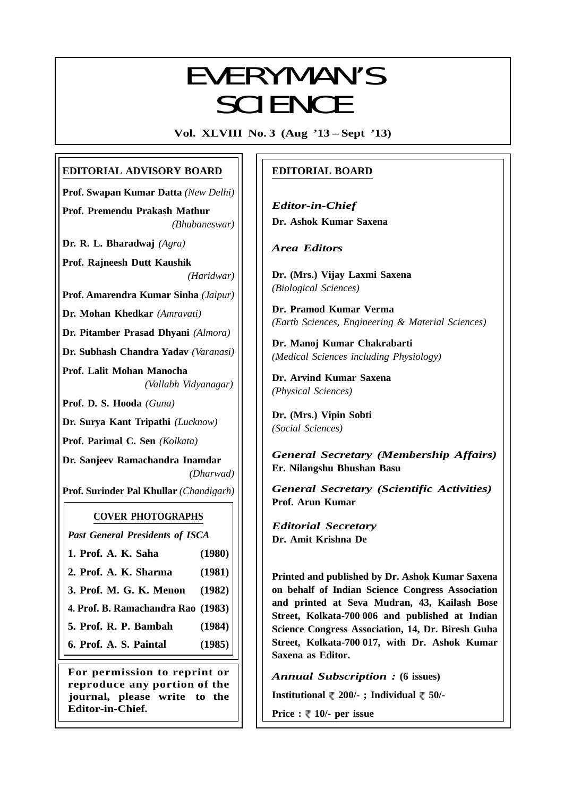# EVERYMANIC EVERYMAN'S **SCIENCE**

**Vol. XLVIII No. 3 (Aug '13 – Sept '13)**

# **EDITORIAL ADVISORY BOARD**

**Prof. Swapan Kumar Datta** *(New Delhi)*

**Prof. Premendu Prakash Mathur** *(Bhubaneswar)*

**Dr. R. L. Bharadwaj** *(Agra)*

**Prof. Rajneesh Dutt Kaushik** *(Haridwar)*

**Prof. Amarendra Kumar Sinha** *(Jaipur)*

**Dr. Mohan Khedkar** *(Amravati)*

**Dr. Pitamber Prasad Dhyani** *(Almora)*

**Dr. Subhash Chandra Yadav** *(Varanasi)*

**Prof. Lalit Mohan Manocha** *(Vallabh Vidyanagar)*

**Prof. D. S. Hooda** *(Guna)*

**Dr. Surya Kant Tripathi** *(Lucknow)*

**Prof. Parimal C. Sen** *(Kolkata)*

**Dr. Sanjeev Ramachandra Inamdar** *(Dharwad)*

**Prof. Surinder Pal Khullar** *(Chandigarh)*

# **COVER PHOTOGRAPHS**

*Past General Presidents of ISCA*

- **1. Prof. A. K. Saha (1980)**
- **2. Prof. A. K. Sharma (1981)**

**3. Prof. M. G. K. Menon (1982)**

**4. Prof. B. Ramachandra Rao (1983)**

**5. Prof. R. P. Bambah (1984)**

**6. Prof. A. S. Paintal (1985)**

**For permission to reprint or reproduce any portion of the journal, please write to the Editor-in-Chief.**

# **EDITORIAL BOARD**

*Editor-in-Chief* **Dr. Ashok Kumar Saxena**

*Area Editors*

**Dr. (Mrs.) Vijay Laxmi Saxena** *(Biological Sciences)*

**Dr. Pramod Kumar Verma** *(Earth Sciences, Engineering & Material Sciences)*

**Dr. Manoj Kumar Chakrabarti** *(Medical Sciences including Physiology)*

**Dr. Arvind Kumar Saxena** *(Physical Sciences)*

**Dr. (Mrs.) Vipin Sobti** *(Social Sciences)*

*General Secretary (Membership Affairs)* **Er. Nilangshu Bhushan Basu**

*General Secretary (Scientific Activities)* **Prof. Arun Kumar**

*Editorial Secretary* **Dr. Amit Krishna De**

**Printed and published by Dr. Ashok Kumar Saxena on behalf of Indian Science Congress Association and printed at Seva Mudran, 43, Kailash Bose Street, Kolkata-700 006 and published at Indian Science Congress Association, 14, Dr. Biresh Guha Street, Kolkata-700 017, with Dr. Ashok Kumar Saxena as Editor.**

*Annual Subscription :* **(6 issues)**

**Institutional 200/- ; Individual 50/-**

161 **Price :**  $\sqrt[m]{ }$  **10/- per issue**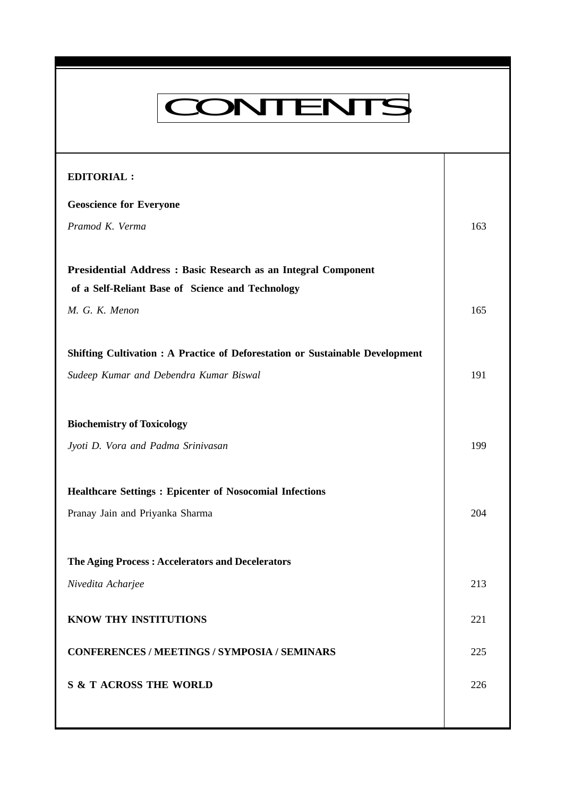# CONTENTS

**Everyman's Science Vol. XLVIII No. 3, Aug '13 — Sept '13**

| <b>EDITORIAL:</b>                                                             |     |
|-------------------------------------------------------------------------------|-----|
| <b>Geoscience for Everyone</b>                                                |     |
| Pramod K. Verma                                                               | 163 |
|                                                                               |     |
| Presidential Address : Basic Research as an Integral Component                |     |
| of a Self-Reliant Base of Science and Technology                              |     |
| M. G. K. Menon                                                                | 165 |
|                                                                               |     |
| Shifting Cultivation : A Practice of Deforestation or Sustainable Development |     |
| Sudeep Kumar and Debendra Kumar Biswal                                        | 191 |
|                                                                               |     |
| <b>Biochemistry of Toxicology</b>                                             |     |
| Jyoti D. Vora and Padma Srinivasan                                            | 199 |
|                                                                               |     |
| <b>Healthcare Settings: Epicenter of Nosocomial Infections</b>                |     |
| Pranay Jain and Priyanka Sharma                                               | 204 |
|                                                                               |     |
| The Aging Process: Accelerators and Decelerators                              |     |
| Nivedita Acharjee                                                             | 213 |
| <b>KNOW THY INSTITUTIONS</b>                                                  | 221 |
|                                                                               |     |
| <b>CONFERENCES / MEETINGS / SYMPOSIA / SEMINARS</b>                           | 225 |
| <b>S &amp; T ACROSS THE WORLD</b>                                             | 226 |
|                                                                               |     |
|                                                                               |     |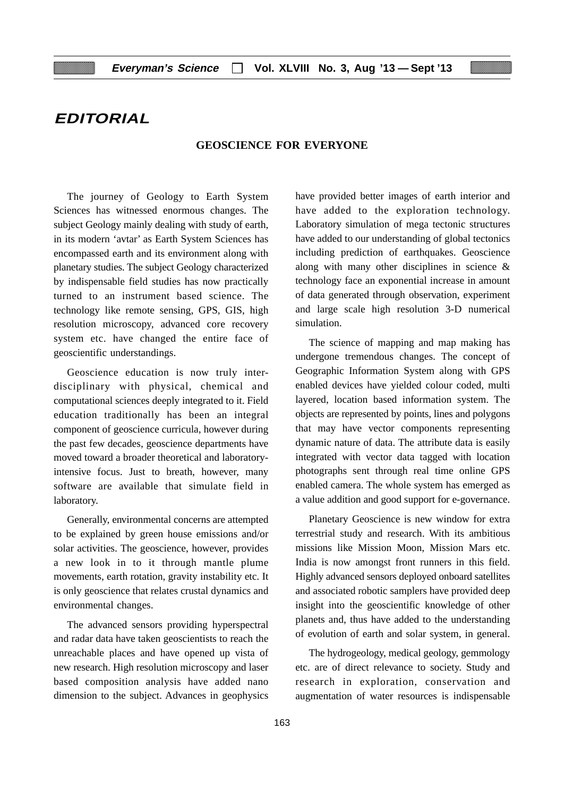# **EDITORIAL**

#### **GEOSCIENCE FOR EVERYONE**

The journey of Geology to Earth System Sciences has witnessed enormous changes. The subject Geology mainly dealing with study of earth, in its modern 'avtar' as Earth System Sciences has encompassed earth and its environment along with planetary studies. The subject Geology characterized by indispensable field studies has now practically turned to an instrument based science. The technology like remote sensing, GPS, GIS, high resolution microscopy, advanced core recovery system etc. have changed the entire face of geoscientific understandings.

Geoscience education is now truly interdisciplinary with physical, chemical and computational sciences deeply integrated to it. Field education traditionally has been an integral component of geoscience curricula, however during the past few decades, geoscience departments have moved toward a broader theoretical and laboratoryintensive focus. Just to breath, however, many software are available that simulate field in laboratory.

Generally, environmental concerns are attempted to be explained by green house emissions and/or solar activities. The geoscience, however, provides a new look in to it through mantle plume movements, earth rotation, gravity instability etc. It is only geoscience that relates crustal dynamics and environmental changes.

The advanced sensors providing hyperspectral and radar data have taken geoscientists to reach the unreachable places and have opened up vista of new research. High resolution microscopy and laser based composition analysis have added nano dimension to the subject. Advances in geophysics

have provided better images of earth interior and have added to the exploration technology. Laboratory simulation of mega tectonic structures have added to our understanding of global tectonics including prediction of earthquakes. Geoscience along with many other disciplines in science & technology face an exponential increase in amount of data generated through observation, experiment and large scale high resolution 3-D numerical simulation.

The science of mapping and map making has undergone tremendous changes. The concept of Geographic Information System along with GPS enabled devices have yielded colour coded, multi layered, location based information system. The objects are represented by points, lines and polygons that may have vector components representing dynamic nature of data. The attribute data is easily integrated with vector data tagged with location photographs sent through real time online GPS enabled camera. The whole system has emerged as a value addition and good support for e-governance.

Planetary Geoscience is new window for extra terrestrial study and research. With its ambitious missions like Mission Moon, Mission Mars etc. India is now amongst front runners in this field. Highly advanced sensors deployed onboard satellites and associated robotic samplers have provided deep insight into the geoscientific knowledge of other planets and, thus have added to the understanding of evolution of earth and solar system, in general.

The hydrogeology, medical geology, gemmology etc. are of direct relevance to society. Study and research in exploration, conservation and augmentation of water resources is indispensable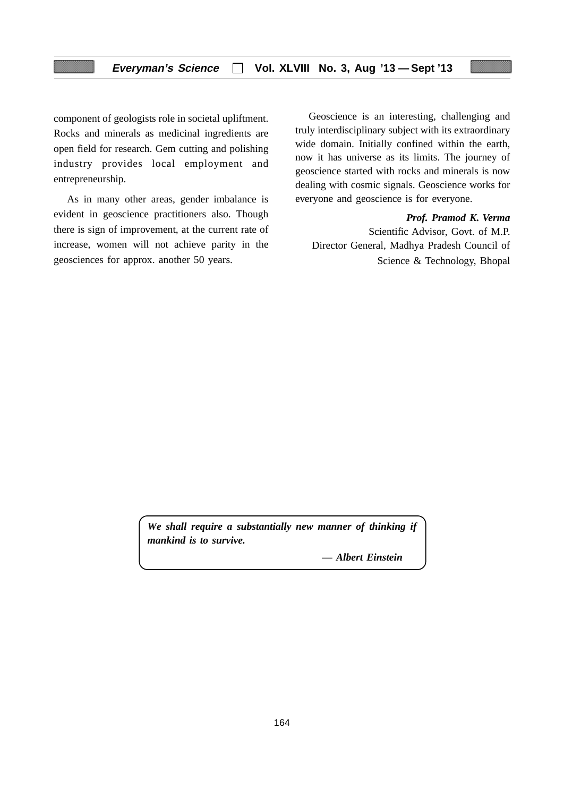component of geologists role in societal upliftment. Rocks and minerals as medicinal ingredients are open field for research. Gem cutting and polishing industry provides local employment and entrepreneurship.

As in many other areas, gender imbalance is evident in geoscience practitioners also. Though there is sign of improvement, at the current rate of increase, women will not achieve parity in the geosciences for approx. another 50 years.

Geoscience is an interesting, challenging and truly interdisciplinary subject with its extraordinary wide domain. Initially confined within the earth, now it has universe as its limits. The journey of geoscience started with rocks and minerals is now dealing with cosmic signals. Geoscience works for everyone and geoscience is for everyone.

*Prof. Pramod K. Verma*

Scientific Advisor, Govt. of M.P. Director General, Madhya Pradesh Council of Science & Technology, Bhopal

*We shall require a substantially new manner of thinking if mankind is to survive.*

*— Albert Einstein*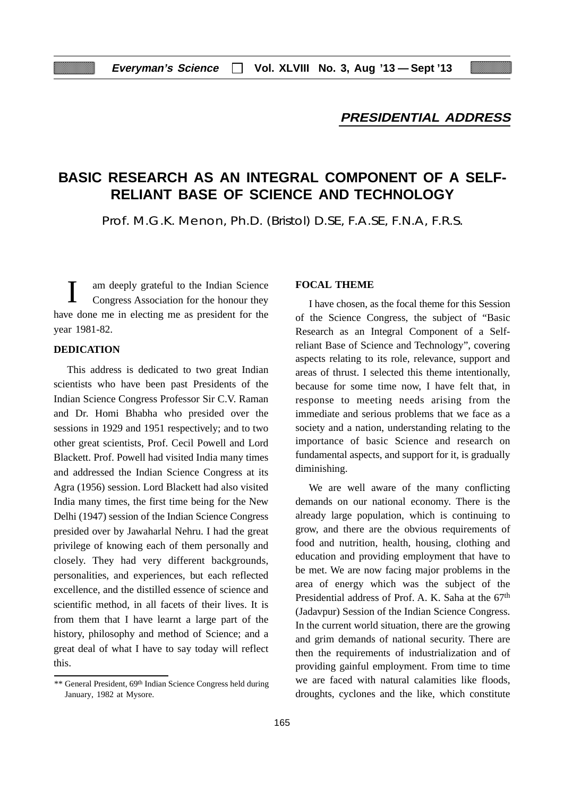# **PRESIDENTIAL ADDRESS**

# **BASIC RESEARCH AS AN INTEGRAL COMPONENT OF A SELF-RELIANT BASE OF SCIENCE AND TECHNOLOGY**

Prof. M.G.K. Menon, Ph.D. (Bristol) D.SE, F.A.SE, F.N.A, F.R.S.

am deeply grateful to the Indian Science Congress Association for the honour they have done me in electing me as president for the year 1981-82.

#### **DEDICATION**

This address is dedicated to two great Indian scientists who have been past Presidents of the Indian Science Congress Professor Sir C.V. Raman and Dr. Homi Bhabha who presided over the sessions in 1929 and 1951 respectively; and to two other great scientists, Prof. Cecil Powell and Lord Blackett. Prof. Powell had visited India many times and addressed the Indian Science Congress at its Agra (1956) session. Lord Blackett had also visited India many times, the first time being for the New Delhi (1947) session of the Indian Science Congress presided over by Jawaharlal Nehru. I had the great privilege of knowing each of them personally and closely. They had very different backgrounds, personalities, and experiences, but each reflected excellence, and the distilled essence of science and scientific method, in all facets of their lives. It is from them that I have learnt a large part of the history, philosophy and method of Science; and a great deal of what I have to say today will reflect this.

#### **FOCAL THEME**

I have chosen, as the focal theme for this Session of the Science Congress, the subject of "Basic Research as an Integral Component of a Selfreliant Base of Science and Technology", covering aspects relating to its role, relevance, support and areas of thrust. I selected this theme intentionally, because for some time now, I have felt that, in response to meeting needs arising from the immediate and serious problems that we face as a society and a nation, understanding relating to the importance of basic Science and research on fundamental aspects, and support for it, is gradually diminishing.

We are well aware of the many conflicting demands on our national economy. There is the already large population, which is continuing to grow, and there are the obvious requirements of food and nutrition, health, housing, clothing and education and providing employment that have to be met. We are now facing major problems in the area of energy which was the subject of the Presidential address of Prof. A. K. Saha at the 67<sup>th</sup> (Jadavpur) Session of the Indian Science Congress. In the current world situation, there are the growing and grim demands of national security. There are then the requirements of industrialization and of providing gainful employment. From time to time we are faced with natural calamities like floods, droughts, cyclones and the like, which constitute

<sup>\*\*</sup> General President, 69th Indian Science Congress held during January, 1982 at Mysore.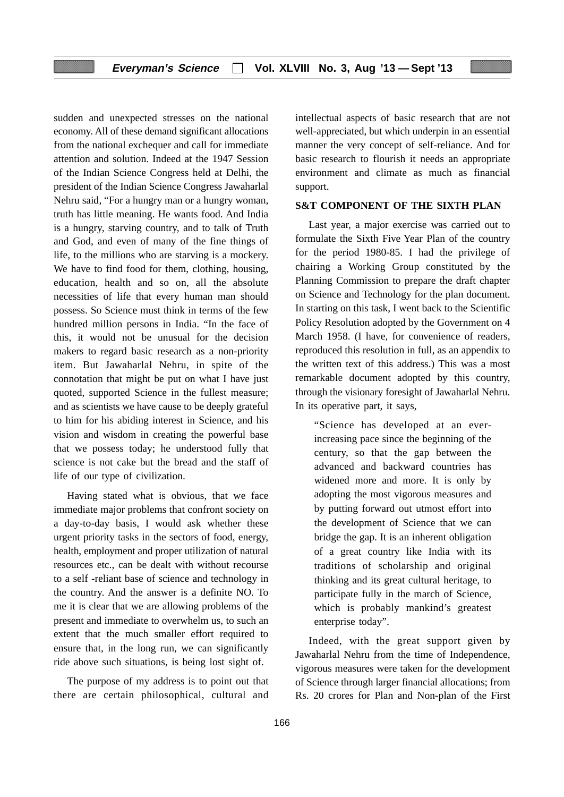sudden and unexpected stresses on the national economy. All of these demand significant allocations from the national exchequer and call for immediate attention and solution. Indeed at the 1947 Session of the Indian Science Congress held at Delhi, the president of the Indian Science Congress Jawaharlal Nehru said, "For a hungry man or a hungry woman, truth has little meaning. He wants food. And India is a hungry, starving country, and to talk of Truth and God, and even of many of the fine things of life, to the millions who are starving is a mockery. We have to find food for them, clothing, housing, education, health and so on, all the absolute necessities of life that every human man should possess. So Science must think in terms of the few hundred million persons in India. "In the face of this, it would not be unusual for the decision makers to regard basic research as a non-priority item. But Jawaharlal Nehru, in spite of the connotation that might be put on what I have just quoted, supported Science in the fullest measure; and as scientists we have cause to be deeply grateful to him for his abiding interest in Science, and his vision and wisdom in creating the powerful base that we possess today; he understood fully that science is not cake but the bread and the staff of life of our type of civilization.

Having stated what is obvious, that we face immediate major problems that confront society on a day-to-day basis, I would ask whether these urgent priority tasks in the sectors of food, energy, health, employment and proper utilization of natural resources etc., can be dealt with without recourse to a self -reliant base of science and technology in the country. And the answer is a definite NO. To me it is clear that we are allowing problems of the present and immediate to overwhelm us, to such an extent that the much smaller effort required to ensure that, in the long run, we can significantly ride above such situations, is being lost sight of.

The purpose of my address is to point out that there are certain philosophical, cultural and

intellectual aspects of basic research that are not well-appreciated, but which underpin in an essential manner the very concept of self-reliance. And for basic research to flourish it needs an appropriate environment and climate as much as financial support.

#### **S&T COMPONENT OF THE SIXTH PLAN**

Last year, a major exercise was carried out to formulate the Sixth Five Year Plan of the country for the period 1980-85. I had the privilege of chairing a Working Group constituted by the Planning Commission to prepare the draft chapter on Science and Technology for the plan document. In starting on this task, I went back to the Scientific Policy Resolution adopted by the Government on 4 March 1958. (I have, for convenience of readers, reproduced this resolution in full, as an appendix to the written text of this address.) This was a most remarkable document adopted by this country, through the visionary foresight of Jawaharlal Nehru. In its operative part, it says,

"Science has developed at an everincreasing pace since the beginning of the century, so that the gap between the advanced and backward countries has widened more and more. It is only by adopting the most vigorous measures and by putting forward out utmost effort into the development of Science that we can bridge the gap. It is an inherent obligation of a great country like India with its traditions of scholarship and original thinking and its great cultural heritage, to participate fully in the march of Science, which is probably mankind's greatest enterprise today".

Indeed, with the great support given by Jawaharlal Nehru from the time of Independence, vigorous measures were taken for the development of Science through larger financial allocations; from Rs. 20 crores for Plan and Non-plan of the First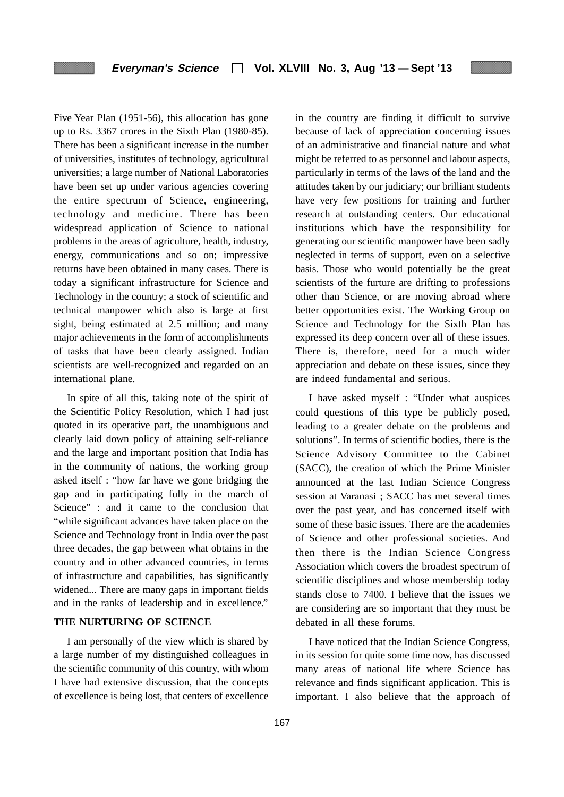Five Year Plan (1951-56), this allocation has gone up to Rs. 3367 crores in the Sixth Plan (1980-85). There has been a significant increase in the number of universities, institutes of technology, agricultural universities; a large number of National Laboratories have been set up under various agencies covering the entire spectrum of Science, engineering, technology and medicine. There has been widespread application of Science to national problems in the areas of agriculture, health, industry, energy, communications and so on; impressive returns have been obtained in many cases. There is today a significant infrastructure for Science and Technology in the country; a stock of scientific and technical manpower which also is large at first sight, being estimated at 2.5 million; and many major achievements in the form of accomplishments of tasks that have been clearly assigned. Indian scientists are well-recognized and regarded on an international plane.

In spite of all this, taking note of the spirit of the Scientific Policy Resolution, which I had just quoted in its operative part, the unambiguous and clearly laid down policy of attaining self-reliance and the large and important position that India has in the community of nations, the working group asked itself : "how far have we gone bridging the gap and in participating fully in the march of Science" : and it came to the conclusion that "while significant advances have taken place on the Science and Technology front in India over the past three decades, the gap between what obtains in the country and in other advanced countries, in terms of infrastructure and capabilities, has significantly widened... There are many gaps in important fields and in the ranks of leadership and in excellence."

#### **THE NURTURING OF SCIENCE**

I am personally of the view which is shared by a large number of my distinguished colleagues in the scientific community of this country, with whom I have had extensive discussion, that the concepts of excellence is being lost, that centers of excellence in the country are finding it difficult to survive because of lack of appreciation concerning issues of an administrative and financial nature and what might be referred to as personnel and labour aspects, particularly in terms of the laws of the land and the attitudes taken by our judiciary; our brilliant students have very few positions for training and further research at outstanding centers. Our educational institutions which have the responsibility for generating our scientific manpower have been sadly neglected in terms of support, even on a selective basis. Those who would potentially be the great scientists of the furture are drifting to professions other than Science, or are moving abroad where better opportunities exist. The Working Group on Science and Technology for the Sixth Plan has expressed its deep concern over all of these issues. There is, therefore, need for a much wider appreciation and debate on these issues, since they are indeed fundamental and serious.

I have asked myself : "Under what auspices could questions of this type be publicly posed, leading to a greater debate on the problems and solutions". In terms of scientific bodies, there is the Science Advisory Committee to the Cabinet (SACC), the creation of which the Prime Minister announced at the last Indian Science Congress session at Varanasi ; SACC has met several times over the past year, and has concerned itself with some of these basic issues. There are the academies of Science and other professional societies. And then there is the Indian Science Congress Association which covers the broadest spectrum of scientific disciplines and whose membership today stands close to 7400. I believe that the issues we are considering are so important that they must be debated in all these forums.

I have noticed that the Indian Science Congress, in its session for quite some time now, has discussed many areas of national life where Science has relevance and finds significant application. This is important. I also believe that the approach of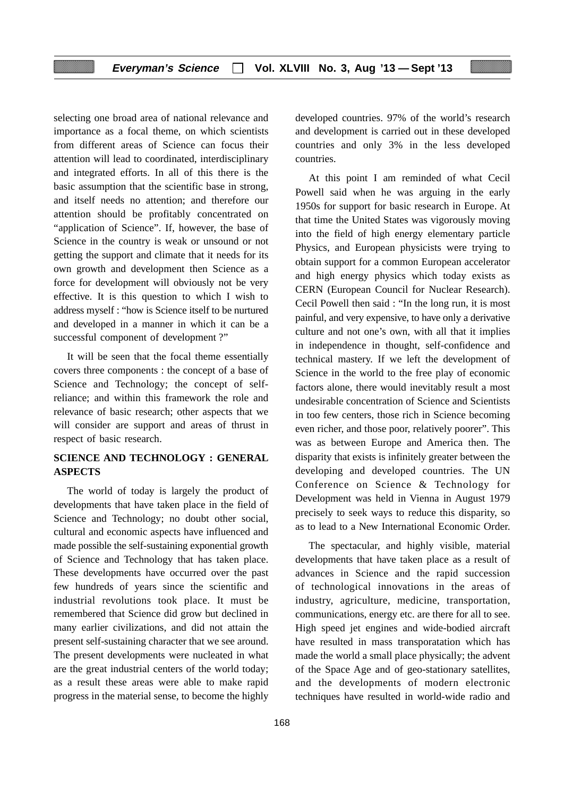selecting one broad area of national relevance and importance as a focal theme, on which scientists from different areas of Science can focus their attention will lead to coordinated, interdisciplinary and integrated efforts. In all of this there is the basic assumption that the scientific base in strong, and itself needs no attention; and therefore our attention should be profitably concentrated on "application of Science". If, however, the base of Science in the country is weak or unsound or not getting the support and climate that it needs for its own growth and development then Science as a force for development will obviously not be very effective. It is this question to which I wish to address myself : "how is Science itself to be nurtured and developed in a manner in which it can be a successful component of development ?"

It will be seen that the focal theme essentially covers three components : the concept of a base of Science and Technology; the concept of selfreliance; and within this framework the role and relevance of basic research; other aspects that we will consider are support and areas of thrust in respect of basic research.

# **SCIENCE AND TECHNOLOGY : GENERAL ASPECTS**

The world of today is largely the product of developments that have taken place in the field of Science and Technology; no doubt other social, cultural and economic aspects have influenced and made possible the self-sustaining exponential growth of Science and Technology that has taken place. These developments have occurred over the past few hundreds of years since the scientific and industrial revolutions took place. It must be remembered that Science did grow but declined in many earlier civilizations, and did not attain the present self-sustaining character that we see around. The present developments were nucleated in what are the great industrial centers of the world today; as a result these areas were able to make rapid progress in the material sense, to become the highly

developed countries. 97% of the world's research and development is carried out in these developed countries and only 3% in the less developed countries.

At this point I am reminded of what Cecil Powell said when he was arguing in the early 1950s for support for basic research in Europe. At that time the United States was vigorously moving into the field of high energy elementary particle Physics, and European physicists were trying to obtain support for a common European accelerator and high energy physics which today exists as CERN (European Council for Nuclear Research). Cecil Powell then said : "In the long run, it is most painful, and very expensive, to have only a derivative culture and not one's own, with all that it implies in independence in thought, self-confidence and technical mastery. If we left the development of Science in the world to the free play of economic factors alone, there would inevitably result a most undesirable concentration of Science and Scientists in too few centers, those rich in Science becoming even richer, and those poor, relatively poorer". This was as between Europe and America then. The disparity that exists is infinitely greater between the developing and developed countries. The UN Conference on Science & Technology for Development was held in Vienna in August 1979 precisely to seek ways to reduce this disparity, so as to lead to a New International Economic Order.

The spectacular, and highly visible, material developments that have taken place as a result of advances in Science and the rapid succession of technological innovations in the areas of industry, agriculture, medicine, transportation, communications, energy etc. are there for all to see. High speed jet engines and wide-bodied aircraft have resulted in mass transporatation which has made the world a small place physically; the advent of the Space Age and of geo-stationary satellites, and the developments of modern electronic techniques have resulted in world-wide radio and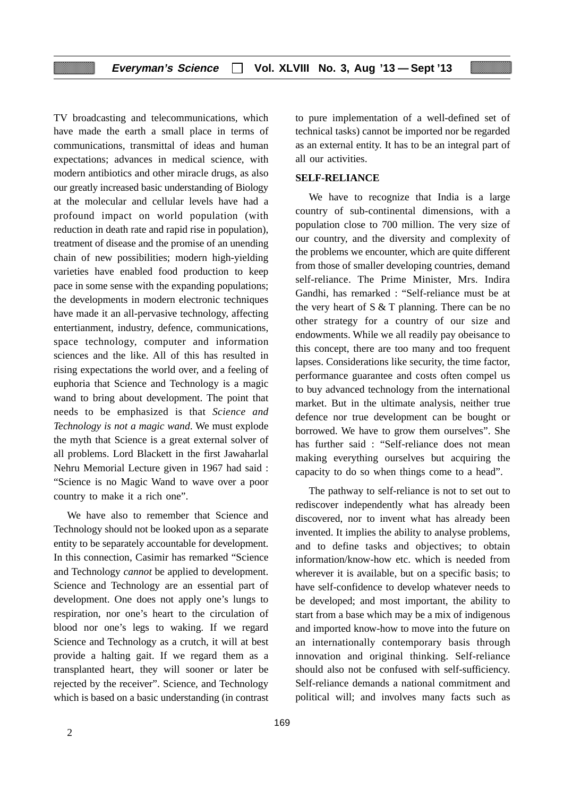TV broadcasting and telecommunications, which have made the earth a small place in terms of communications, transmittal of ideas and human expectations; advances in medical science, with modern antibiotics and other miracle drugs, as also our greatly increased basic understanding of Biology at the molecular and cellular levels have had a profound impact on world population (with reduction in death rate and rapid rise in population), treatment of disease and the promise of an unending chain of new possibilities; modern high-yielding varieties have enabled food production to keep pace in some sense with the expanding populations; the developments in modern electronic techniques have made it an all-pervasive technology, affecting entertianment, industry, defence, communications, space technology, computer and information sciences and the like. All of this has resulted in rising expectations the world over, and a feeling of euphoria that Science and Technology is a magic wand to bring about development. The point that needs to be emphasized is that *Science and Technology is not a magic wand*. We must explode the myth that Science is a great external solver of all problems. Lord Blackett in the first Jawaharlal Nehru Memorial Lecture given in 1967 had said : "Science is no Magic Wand to wave over a poor country to make it a rich one".

We have also to remember that Science and Technology should not be looked upon as a separate entity to be separately accountable for development. In this connection, Casimir has remarked "Science and Technology *cannot* be applied to development. Science and Technology are an essential part of development. One does not apply one's lungs to respiration, nor one's heart to the circulation of blood nor one's legs to waking. If we regard Science and Technology as a crutch, it will at best provide a halting gait. If we regard them as a transplanted heart, they will sooner or later be rejected by the receiver". Science, and Technology which is based on a basic understanding (in contrast to pure implementation of a well-defined set of technical tasks) cannot be imported nor be regarded as an external entity. It has to be an integral part of all our activities.

#### **SELF-RELIANCE**

We have to recognize that India is a large country of sub-continental dimensions, with a population close to 700 million. The very size of our country, and the diversity and complexity of the problems we encounter, which are quite different from those of smaller developing countries, demand self-reliance. The Prime Minister, Mrs. Indira Gandhi, has remarked : "Self-reliance must be at the very heart of S & T planning. There can be no other strategy for a country of our size and endowments. While we all readily pay obeisance to this concept, there are too many and too frequent lapses. Considerations like security, the time factor, performance guarantee and costs often compel us to buy advanced technology from the international market. But in the ultimate analysis, neither true defence nor true development can be bought or borrowed. We have to grow them ourselves". She has further said : "Self-reliance does not mean making everything ourselves but acquiring the capacity to do so when things come to a head".

The pathway to self-reliance is not to set out to rediscover independently what has already been discovered, nor to invent what has already been invented. It implies the ability to analyse problems, and to define tasks and objectives; to obtain information/know-how etc. which is needed from wherever it is available, but on a specific basis; to have self-confidence to develop whatever needs to be developed; and most important, the ability to start from a base which may be a mix of indigenous and imported know-how to move into the future on an internationally contemporary basis through innovation and original thinking. Self-reliance should also not be confused with self-sufficiency. Self-reliance demands a national commitment and political will; and involves many facts such as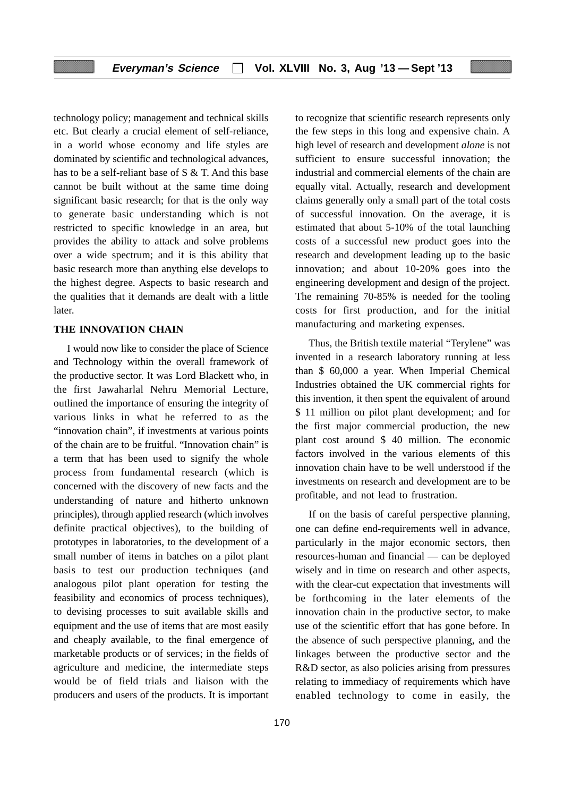technology policy; management and technical skills etc. But clearly a crucial element of self-reliance, in a world whose economy and life styles are dominated by scientific and technological advances, has to be a self-reliant base of S & T. And this base cannot be built without at the same time doing significant basic research; for that is the only way to generate basic understanding which is not restricted to specific knowledge in an area, but provides the ability to attack and solve problems over a wide spectrum; and it is this ability that basic research more than anything else develops to the highest degree. Aspects to basic research and the qualities that it demands are dealt with a little later.

#### **THE INNOVATION CHAIN**

I would now like to consider the place of Science and Technology within the overall framework of the productive sector. It was Lord Blackett who, in the first Jawaharlal Nehru Memorial Lecture, outlined the importance of ensuring the integrity of various links in what he referred to as the "innovation chain", if investments at various points of the chain are to be fruitful. "Innovation chain" is a term that has been used to signify the whole process from fundamental research (which is concerned with the discovery of new facts and the understanding of nature and hitherto unknown principles), through applied research (which involves definite practical objectives), to the building of prototypes in laboratories, to the development of a small number of items in batches on a pilot plant basis to test our production techniques (and analogous pilot plant operation for testing the feasibility and economics of process techniques), to devising processes to suit available skills and equipment and the use of items that are most easily and cheaply available, to the final emergence of marketable products or of services; in the fields of agriculture and medicine, the intermediate steps would be of field trials and liaison with the producers and users of the products. It is important to recognize that scientific research represents only the few steps in this long and expensive chain. A high level of research and development *alone* is not sufficient to ensure successful innovation; the industrial and commercial elements of the chain are equally vital. Actually, research and development claims generally only a small part of the total costs of successful innovation. On the average, it is estimated that about 5-10% of the total launching costs of a successful new product goes into the research and development leading up to the basic innovation; and about 10-20% goes into the engineering development and design of the project. The remaining 70-85% is needed for the tooling costs for first production, and for the initial manufacturing and marketing expenses.

Thus, the British textile material "Terylene" was invented in a research laboratory running at less than \$ 60,000 a year. When Imperial Chemical Industries obtained the UK commercial rights for this invention, it then spent the equivalent of around \$ 11 million on pilot plant development; and for the first major commercial production, the new plant cost around \$ 40 million. The economic factors involved in the various elements of this innovation chain have to be well understood if the investments on research and development are to be profitable, and not lead to frustration.

If on the basis of careful perspective planning, one can define end-requirements well in advance, particularly in the major economic sectors, then resources-human and financial — can be deployed wisely and in time on research and other aspects, with the clear-cut expectation that investments will be forthcoming in the later elements of the innovation chain in the productive sector, to make use of the scientific effort that has gone before. In the absence of such perspective planning, and the linkages between the productive sector and the R&D sector, as also policies arising from pressures relating to immediacy of requirements which have enabled technology to come in easily, the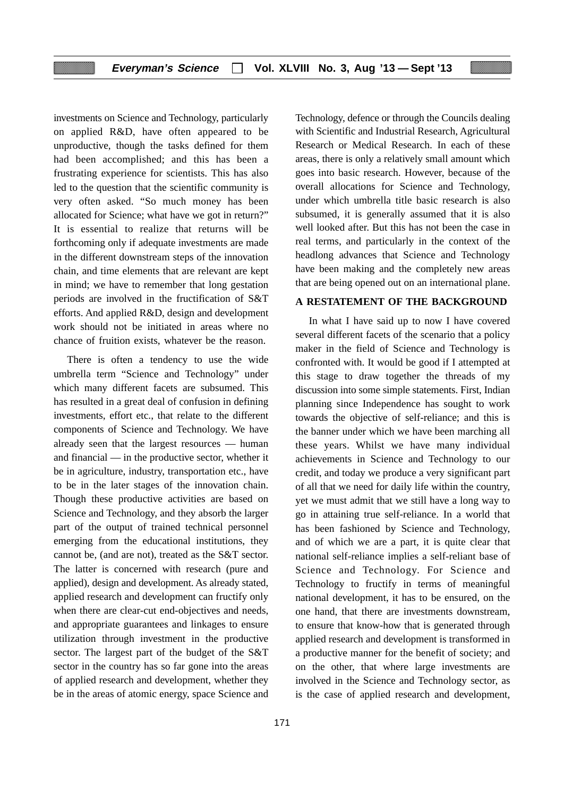investments on Science and Technology, particularly on applied R&D, have often appeared to be unproductive, though the tasks defined for them had been accomplished; and this has been a frustrating experience for scientists. This has also led to the question that the scientific community is very often asked. "So much money has been allocated for Science; what have we got in return?" It is essential to realize that returns will be forthcoming only if adequate investments are made in the different downstream steps of the innovation chain, and time elements that are relevant are kept in mind; we have to remember that long gestation periods are involved in the fructification of S&T efforts. And applied R&D, design and development work should not be initiated in areas where no chance of fruition exists, whatever be the reason.

There is often a tendency to use the wide umbrella term "Science and Technology" under which many different facets are subsumed. This has resulted in a great deal of confusion in defining investments, effort etc., that relate to the different components of Science and Technology. We have already seen that the largest resources — human and financial — in the productive sector, whether it be in agriculture, industry, transportation etc., have to be in the later stages of the innovation chain. Though these productive activities are based on Science and Technology, and they absorb the larger part of the output of trained technical personnel emerging from the educational institutions, they cannot be, (and are not), treated as the S&T sector. The latter is concerned with research (pure and applied), design and development. As already stated, applied research and development can fructify only when there are clear-cut end-objectives and needs, and appropriate guarantees and linkages to ensure utilization through investment in the productive sector. The largest part of the budget of the S&T sector in the country has so far gone into the areas of applied research and development, whether they be in the areas of atomic energy, space Science and Technology, defence or through the Councils dealing with Scientific and Industrial Research, Agricultural Research or Medical Research. In each of these areas, there is only a relatively small amount which goes into basic research. However, because of the overall allocations for Science and Technology, under which umbrella title basic research is also subsumed, it is generally assumed that it is also well looked after. But this has not been the case in real terms, and particularly in the context of the headlong advances that Science and Technology have been making and the completely new areas that are being opened out on an international plane.

#### **A RESTATEMENT OF THE BACKGROUND**

In what I have said up to now I have covered several different facets of the scenario that a policy maker in the field of Science and Technology is confronted with. It would be good if I attempted at this stage to draw together the threads of my discussion into some simple statements. First, Indian planning since Independence has sought to work towards the objective of self-reliance; and this is the banner under which we have been marching all these years. Whilst we have many individual achievements in Science and Technology to our credit, and today we produce a very significant part of all that we need for daily life within the country, yet we must admit that we still have a long way to go in attaining true self-reliance. In a world that has been fashioned by Science and Technology, and of which we are a part, it is quite clear that national self-reliance implies a self-reliant base of Science and Technology. For Science and Technology to fructify in terms of meaningful national development, it has to be ensured, on the one hand, that there are investments downstream, to ensure that know-how that is generated through applied research and development is transformed in a productive manner for the benefit of society; and on the other, that where large investments are involved in the Science and Technology sector, as is the case of applied research and development,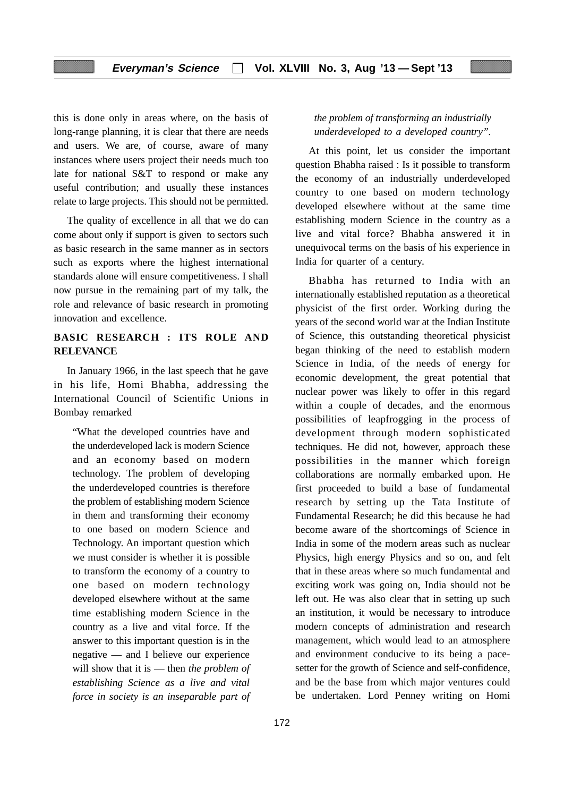this is done only in areas where, on the basis of long-range planning, it is clear that there are needs and users. We are, of course, aware of many instances where users project their needs much too late for national S&T to respond or make any useful contribution; and usually these instances relate to large projects. This should not be permitted.

The quality of excellence in all that we do can come about only if support is given to sectors such as basic research in the same manner as in sectors such as exports where the highest international standards alone will ensure competitiveness. I shall now pursue in the remaining part of my talk, the role and relevance of basic research in promoting innovation and excellence.

## **BASIC RESEARCH : ITS ROLE AND RELEVANCE**

In January 1966, in the last speech that he gave in his life, Homi Bhabha, addressing the International Council of Scientific Unions in Bombay remarked

"What the developed countries have and the underdeveloped lack is modern Science and an economy based on modern technology. The problem of developing the underdeveloped countries is therefore the problem of establishing modern Science in them and transforming their economy to one based on modern Science and Technology. An important question which we must consider is whether it is possible to transform the economy of a country to one based on modern technology developed elsewhere without at the same time establishing modern Science in the country as a live and vital force. If the answer to this important question is in the negative — and I believe our experience will show that it is — then *the problem of establishing Science as a live and vital force in society is an inseparable part of*

#### *the problem of transforming an industrially underdeveloped to a developed country".*

At this point, let us consider the important question Bhabha raised : Is it possible to transform the economy of an industrially underdeveloped country to one based on modern technology developed elsewhere without at the same time establishing modern Science in the country as a live and vital force? Bhabha answered it in unequivocal terms on the basis of his experience in India for quarter of a century.

Bhabha has returned to India with an internationally established reputation as a theoretical physicist of the first order. Working during the years of the second world war at the Indian Institute of Science, this outstanding theoretical physicist began thinking of the need to establish modern Science in India, of the needs of energy for economic development, the great potential that nuclear power was likely to offer in this regard within a couple of decades, and the enormous possibilities of leapfrogging in the process of development through modern sophisticated techniques. He did not, however, approach these possibilities in the manner which foreign collaborations are normally embarked upon. He first proceeded to build a base of fundamental research by setting up the Tata Institute of Fundamental Research; he did this because he had become aware of the shortcomings of Science in India in some of the modern areas such as nuclear Physics, high energy Physics and so on, and felt that in these areas where so much fundamental and exciting work was going on, India should not be left out. He was also clear that in setting up such an institution, it would be necessary to introduce modern concepts of administration and research management, which would lead to an atmosphere and environment conducive to its being a pacesetter for the growth of Science and self-confidence, and be the base from which major ventures could be undertaken. Lord Penney writing on Homi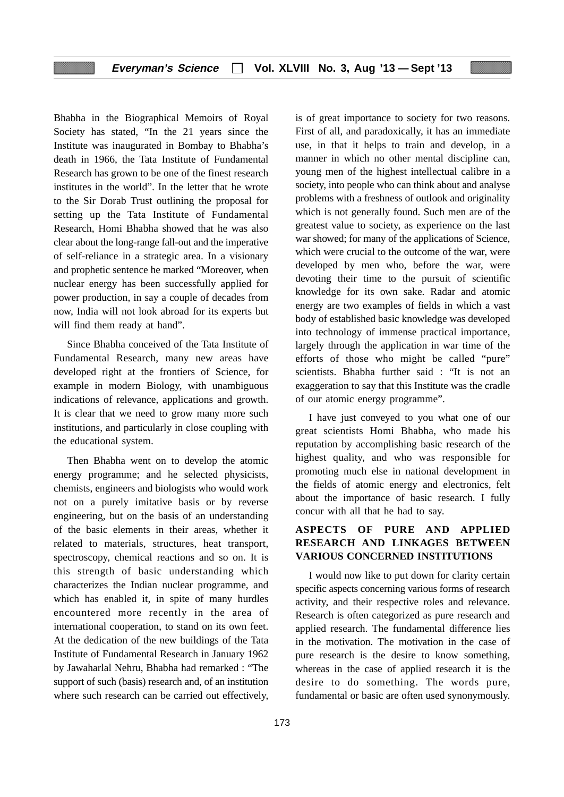Bhabha in the Biographical Memoirs of Royal Society has stated, "In the 21 years since the Institute was inaugurated in Bombay to Bhabha's death in 1966, the Tata Institute of Fundamental Research has grown to be one of the finest research institutes in the world". In the letter that he wrote to the Sir Dorab Trust outlining the proposal for setting up the Tata Institute of Fundamental Research, Homi Bhabha showed that he was also clear about the long-range fall-out and the imperative of self-reliance in a strategic area. In a visionary and prophetic sentence he marked "Moreover, when nuclear energy has been successfully applied for power production, in say a couple of decades from now, India will not look abroad for its experts but will find them ready at hand".

Since Bhabha conceived of the Tata Institute of Fundamental Research, many new areas have developed right at the frontiers of Science, for example in modern Biology, with unambiguous indications of relevance, applications and growth. It is clear that we need to grow many more such institutions, and particularly in close coupling with the educational system.

Then Bhabha went on to develop the atomic energy programme; and he selected physicists, chemists, engineers and biologists who would work not on a purely imitative basis or by reverse engineering, but on the basis of an understanding of the basic elements in their areas, whether it related to materials, structures, heat transport, spectroscopy, chemical reactions and so on. It is this strength of basic understanding which characterizes the Indian nuclear programme, and which has enabled it, in spite of many hurdles encountered more recently in the area of international cooperation, to stand on its own feet. At the dedication of the new buildings of the Tata Institute of Fundamental Research in January 1962 by Jawaharlal Nehru, Bhabha had remarked : "The support of such (basis) research and, of an institution where such research can be carried out effectively,

is of great importance to society for two reasons. First of all, and paradoxically, it has an immediate use, in that it helps to train and develop, in a manner in which no other mental discipline can, young men of the highest intellectual calibre in a society, into people who can think about and analyse problems with a freshness of outlook and originality which is not generally found. Such men are of the greatest value to society, as experience on the last war showed; for many of the applications of Science, which were crucial to the outcome of the war, were developed by men who, before the war, were devoting their time to the pursuit of scientific knowledge for its own sake. Radar and atomic energy are two examples of fields in which a vast body of established basic knowledge was developed into technology of immense practical importance, largely through the application in war time of the efforts of those who might be called "pure" scientists. Bhabha further said : "It is not an exaggeration to say that this Institute was the cradle of our atomic energy programme".

I have just conveyed to you what one of our great scientists Homi Bhabha, who made his reputation by accomplishing basic research of the highest quality, and who was responsible for promoting much else in national development in the fields of atomic energy and electronics, felt about the importance of basic research. I fully concur with all that he had to say.

# **ASPECTS OF PURE AND APPLIED RESEARCH AND LINKAGES BETWEEN VARIOUS CONCERNED INSTITUTIONS**

I would now like to put down for clarity certain specific aspects concerning various forms of research activity, and their respective roles and relevance. Research is often categorized as pure research and applied research. The fundamental difference lies in the motivation. The motivation in the case of pure research is the desire to know something, whereas in the case of applied research it is the desire to do something. The words pure, fundamental or basic are often used synonymously.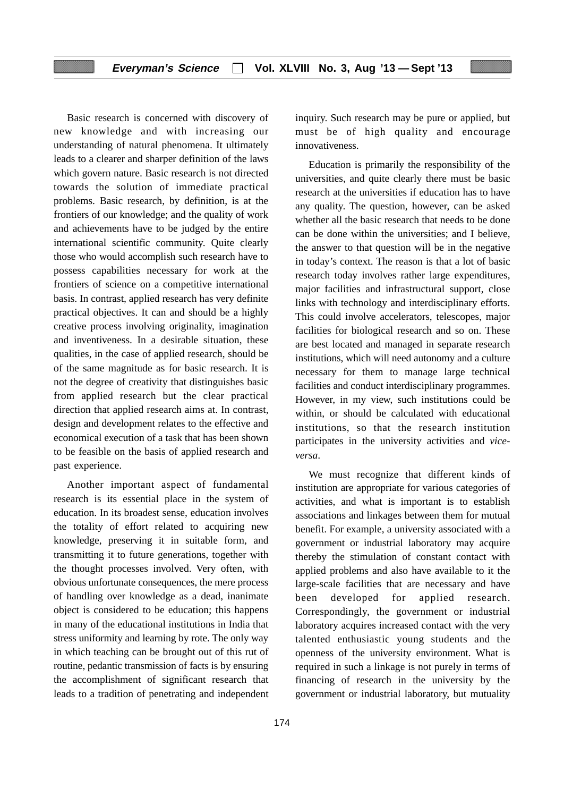Basic research is concerned with discovery of new knowledge and with increasing our understanding of natural phenomena. It ultimately leads to a clearer and sharper definition of the laws which govern nature. Basic research is not directed towards the solution of immediate practical problems. Basic research, by definition, is at the frontiers of our knowledge; and the quality of work and achievements have to be judged by the entire international scientific community. Quite clearly those who would accomplish such research have to possess capabilities necessary for work at the frontiers of science on a competitive international basis. In contrast, applied research has very definite practical objectives. It can and should be a highly creative process involving originality, imagination and inventiveness. In a desirable situation, these qualities, in the case of applied research, should be of the same magnitude as for basic research. It is not the degree of creativity that distinguishes basic from applied research but the clear practical direction that applied research aims at. In contrast, design and development relates to the effective and economical execution of a task that has been shown to be feasible on the basis of applied research and past experience.

Another important aspect of fundamental research is its essential place in the system of education. In its broadest sense, education involves the totality of effort related to acquiring new knowledge, preserving it in suitable form, and transmitting it to future generations, together with the thought processes involved. Very often, with obvious unfortunate consequences, the mere process of handling over knowledge as a dead, inanimate object is considered to be education; this happens in many of the educational institutions in India that stress uniformity and learning by rote. The only way in which teaching can be brought out of this rut of routine, pedantic transmission of facts is by ensuring the accomplishment of significant research that leads to a tradition of penetrating and independent

174

inquiry. Such research may be pure or applied, but must be of high quality and encourage innovativeness.

Education is primarily the responsibility of the universities, and quite clearly there must be basic research at the universities if education has to have any quality. The question, however, can be asked whether all the basic research that needs to be done can be done within the universities; and I believe, the answer to that question will be in the negative in today's context. The reason is that a lot of basic research today involves rather large expenditures, major facilities and infrastructural support, close links with technology and interdisciplinary efforts. This could involve accelerators, telescopes, major facilities for biological research and so on. These are best located and managed in separate research institutions, which will need autonomy and a culture necessary for them to manage large technical facilities and conduct interdisciplinary programmes. However, in my view, such institutions could be within, or should be calculated with educational institutions, so that the research institution participates in the university activities and *viceversa*.

We must recognize that different kinds of institution are appropriate for various categories of activities, and what is important is to establish associations and linkages between them for mutual benefit. For example, a university associated with a government or industrial laboratory may acquire thereby the stimulation of constant contact with applied problems and also have available to it the large-scale facilities that are necessary and have been developed for applied research. Correspondingly, the government or industrial laboratory acquires increased contact with the very talented enthusiastic young students and the openness of the university environment. What is required in such a linkage is not purely in terms of financing of research in the university by the government or industrial laboratory, but mutuality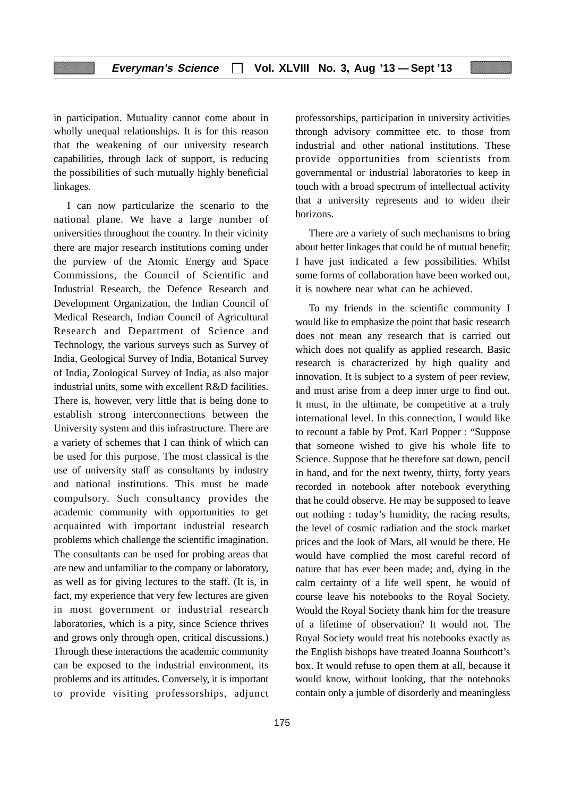in participation. Mutuality cannot come about in wholly unequal relationships. It is for this reason that the weakening of our university research capabilities, through lack of support, is reducing the possibilities of such mutually highly beneficial linkages.

I can now particularize the scenario to the national plane. We have a large number of universities throughout the country. In their vicinity there are major research institutions coming under the purview of the Atomic Energy and Space Commissions, the Council of Scientific and Industrial Research, the Defence Research and Development Organization, the Indian Council of Medical Research, Indian Council of Agricultural Research and Department of Science and Technology, the various surveys such as Survey of India, Geological Survey of India, Botanical Survey of India, Zoological Survey of India, as also major industrial units, some with excellent R&D facilities. There is, however, very little that is being done to establish strong interconnections between the University system and this infrastructure. There are a variety of schemes that I can think of which can be used for this purpose. The most classical is the use of university staff as consultants by industry and national institutions. This must be made compulsory. Such consultancy provides the academic community with opportunities to get acquainted with important industrial research problems which challenge the scientific imagination. The consultants can be used for probing areas that are new and unfamiliar to the company or laboratory, as well as for giving lectures to the staff. (It is, in fact, my experience that very few lectures are given in most government or industrial research laboratories, which is a pity, since Science thrives and grows only through open, critical discussions.) Through these interactions the academic community can be exposed to the industrial environment, its problems and its attitudes. Conversely, it is important to provide visiting professorships, adjunct professorships, participation in university activities through advisory committee etc. to those from industrial and other national institutions. These provide opportunities from scientists from governmental or industrial laboratories to keep in touch with a broad spectrum of intellectual activity that a university represents and to widen their horizons.

There are a variety of such mechanisms to bring about better linkages that could be of mutual benefit; I have just indicated a few possibilities. Whilst some forms of collaboration have been worked out, it is nowhere near what can be achieved.

To my friends in the scientific community I would like to emphasize the point that basic research does not mean any research that is carried out which does not qualify as applied research. Basic research is characterized by high quality and innovation. It is subject to a system of peer review, and must arise from a deep inner urge to find out. It must, in the ultimate, be competitive at a truly international level. In this connection, I would like to recount a fable by Prof. Karl Popper : "Suppose that someone wished to give his whole life to Science. Suppose that he therefore sat down, pencil in hand, and for the next twenty, thirty, forty years recorded in notebook after notebook everything that he could observe. He may be supposed to leave out nothing : today's humidity, the racing results, the level of cosmic radiation and the stock market prices and the look of Mars, all would be there. He would have complied the most careful record of nature that has ever been made; and, dying in the calm certainty of a life well spent, he would of course leave his notebooks to the Royal Society. Would the Royal Society thank him for the treasure of a lifetime of observation? It would not. The Royal Society would treat his notebooks exactly as the English bishops have treated Joanna Southcott's box. It would refuse to open them at all, because it would know, without looking, that the notebooks contain only a jumble of disorderly and meaningless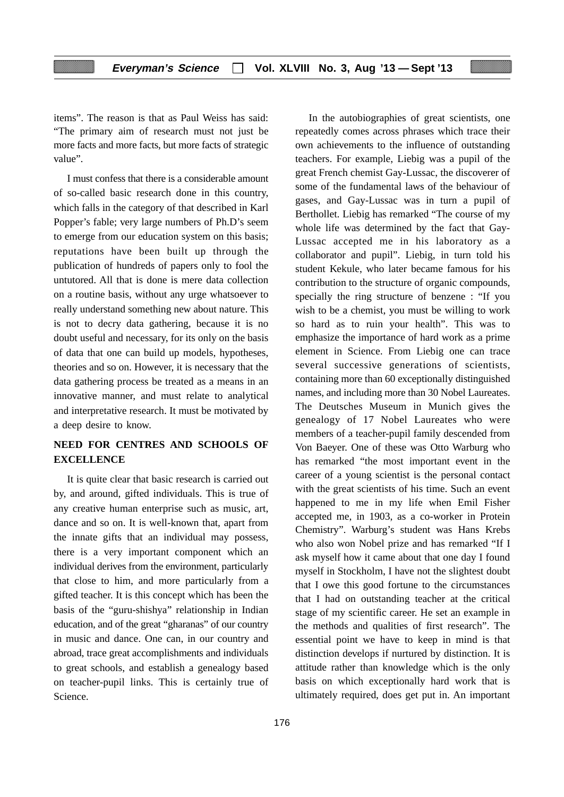items". The reason is that as Paul Weiss has said: "The primary aim of research must not just be more facts and more facts, but more facts of strategic value".

I must confess that there is a considerable amount of so-called basic research done in this country, which falls in the category of that described in Karl Popper's fable; very large numbers of Ph.D's seem to emerge from our education system on this basis; reputations have been built up through the publication of hundreds of papers only to fool the untutored. All that is done is mere data collection on a routine basis, without any urge whatsoever to really understand something new about nature. This is not to decry data gathering, because it is no doubt useful and necessary, for its only on the basis of data that one can build up models, hypotheses, theories and so on. However, it is necessary that the data gathering process be treated as a means in an innovative manner, and must relate to analytical and interpretative research. It must be motivated by a deep desire to know.

# **NEED FOR CENTRES AND SCHOOLS OF EXCELLENCE**

It is quite clear that basic research is carried out by, and around, gifted individuals. This is true of any creative human enterprise such as music, art, dance and so on. It is well-known that, apart from the innate gifts that an individual may possess, there is a very important component which an individual derives from the environment, particularly that close to him, and more particularly from a gifted teacher. It is this concept which has been the basis of the "guru-shishya" relationship in Indian education, and of the great "gharanas" of our country in music and dance. One can, in our country and abroad, trace great accomplishments and individuals to great schools, and establish a genealogy based on teacher-pupil links. This is certainly true of Science.

repeatedly comes across phrases which trace their own achievements to the influence of outstanding teachers. For example, Liebig was a pupil of the great French chemist Gay-Lussac, the discoverer of some of the fundamental laws of the behaviour of gases, and Gay-Lussac was in turn a pupil of Berthollet. Liebig has remarked "The course of my whole life was determined by the fact that Gay-Lussac accepted me in his laboratory as a collaborator and pupil". Liebig, in turn told his student Kekule, who later became famous for his contribution to the structure of organic compounds, specially the ring structure of benzene : "If you wish to be a chemist, you must be willing to work so hard as to ruin your health". This was to emphasize the importance of hard work as a prime element in Science. From Liebig one can trace several successive generations of scientists, containing more than 60 exceptionally distinguished names, and including more than 30 Nobel Laureates. The Deutsches Museum in Munich gives the genealogy of 17 Nobel Laureates who were members of a teacher-pupil family descended from Von Baeyer. One of these was Otto Warburg who has remarked "the most important event in the career of a young scientist is the personal contact with the great scientists of his time. Such an event happened to me in my life when Emil Fisher accepted me, in 1903, as a co-worker in Protein Chemistry". Warburg's student was Hans Krebs who also won Nobel prize and has remarked "If I ask myself how it came about that one day I found myself in Stockholm, I have not the slightest doubt that I owe this good fortune to the circumstances that I had on outstanding teacher at the critical stage of my scientific career. He set an example in the methods and qualities of first research". The essential point we have to keep in mind is that distinction develops if nurtured by distinction. It is attitude rather than knowledge which is the only basis on which exceptionally hard work that is ultimately required, does get put in. An important

In the autobiographies of great scientists, one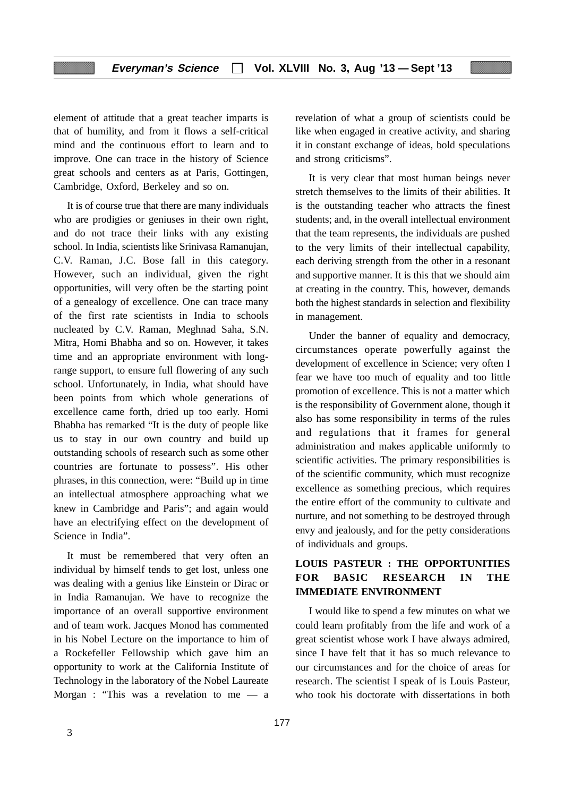element of attitude that a great teacher imparts is that of humility, and from it flows a self-critical mind and the continuous effort to learn and to improve. One can trace in the history of Science great schools and centers as at Paris, Gottingen, Cambridge, Oxford, Berkeley and so on.

It is of course true that there are many individuals who are prodigies or geniuses in their own right, and do not trace their links with any existing school. In India, scientists like Srinivasa Ramanujan, C.V. Raman, J.C. Bose fall in this category. However, such an individual, given the right opportunities, will very often be the starting point of a genealogy of excellence. One can trace many of the first rate scientists in India to schools nucleated by C.V. Raman, Meghnad Saha, S.N. Mitra, Homi Bhabha and so on. However, it takes time and an appropriate environment with longrange support, to ensure full flowering of any such school. Unfortunately, in India, what should have been points from which whole generations of excellence came forth, dried up too early. Homi Bhabha has remarked "It is the duty of people like us to stay in our own country and build up outstanding schools of research such as some other countries are fortunate to possess". His other phrases, in this connection, were: "Build up in time an intellectual atmosphere approaching what we knew in Cambridge and Paris"; and again would have an electrifying effect on the development of Science in India".

It must be remembered that very often an individual by himself tends to get lost, unless one was dealing with a genius like Einstein or Dirac or in India Ramanujan. We have to recognize the importance of an overall supportive environment and of team work. Jacques Monod has commented in his Nobel Lecture on the importance to him of a Rockefeller Fellowship which gave him an opportunity to work at the California Institute of Technology in the laboratory of the Nobel Laureate Morgan : "This was a revelation to me — a

revelation of what a group of scientists could be like when engaged in creative activity, and sharing it in constant exchange of ideas, bold speculations and strong criticisms".

It is very clear that most human beings never stretch themselves to the limits of their abilities. It is the outstanding teacher who attracts the finest students; and, in the overall intellectual environment that the team represents, the individuals are pushed to the very limits of their intellectual capability, each deriving strength from the other in a resonant and supportive manner. It is this that we should aim at creating in the country. This, however, demands both the highest standards in selection and flexibility in management.

Under the banner of equality and democracy, circumstances operate powerfully against the development of excellence in Science; very often I fear we have too much of equality and too little promotion of excellence. This is not a matter which is the responsibility of Government alone, though it also has some responsibility in terms of the rules and regulations that it frames for general administration and makes applicable uniformly to scientific activities. The primary responsibilities is of the scientific community, which must recognize excellence as something precious, which requires the entire effort of the community to cultivate and nurture, and not something to be destroyed through envy and jealously, and for the petty considerations of individuals and groups.

# **LOUIS PASTEUR : THE OPPORTUNITIES FOR BASIC RESEARCH IN THE IMMEDIATE ENVIRONMENT**

I would like to spend a few minutes on what we could learn profitably from the life and work of a great scientist whose work I have always admired, since I have felt that it has so much relevance to our circumstances and for the choice of areas for research. The scientist I speak of is Louis Pasteur, who took his doctorate with dissertations in both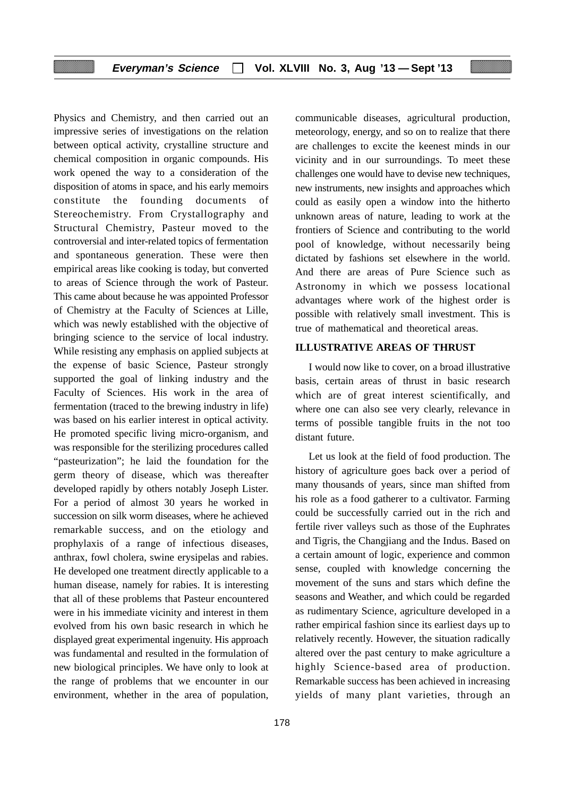Physics and Chemistry, and then carried out an impressive series of investigations on the relation between optical activity, crystalline structure and chemical composition in organic compounds. His work opened the way to a consideration of the disposition of atoms in space, and his early memoirs constitute the founding documents of Stereochemistry. From Crystallography and Structural Chemistry, Pasteur moved to the controversial and inter-related topics of fermentation and spontaneous generation. These were then empirical areas like cooking is today, but converted to areas of Science through the work of Pasteur. This came about because he was appointed Professor of Chemistry at the Faculty of Sciences at Lille, which was newly established with the objective of bringing science to the service of local industry. While resisting any emphasis on applied subjects at the expense of basic Science, Pasteur strongly supported the goal of linking industry and the Faculty of Sciences. His work in the area of fermentation (traced to the brewing industry in life) was based on his earlier interest in optical activity. He promoted specific living micro-organism, and was responsible for the sterilizing procedures called "pasteurization"; he laid the foundation for the germ theory of disease, which was thereafter developed rapidly by others notably Joseph Lister. For a period of almost 30 years he worked in succession on silk worm diseases, where he achieved remarkable success, and on the etiology and prophylaxis of a range of infectious diseases, anthrax, fowl cholera, swine erysipelas and rabies. He developed one treatment directly applicable to a human disease, namely for rabies. It is interesting that all of these problems that Pasteur encountered were in his immediate vicinity and interest in them evolved from his own basic research in which he displayed great experimental ingenuity. His approach was fundamental and resulted in the formulation of new biological principles. We have only to look at the range of problems that we encounter in our environment, whether in the area of population,

178

communicable diseases, agricultural production, meteorology, energy, and so on to realize that there are challenges to excite the keenest minds in our vicinity and in our surroundings. To meet these challenges one would have to devise new techniques, new instruments, new insights and approaches which could as easily open a window into the hitherto unknown areas of nature, leading to work at the frontiers of Science and contributing to the world pool of knowledge, without necessarily being dictated by fashions set elsewhere in the world. And there are areas of Pure Science such as Astronomy in which we possess locational advantages where work of the highest order is possible with relatively small investment. This is true of mathematical and theoretical areas.

#### **ILLUSTRATIVE AREAS OF THRUST**

I would now like to cover, on a broad illustrative basis, certain areas of thrust in basic research which are of great interest scientifically, and where one can also see very clearly, relevance in terms of possible tangible fruits in the not too distant future.

Let us look at the field of food production. The history of agriculture goes back over a period of many thousands of years, since man shifted from his role as a food gatherer to a cultivator. Farming could be successfully carried out in the rich and fertile river valleys such as those of the Euphrates and Tigris, the Changjiang and the Indus. Based on a certain amount of logic, experience and common sense, coupled with knowledge concerning the movement of the suns and stars which define the seasons and Weather, and which could be regarded as rudimentary Science, agriculture developed in a rather empirical fashion since its earliest days up to relatively recently. However, the situation radically altered over the past century to make agriculture a highly Science-based area of production. Remarkable success has been achieved in increasing yields of many plant varieties, through an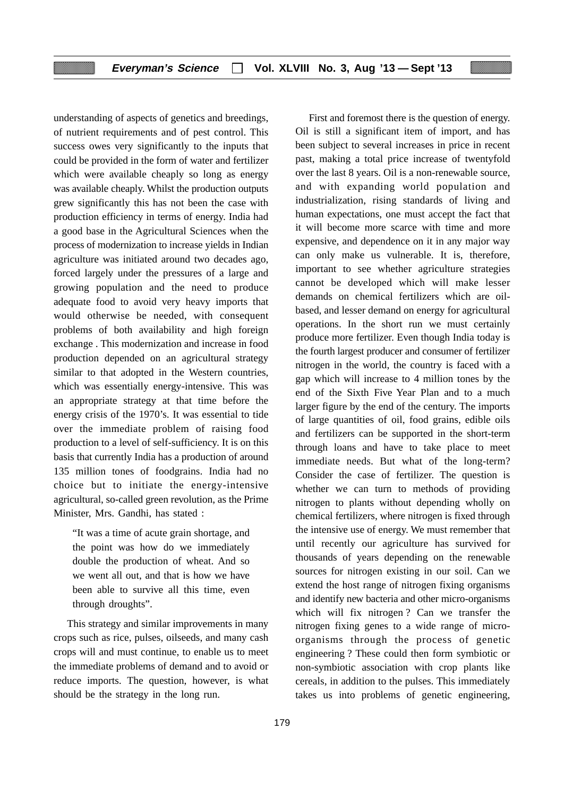understanding of aspects of genetics and breedings, of nutrient requirements and of pest control. This success owes very significantly to the inputs that could be provided in the form of water and fertilizer which were available cheaply so long as energy was available cheaply. Whilst the production outputs grew significantly this has not been the case with production efficiency in terms of energy. India had a good base in the Agricultural Sciences when the process of modernization to increase yields in Indian agriculture was initiated around two decades ago, forced largely under the pressures of a large and growing population and the need to produce adequate food to avoid very heavy imports that would otherwise be needed, with consequent problems of both availability and high foreign exchange . This modernization and increase in food production depended on an agricultural strategy similar to that adopted in the Western countries, which was essentially energy-intensive. This was an appropriate strategy at that time before the energy crisis of the 1970's. It was essential to tide over the immediate problem of raising food production to a level of self-sufficiency. It is on this basis that currently India has a production of around 135 million tones of foodgrains. India had no choice but to initiate the energy-intensive agricultural, so-called green revolution, as the Prime Minister, Mrs. Gandhi, has stated :

"It was a time of acute grain shortage, and the point was how do we immediately double the production of wheat. And so we went all out, and that is how we have been able to survive all this time, even through droughts".

This strategy and similar improvements in many crops such as rice, pulses, oilseeds, and many cash crops will and must continue, to enable us to meet the immediate problems of demand and to avoid or reduce imports. The question, however, is what should be the strategy in the long run.

First and foremost there is the question of energy. Oil is still a significant item of import, and has been subject to several increases in price in recent past, making a total price increase of twentyfold over the last 8 years. Oil is a non-renewable source, and with expanding world population and industrialization, rising standards of living and human expectations, one must accept the fact that it will become more scarce with time and more expensive, and dependence on it in any major way can only make us vulnerable. It is, therefore, important to see whether agriculture strategies cannot be developed which will make lesser demands on chemical fertilizers which are oilbased, and lesser demand on energy for agricultural operations. In the short run we must certainly produce more fertilizer. Even though India today is the fourth largest producer and consumer of fertilizer nitrogen in the world, the country is faced with a gap which will increase to 4 million tones by the end of the Sixth Five Year Plan and to a much larger figure by the end of the century. The imports of large quantities of oil, food grains, edible oils and fertilizers can be supported in the short-term through loans and have to take place to meet immediate needs. But what of the long-term? Consider the case of fertilizer. The question is whether we can turn to methods of providing nitrogen to plants without depending wholly on chemical fertilizers, where nitrogen is fixed through the intensive use of energy. We must remember that until recently our agriculture has survived for thousands of years depending on the renewable sources for nitrogen existing in our soil. Can we extend the host range of nitrogen fixing organisms and identify new bacteria and other micro-organisms which will fix nitrogen ? Can we transfer the nitrogen fixing genes to a wide range of microorganisms through the process of genetic engineering ? These could then form symbiotic or non-symbiotic association with crop plants like cereals, in addition to the pulses. This immediately takes us into problems of genetic engineering,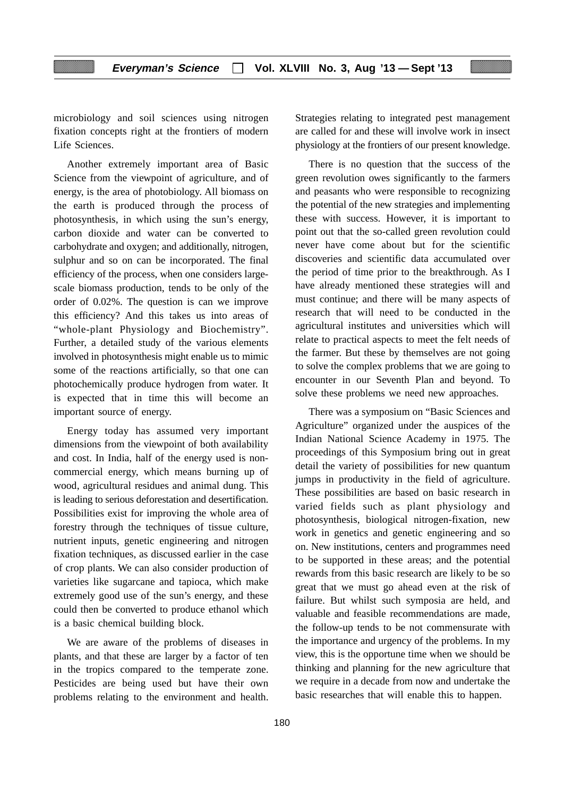microbiology and soil sciences using nitrogen fixation concepts right at the frontiers of modern Life Sciences.

Another extremely important area of Basic Science from the viewpoint of agriculture, and of energy, is the area of photobiology. All biomass on the earth is produced through the process of photosynthesis, in which using the sun's energy, carbon dioxide and water can be converted to carbohydrate and oxygen; and additionally, nitrogen, sulphur and so on can be incorporated. The final efficiency of the process, when one considers largescale biomass production, tends to be only of the order of 0.02%. The question is can we improve this efficiency? And this takes us into areas of "whole-plant Physiology and Biochemistry". Further, a detailed study of the various elements involved in photosynthesis might enable us to mimic some of the reactions artificially, so that one can photochemically produce hydrogen from water. It is expected that in time this will become an important source of energy.

Energy today has assumed very important dimensions from the viewpoint of both availability and cost. In India, half of the energy used is noncommercial energy, which means burning up of wood, agricultural residues and animal dung. This is leading to serious deforestation and desertification. Possibilities exist for improving the whole area of forestry through the techniques of tissue culture, nutrient inputs, genetic engineering and nitrogen fixation techniques, as discussed earlier in the case of crop plants. We can also consider production of varieties like sugarcane and tapioca, which make extremely good use of the sun's energy, and these could then be converted to produce ethanol which is a basic chemical building block.

We are aware of the problems of diseases in plants, and that these are larger by a factor of ten in the tropics compared to the temperate zone. Pesticides are being used but have their own problems relating to the environment and health.

Strategies relating to integrated pest management are called for and these will involve work in insect physiology at the frontiers of our present knowledge.

There is no question that the success of the green revolution owes significantly to the farmers and peasants who were responsible to recognizing the potential of the new strategies and implementing these with success. However, it is important to point out that the so-called green revolution could never have come about but for the scientific discoveries and scientific data accumulated over the period of time prior to the breakthrough. As I have already mentioned these strategies will and must continue; and there will be many aspects of research that will need to be conducted in the agricultural institutes and universities which will relate to practical aspects to meet the felt needs of the farmer. But these by themselves are not going to solve the complex problems that we are going to encounter in our Seventh Plan and beyond. To solve these problems we need new approaches.

There was a symposium on "Basic Sciences and Agriculture" organized under the auspices of the Indian National Science Academy in 1975. The proceedings of this Symposium bring out in great detail the variety of possibilities for new quantum jumps in productivity in the field of agriculture. These possibilities are based on basic research in varied fields such as plant physiology and photosynthesis, biological nitrogen-fixation, new work in genetics and genetic engineering and so on. New institutions, centers and programmes need to be supported in these areas; and the potential rewards from this basic research are likely to be so great that we must go ahead even at the risk of failure. But whilst such symposia are held, and valuable and feasible recommendations are made, the follow-up tends to be not commensurate with the importance and urgency of the problems. In my view, this is the opportune time when we should be thinking and planning for the new agriculture that we require in a decade from now and undertake the basic researches that will enable this to happen.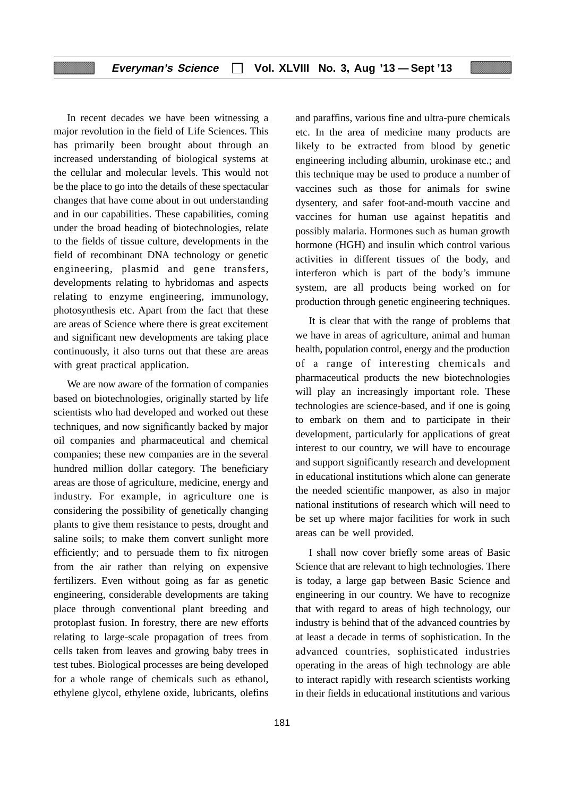In recent decades we have been witnessing a major revolution in the field of Life Sciences. This has primarily been brought about through an increased understanding of biological systems at the cellular and molecular levels. This would not be the place to go into the details of these spectacular changes that have come about in out understanding and in our capabilities. These capabilities, coming under the broad heading of biotechnologies, relate to the fields of tissue culture, developments in the field of recombinant DNA technology or genetic engineering, plasmid and gene transfers, developments relating to hybridomas and aspects relating to enzyme engineering, immunology, photosynthesis etc. Apart from the fact that these are areas of Science where there is great excitement and significant new developments are taking place continuously, it also turns out that these are areas with great practical application.

We are now aware of the formation of companies based on biotechnologies, originally started by life scientists who had developed and worked out these techniques, and now significantly backed by major oil companies and pharmaceutical and chemical companies; these new companies are in the several hundred million dollar category. The beneficiary areas are those of agriculture, medicine, energy and industry. For example, in agriculture one is considering the possibility of genetically changing plants to give them resistance to pests, drought and saline soils; to make them convert sunlight more efficiently; and to persuade them to fix nitrogen from the air rather than relying on expensive fertilizers. Even without going as far as genetic engineering, considerable developments are taking place through conventional plant breeding and protoplast fusion. In forestry, there are new efforts relating to large-scale propagation of trees from cells taken from leaves and growing baby trees in test tubes. Biological processes are being developed for a whole range of chemicals such as ethanol, ethylene glycol, ethylene oxide, lubricants, olefins and paraffins, various fine and ultra-pure chemicals etc. In the area of medicine many products are likely to be extracted from blood by genetic engineering including albumin, urokinase etc.; and this technique may be used to produce a number of vaccines such as those for animals for swine dysentery, and safer foot-and-mouth vaccine and vaccines for human use against hepatitis and possibly malaria. Hormones such as human growth hormone (HGH) and insulin which control various activities in different tissues of the body, and interferon which is part of the body's immune system, are all products being worked on for production through genetic engineering techniques.

It is clear that with the range of problems that we have in areas of agriculture, animal and human health, population control, energy and the production of a range of interesting chemicals and pharmaceutical products the new biotechnologies will play an increasingly important role. These technologies are science-based, and if one is going to embark on them and to participate in their development, particularly for applications of great interest to our country, we will have to encourage and support significantly research and development in educational institutions which alone can generate the needed scientific manpower, as also in major national institutions of research which will need to be set up where major facilities for work in such areas can be well provided.

I shall now cover briefly some areas of Basic Science that are relevant to high technologies. There is today, a large gap between Basic Science and engineering in our country. We have to recognize that with regard to areas of high technology, our industry is behind that of the advanced countries by at least a decade in terms of sophistication. In the advanced countries, sophisticated industries operating in the areas of high technology are able to interact rapidly with research scientists working in their fields in educational institutions and various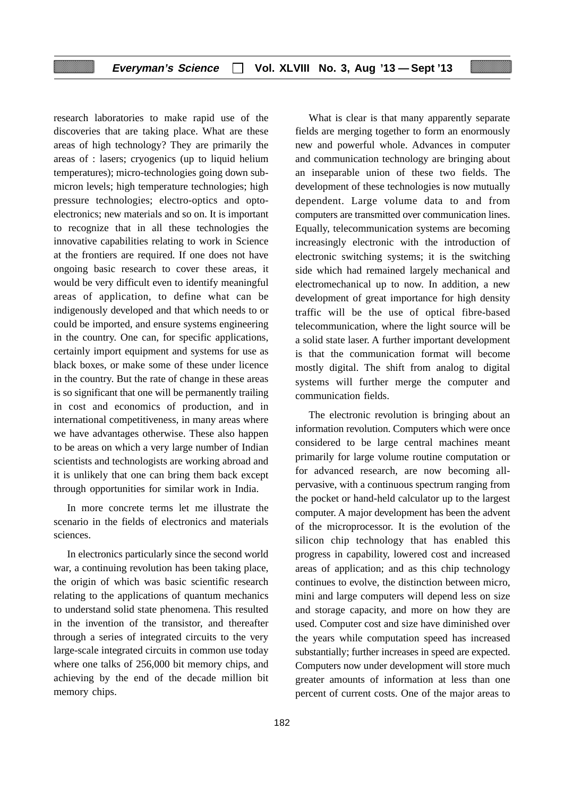research laboratories to make rapid use of the discoveries that are taking place. What are these areas of high technology? They are primarily the areas of : lasers; cryogenics (up to liquid helium temperatures); micro-technologies going down submicron levels; high temperature technologies; high pressure technologies; electro-optics and optoelectronics; new materials and so on. It is important to recognize that in all these technologies the innovative capabilities relating to work in Science at the frontiers are required. If one does not have ongoing basic research to cover these areas, it would be very difficult even to identify meaningful areas of application, to define what can be indigenously developed and that which needs to or could be imported, and ensure systems engineering in the country. One can, for specific applications, certainly import equipment and systems for use as black boxes, or make some of these under licence in the country. But the rate of change in these areas is so significant that one will be permanently trailing in cost and economics of production, and in international competitiveness, in many areas where we have advantages otherwise. These also happen to be areas on which a very large number of Indian scientists and technologists are working abroad and it is unlikely that one can bring them back except through opportunities for similar work in India.

In more concrete terms let me illustrate the scenario in the fields of electronics and materials sciences.

In electronics particularly since the second world war, a continuing revolution has been taking place, the origin of which was basic scientific research relating to the applications of quantum mechanics to understand solid state phenomena. This resulted in the invention of the transistor, and thereafter through a series of integrated circuits to the very large-scale integrated circuits in common use today where one talks of 256,000 bit memory chips, and achieving by the end of the decade million bit memory chips.

What is clear is that many apparently separate fields are merging together to form an enormously new and powerful whole. Advances in computer and communication technology are bringing about an inseparable union of these two fields. The development of these technologies is now mutually dependent. Large volume data to and from computers are transmitted over communication lines. Equally, telecommunication systems are becoming increasingly electronic with the introduction of electronic switching systems; it is the switching side which had remained largely mechanical and electromechanical up to now. In addition, a new development of great importance for high density traffic will be the use of optical fibre-based telecommunication, where the light source will be a solid state laser. A further important development is that the communication format will become mostly digital. The shift from analog to digital systems will further merge the computer and communication fields.

The electronic revolution is bringing about an information revolution. Computers which were once considered to be large central machines meant primarily for large volume routine computation or for advanced research, are now becoming allpervasive, with a continuous spectrum ranging from the pocket or hand-held calculator up to the largest computer. A major development has been the advent of the microprocessor. It is the evolution of the silicon chip technology that has enabled this progress in capability, lowered cost and increased areas of application; and as this chip technology continues to evolve, the distinction between micro, mini and large computers will depend less on size and storage capacity, and more on how they are used. Computer cost and size have diminished over the years while computation speed has increased substantially; further increases in speed are expected. Computers now under development will store much greater amounts of information at less than one percent of current costs. One of the major areas to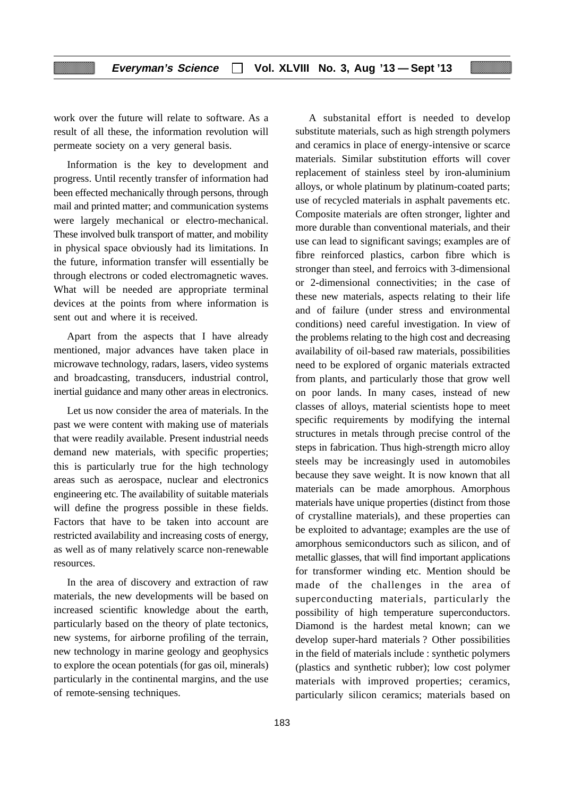work over the future will relate to software. As a result of all these, the information revolution will permeate society on a very general basis.

Information is the key to development and progress. Until recently transfer of information had been effected mechanically through persons, through mail and printed matter; and communication systems were largely mechanical or electro-mechanical. These involved bulk transport of matter, and mobility in physical space obviously had its limitations. In the future, information transfer will essentially be through electrons or coded electromagnetic waves. What will be needed are appropriate terminal devices at the points from where information is sent out and where it is received.

Apart from the aspects that I have already mentioned, major advances have taken place in microwave technology, radars, lasers, video systems and broadcasting, transducers, industrial control, inertial guidance and many other areas in electronics.

Let us now consider the area of materials. In the past we were content with making use of materials that were readily available. Present industrial needs demand new materials, with specific properties; this is particularly true for the high technology areas such as aerospace, nuclear and electronics engineering etc. The availability of suitable materials will define the progress possible in these fields. Factors that have to be taken into account are restricted availability and increasing costs of energy, as well as of many relatively scarce non-renewable resources.

In the area of discovery and extraction of raw materials, the new developments will be based on increased scientific knowledge about the earth, particularly based on the theory of plate tectonics, new systems, for airborne profiling of the terrain, new technology in marine geology and geophysics to explore the ocean potentials (for gas oil, minerals) particularly in the continental margins, and the use of remote-sensing techniques.

A substanital effort is needed to develop substitute materials, such as high strength polymers and ceramics in place of energy-intensive or scarce materials. Similar substitution efforts will cover replacement of stainless steel by iron-aluminium alloys, or whole platinum by platinum-coated parts; use of recycled materials in asphalt pavements etc. Composite materials are often stronger, lighter and more durable than conventional materials, and their use can lead to significant savings; examples are of fibre reinforced plastics, carbon fibre which is stronger than steel, and ferroics with 3-dimensional or 2-dimensional connectivities; in the case of these new materials, aspects relating to their life and of failure (under stress and environmental conditions) need careful investigation. In view of the problems relating to the high cost and decreasing availability of oil-based raw materials, possibilities need to be explored of organic materials extracted from plants, and particularly those that grow well on poor lands. In many cases, instead of new classes of alloys, material scientists hope to meet specific requirements by modifying the internal structures in metals through precise control of the steps in fabrication. Thus high-strength micro alloy steels may be increasingly used in automobiles because they save weight. It is now known that all materials can be made amorphous. Amorphous materials have unique properties (distinct from those of crystalline materials), and these properties can be exploited to advantage; examples are the use of amorphous semiconductors such as silicon, and of metallic glasses, that will find important applications for transformer winding etc. Mention should be made of the challenges in the area of superconducting materials, particularly the possibility of high temperature superconductors. Diamond is the hardest metal known; can we develop super-hard materials ? Other possibilities in the field of materials include : synthetic polymers (plastics and synthetic rubber); low cost polymer materials with improved properties; ceramics, particularly silicon ceramics; materials based on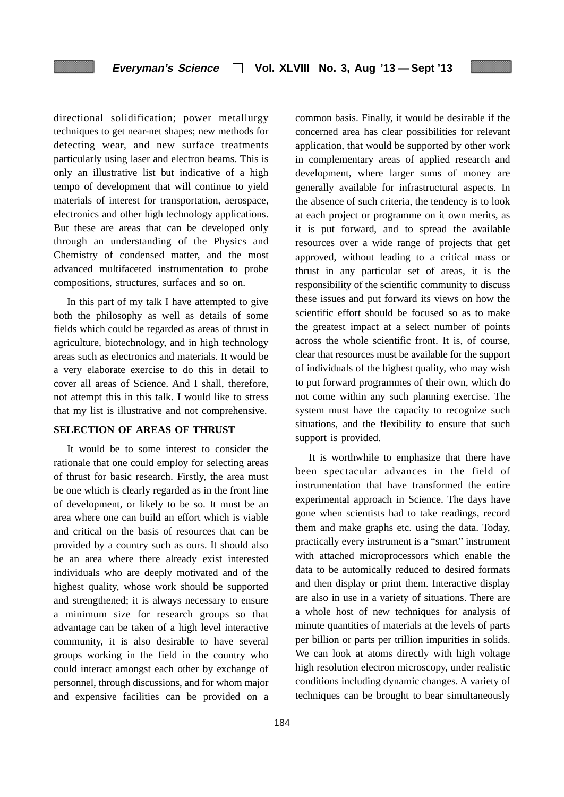directional solidification; power metallurgy techniques to get near-net shapes; new methods for detecting wear, and new surface treatments particularly using laser and electron beams. This is only an illustrative list but indicative of a high tempo of development that will continue to yield materials of interest for transportation, aerospace, electronics and other high technology applications. But these are areas that can be developed only through an understanding of the Physics and Chemistry of condensed matter, and the most advanced multifaceted instrumentation to probe compositions, structures, surfaces and so on.

In this part of my talk I have attempted to give both the philosophy as well as details of some fields which could be regarded as areas of thrust in agriculture, biotechnology, and in high technology areas such as electronics and materials. It would be a very elaborate exercise to do this in detail to cover all areas of Science. And I shall, therefore, not attempt this in this talk. I would like to stress that my list is illustrative and not comprehensive.

## **SELECTION OF AREAS OF THRUST**

It would be to some interest to consider the rationale that one could employ for selecting areas of thrust for basic research. Firstly, the area must be one which is clearly regarded as in the front line of development, or likely to be so. It must be an area where one can build an effort which is viable and critical on the basis of resources that can be provided by a country such as ours. It should also be an area where there already exist interested individuals who are deeply motivated and of the highest quality, whose work should be supported and strengthened; it is always necessary to ensure a minimum size for research groups so that advantage can be taken of a high level interactive community, it is also desirable to have several groups working in the field in the country who could interact amongst each other by exchange of personnel, through discussions, and for whom major and expensive facilities can be provided on a

common basis. Finally, it would be desirable if the concerned area has clear possibilities for relevant application, that would be supported by other work in complementary areas of applied research and development, where larger sums of money are generally available for infrastructural aspects. In the absence of such criteria, the tendency is to look at each project or programme on it own merits, as it is put forward, and to spread the available resources over a wide range of projects that get approved, without leading to a critical mass or thrust in any particular set of areas, it is the responsibility of the scientific community to discuss these issues and put forward its views on how the scientific effort should be focused so as to make the greatest impact at a select number of points across the whole scientific front. It is, of course, clear that resources must be available for the support of individuals of the highest quality, who may wish to put forward programmes of their own, which do not come within any such planning exercise. The system must have the capacity to recognize such situations, and the flexibility to ensure that such support is provided.

It is worthwhile to emphasize that there have been spectacular advances in the field of instrumentation that have transformed the entire experimental approach in Science. The days have gone when scientists had to take readings, record them and make graphs etc. using the data. Today, practically every instrument is a "smart" instrument with attached microprocessors which enable the data to be automically reduced to desired formats and then display or print them. Interactive display are also in use in a variety of situations. There are a whole host of new techniques for analysis of minute quantities of materials at the levels of parts per billion or parts per trillion impurities in solids. We can look at atoms directly with high voltage high resolution electron microscopy, under realistic conditions including dynamic changes. A variety of techniques can be brought to bear simultaneously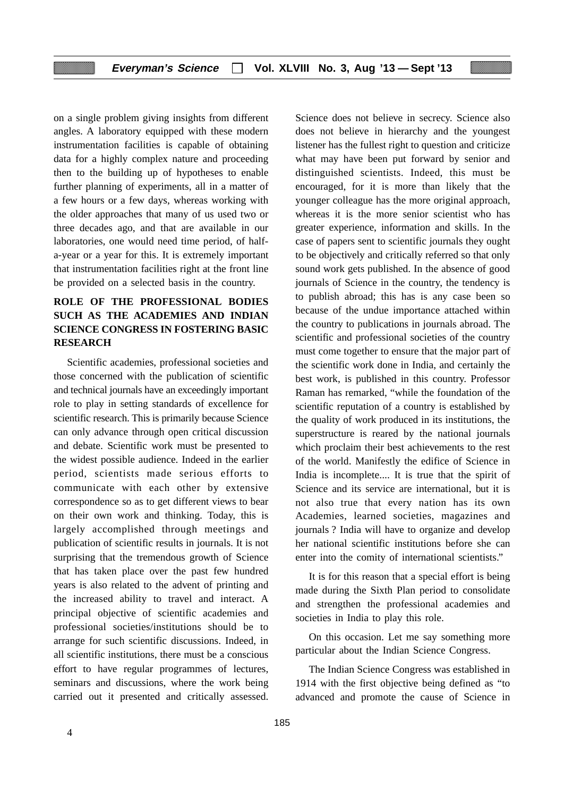on a single problem giving insights from different angles. A laboratory equipped with these modern instrumentation facilities is capable of obtaining data for a highly complex nature and proceeding then to the building up of hypotheses to enable further planning of experiments, all in a matter of a few hours or a few days, whereas working with the older approaches that many of us used two or three decades ago, and that are available in our laboratories, one would need time period, of halfa-year or a year for this. It is extremely important that instrumentation facilities right at the front line be provided on a selected basis in the country.

# **ROLE OF THE PROFESSIONAL BODIES SUCH AS THE ACADEMIES AND INDIAN SCIENCE CONGRESS IN FOSTERING BASIC RESEARCH**

Scientific academies, professional societies and those concerned with the publication of scientific and technical journals have an exceedingly important role to play in setting standards of excellence for scientific research. This is primarily because Science can only advance through open critical discussion and debate. Scientific work must be presented to the widest possible audience. Indeed in the earlier period, scientists made serious efforts to communicate with each other by extensive correspondence so as to get different views to bear on their own work and thinking. Today, this is largely accomplished through meetings and publication of scientific results in journals. It is not surprising that the tremendous growth of Science that has taken place over the past few hundred years is also related to the advent of printing and the increased ability to travel and interact. A principal objective of scientific academies and professional societies/institutions should be to arrange for such scientific discussions. Indeed, in all scientific institutions, there must be a conscious effort to have regular programmes of lectures, seminars and discussions, where the work being carried out it presented and critically assessed.

Science does not believe in secrecy. Science also does not believe in hierarchy and the youngest listener has the fullest right to question and criticize what may have been put forward by senior and distinguished scientists. Indeed, this must be encouraged, for it is more than likely that the younger colleague has the more original approach, whereas it is the more senior scientist who has greater experience, information and skills. In the case of papers sent to scientific journals they ought to be objectively and critically referred so that only sound work gets published. In the absence of good journals of Science in the country, the tendency is to publish abroad; this has is any case been so because of the undue importance attached within the country to publications in journals abroad. The scientific and professional societies of the country must come together to ensure that the major part of the scientific work done in India, and certainly the best work, is published in this country. Professor Raman has remarked, "while the foundation of the scientific reputation of a country is established by the quality of work produced in its institutions, the superstructure is reared by the national journals which proclaim their best achievements to the rest of the world. Manifestly the edifice of Science in India is incomplete.... It is true that the spirit of Science and its service are international, but it is not also true that every nation has its own Academies, learned societies, magazines and journals ? India will have to organize and develop her national scientific institutions before she can enter into the comity of international scientists."

It is for this reason that a special effort is being made during the Sixth Plan period to consolidate and strengthen the professional academies and societies in India to play this role.

On this occasion. Let me say something more particular about the Indian Science Congress.

The Indian Science Congress was established in 1914 with the first objective being defined as "to advanced and promote the cause of Science in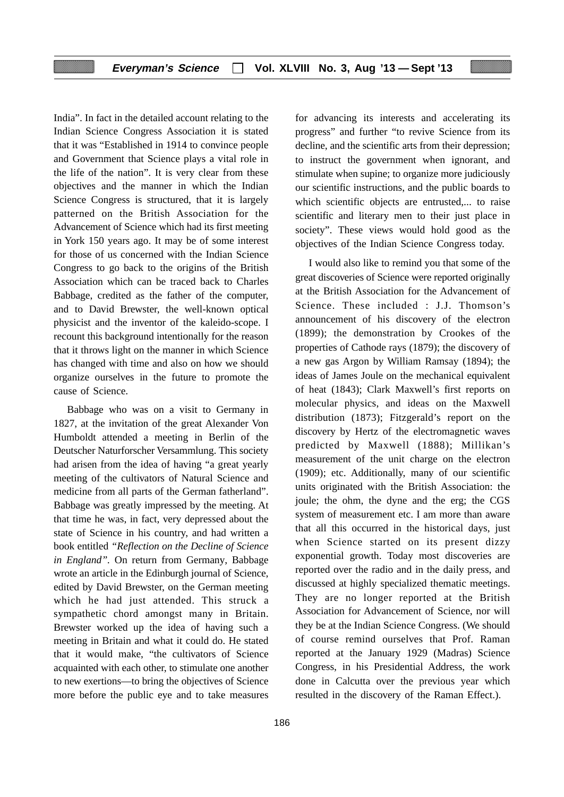India". In fact in the detailed account relating to the Indian Science Congress Association it is stated that it was "Established in 1914 to convince people and Government that Science plays a vital role in the life of the nation". It is very clear from these objectives and the manner in which the Indian Science Congress is structured, that it is largely patterned on the British Association for the Advancement of Science which had its first meeting in York 150 years ago. It may be of some interest for those of us concerned with the Indian Science Congress to go back to the origins of the British Association which can be traced back to Charles Babbage, credited as the father of the computer, and to David Brewster, the well-known optical physicist and the inventor of the kaleido-scope. I recount this background intentionally for the reason that it throws light on the manner in which Science has changed with time and also on how we should organize ourselves in the future to promote the cause of Science.

Babbage who was on a visit to Germany in 1827, at the invitation of the great Alexander Von Humboldt attended a meeting in Berlin of the Deutscher Naturforscher Versammlung. This society had arisen from the idea of having "a great yearly meeting of the cultivators of Natural Science and medicine from all parts of the German fatherland". Babbage was greatly impressed by the meeting. At that time he was, in fact, very depressed about the state of Science in his country, and had written a book entitled *"Reflection on the Decline of Science in England".* On return from Germany, Babbage wrote an article in the Edinburgh journal of Science, edited by David Brewster, on the German meeting which he had just attended. This struck a sympathetic chord amongst many in Britain. Brewster worked up the idea of having such a meeting in Britain and what it could do. He stated that it would make, "the cultivators of Science acquainted with each other, to stimulate one another to new exertions—to bring the objectives of Science more before the public eye and to take measures for advancing its interests and accelerating its progress" and further "to revive Science from its decline, and the scientific arts from their depression; to instruct the government when ignorant, and stimulate when supine; to organize more judiciously our scientific instructions, and the public boards to which scientific objects are entrusted,... to raise scientific and literary men to their just place in society". These views would hold good as the objectives of the Indian Science Congress today.

I would also like to remind you that some of the great discoveries of Science were reported originally at the British Association for the Advancement of Science. These included : J.J. Thomson's announcement of his discovery of the electron (1899); the demonstration by Crookes of the properties of Cathode rays (1879); the discovery of a new gas Argon by William Ramsay (1894); the ideas of James Joule on the mechanical equivalent of heat (1843); Clark Maxwell's first reports on molecular physics, and ideas on the Maxwell distribution (1873); Fitzgerald's report on the discovery by Hertz of the electromagnetic waves predicted by Maxwell (1888); Millikan's measurement of the unit charge on the electron (1909); etc. Additionally, many of our scientific units originated with the British Association: the joule; the ohm, the dyne and the erg; the CGS system of measurement etc. I am more than aware that all this occurred in the historical days, just when Science started on its present dizzy exponential growth. Today most discoveries are reported over the radio and in the daily press, and discussed at highly specialized thematic meetings. They are no longer reported at the British Association for Advancement of Science, nor will they be at the Indian Science Congress. (We should of course remind ourselves that Prof. Raman reported at the January 1929 (Madras) Science Congress, in his Presidential Address, the work done in Calcutta over the previous year which resulted in the discovery of the Raman Effect.).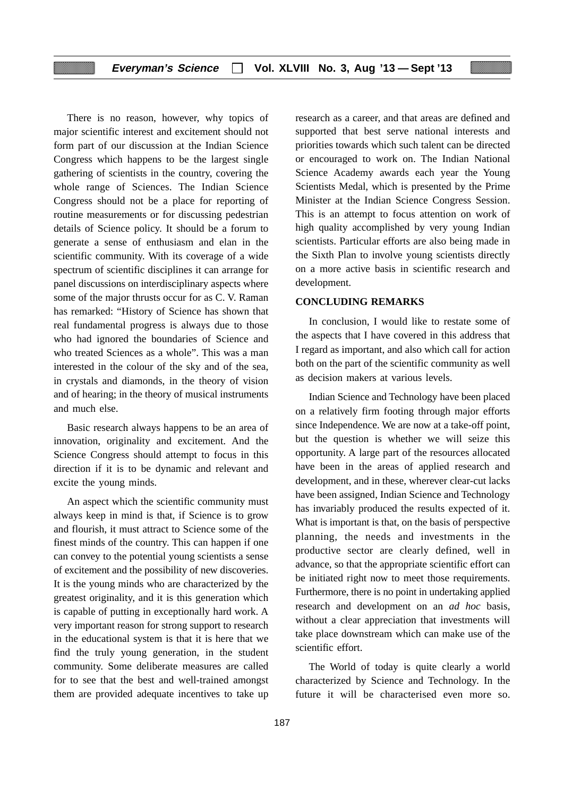There is no reason, however, why topics of major scientific interest and excitement should not form part of our discussion at the Indian Science Congress which happens to be the largest single gathering of scientists in the country, covering the whole range of Sciences. The Indian Science Congress should not be a place for reporting of routine measurements or for discussing pedestrian details of Science policy. It should be a forum to generate a sense of enthusiasm and elan in the scientific community. With its coverage of a wide spectrum of scientific disciplines it can arrange for panel discussions on interdisciplinary aspects where some of the major thrusts occur for as C. V. Raman has remarked: "History of Science has shown that real fundamental progress is always due to those who had ignored the boundaries of Science and who treated Sciences as a whole". This was a man interested in the colour of the sky and of the sea, in crystals and diamonds, in the theory of vision and of hearing; in the theory of musical instruments and much else.

Basic research always happens to be an area of innovation, originality and excitement. And the Science Congress should attempt to focus in this direction if it is to be dynamic and relevant and excite the young minds.

An aspect which the scientific community must always keep in mind is that, if Science is to grow and flourish, it must attract to Science some of the finest minds of the country. This can happen if one can convey to the potential young scientists a sense of excitement and the possibility of new discoveries. It is the young minds who are characterized by the greatest originality, and it is this generation which is capable of putting in exceptionally hard work. A very important reason for strong support to research in the educational system is that it is here that we find the truly young generation, in the student community. Some deliberate measures are called for to see that the best and well-trained amongst them are provided adequate incentives to take up

research as a career, and that areas are defined and supported that best serve national interests and priorities towards which such talent can be directed or encouraged to work on. The Indian National Science Academy awards each year the Young Scientists Medal, which is presented by the Prime Minister at the Indian Science Congress Session. This is an attempt to focus attention on work of high quality accomplished by very young Indian scientists. Particular efforts are also being made in the Sixth Plan to involve young scientists directly on a more active basis in scientific research and development.

### **CONCLUDING REMARKS**

In conclusion, I would like to restate some of the aspects that I have covered in this address that I regard as important, and also which call for action both on the part of the scientific community as well as decision makers at various levels.

Indian Science and Technology have been placed on a relatively firm footing through major efforts since Independence. We are now at a take-off point, but the question is whether we will seize this opportunity. A large part of the resources allocated have been in the areas of applied research and development, and in these, wherever clear-cut lacks have been assigned, Indian Science and Technology has invariably produced the results expected of it. What is important is that, on the basis of perspective planning, the needs and investments in the productive sector are clearly defined, well in advance, so that the appropriate scientific effort can be initiated right now to meet those requirements. Furthermore, there is no point in undertaking applied research and development on an *ad hoc* basis, without a clear appreciation that investments will take place downstream which can make use of the scientific effort.

The World of today is quite clearly a world characterized by Science and Technology. In the future it will be characterised even more so.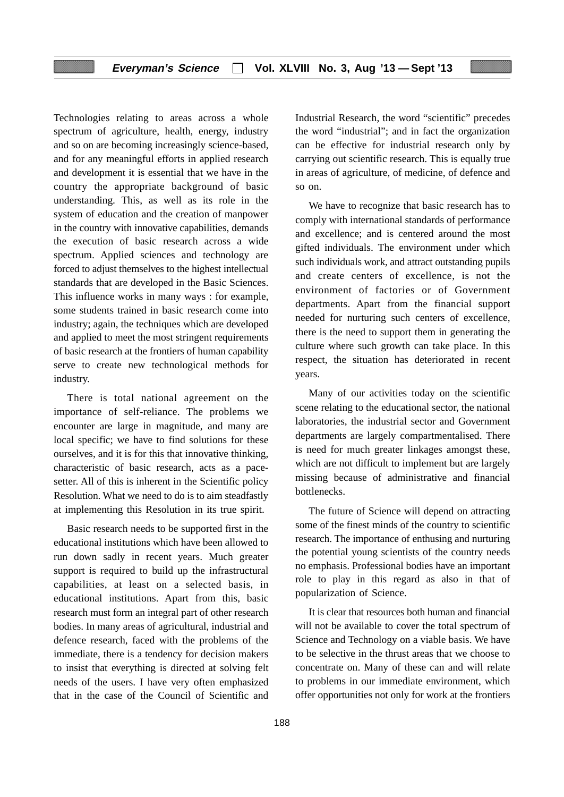Technologies relating to areas across a whole spectrum of agriculture, health, energy, industry and so on are becoming increasingly science-based, and for any meaningful efforts in applied research and development it is essential that we have in the country the appropriate background of basic understanding. This, as well as its role in the system of education and the creation of manpower in the country with innovative capabilities, demands the execution of basic research across a wide spectrum. Applied sciences and technology are forced to adjust themselves to the highest intellectual standards that are developed in the Basic Sciences. This influence works in many ways : for example, some students trained in basic research come into industry; again, the techniques which are developed and applied to meet the most stringent requirements of basic research at the frontiers of human capability serve to create new technological methods for industry.

There is total national agreement on the importance of self-reliance. The problems we encounter are large in magnitude, and many are local specific; we have to find solutions for these ourselves, and it is for this that innovative thinking, characteristic of basic research, acts as a pacesetter. All of this is inherent in the Scientific policy Resolution. What we need to do is to aim steadfastly at implementing this Resolution in its true spirit.

Basic research needs to be supported first in the educational institutions which have been allowed to run down sadly in recent years. Much greater support is required to build up the infrastructural capabilities, at least on a selected basis, in educational institutions. Apart from this, basic research must form an integral part of other research bodies. In many areas of agricultural, industrial and defence research, faced with the problems of the immediate, there is a tendency for decision makers to insist that everything is directed at solving felt needs of the users. I have very often emphasized that in the case of the Council of Scientific and

Industrial Research, the word "scientific" precedes the word "industrial"; and in fact the organization can be effective for industrial research only by carrying out scientific research. This is equally true in areas of agriculture, of medicine, of defence and so on.

We have to recognize that basic research has to comply with international standards of performance and excellence; and is centered around the most gifted individuals. The environment under which such individuals work, and attract outstanding pupils and create centers of excellence, is not the environment of factories or of Government departments. Apart from the financial support needed for nurturing such centers of excellence, there is the need to support them in generating the culture where such growth can take place. In this respect, the situation has deteriorated in recent years.

Many of our activities today on the scientific scene relating to the educational sector, the national laboratories, the industrial sector and Government departments are largely compartmentalised. There is need for much greater linkages amongst these, which are not difficult to implement but are largely missing because of administrative and financial bottlenecks.

The future of Science will depend on attracting some of the finest minds of the country to scientific research. The importance of enthusing and nurturing the potential young scientists of the country needs no emphasis. Professional bodies have an important role to play in this regard as also in that of popularization of Science.

It is clear that resources both human and financial will not be available to cover the total spectrum of Science and Technology on a viable basis. We have to be selective in the thrust areas that we choose to concentrate on. Many of these can and will relate to problems in our immediate environment, which offer opportunities not only for work at the frontiers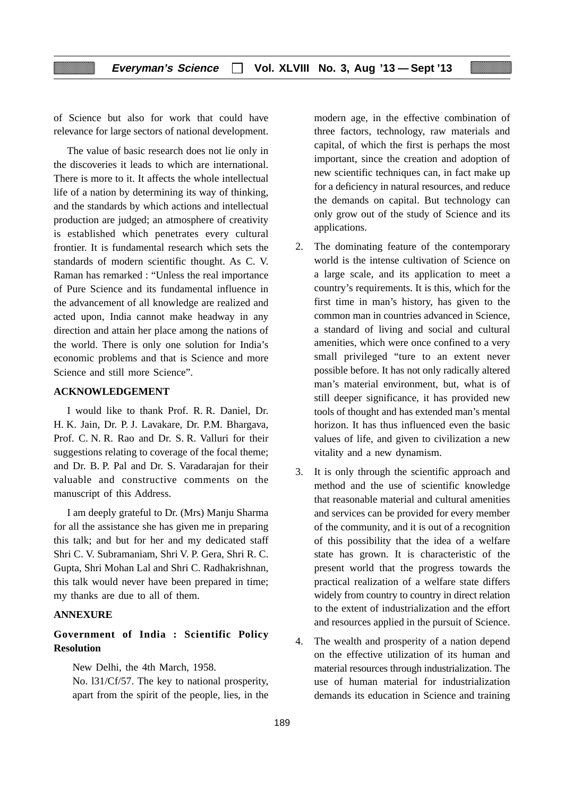of Science but also for work that could have relevance for large sectors of national development.

The value of basic research does not lie only in the discoveries it leads to which are international. There is more to it. It affects the whole intellectual life of a nation by determining its way of thinking, and the standards by which actions and intellectual production are judged; an atmosphere of creativity is established which penetrates every cultural frontier. It is fundamental research which sets the standards of modern scientific thought. As C. V. Raman has remarked : "Unless the real importance of Pure Science and its fundamental influence in the advancement of all knowledge are realized and acted upon, India cannot make headway in any direction and attain her place among the nations of the world. There is only one solution for India's economic problems and that is Science and more Science and still more Science".

#### **ACKNOWLEDGEMENT**

I would like to thank Prof. R. R. Daniel, Dr. H. K. Jain, Dr. P. J. Lavakare, Dr. P.M. Bhargava, Prof. C. N. R. Rao and Dr. S. R. Valluri for their suggestions relating to coverage of the focal theme; and Dr. B. P. Pal and Dr. S. Varadarajan for their valuable and constructive comments on the manuscript of this Address.

I am deeply grateful to Dr. (Mrs) Manju Sharma for all the assistance she has given me in preparing this talk; and but for her and my dedicated staff Shri C. V. Subramaniam, Shri V. P. Gera, Shri R. C. Gupta, Shri Mohan Lal and Shri C. Radhakrishnan, this talk would never have been prepared in time; my thanks are due to all of them.

#### **ANNEXURE**

# **Government of India : Scientific Policy Resolution**

New Delhi, the 4th March, 1958.

No. l31/Cf/57. The key to national prosperity, apart from the spirit of the people, lies, in the modern age, in the effective combination of three factors, technology, raw materials and capital, of which the first is perhaps the most important, since the creation and adoption of new scientific techniques can, in fact make up for a deficiency in natural resources, and reduce the demands on capital. But technology can only grow out of the study of Science and its applications.

- 2. The dominating feature of the contemporary world is the intense cultivation of Science on a large scale, and its application to meet a country's requirements. It is this, which for the first time in man's history, has given to the common man in countries advanced in Science, a standard of living and social and cultural amenities, which were once confined to a very small privileged "ture to an extent never possible before. It has not only radically altered man's material environment, but, what is of still deeper significance, it has provided new tools of thought and has extended man's mental horizon. It has thus influenced even the basic values of life, and given to civilization a new vitality and a new dynamism.
- 3. It is only through the scientific approach and method and the use of scientific knowledge that reasonable material and cultural amenities and services can be provided for every member of the community, and it is out of a recognition of this possibility that the idea of a welfare state has grown. It is characteristic of the present world that the progress towards the practical realization of a welfare state differs widely from country to country in direct relation to the extent of industrialization and the effort and resources applied in the pursuit of Science.
- 4. The wealth and prosperity of a nation depend on the effective utilization of its human and material resources through industrialization. The use of human material for industrialization demands its education in Science and training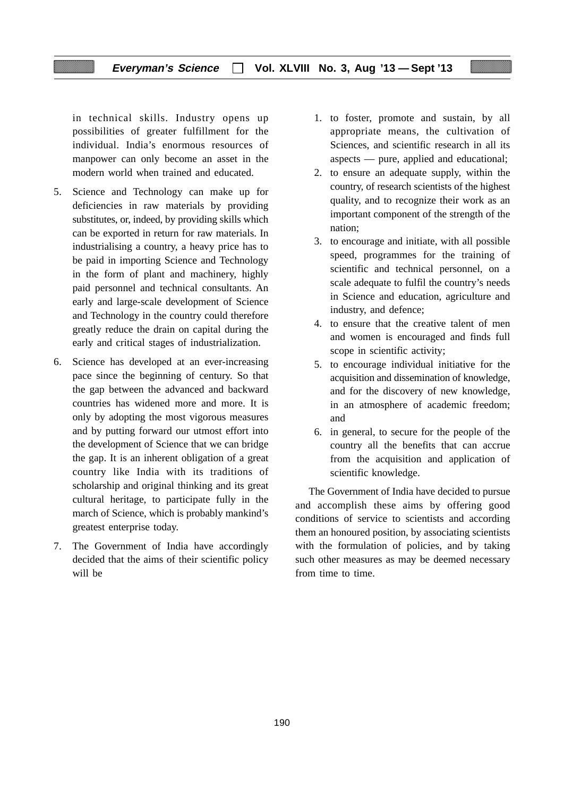in technical skills. Industry opens up possibilities of greater fulfillment for the individual. India's enormous resources of manpower can only become an asset in the modern world when trained and educated.

- 5. Science and Technology can make up for deficiencies in raw materials by providing substitutes, or, indeed, by providing skills which can be exported in return for raw materials. In industrialising a country, a heavy price has to be paid in importing Science and Technology in the form of plant and machinery, highly paid personnel and technical consultants. An early and large-scale development of Science and Technology in the country could therefore greatly reduce the drain on capital during the early and critical stages of industrialization.
- 6. Science has developed at an ever-increasing pace since the beginning of century. So that the gap between the advanced and backward countries has widened more and more. It is only by adopting the most vigorous measures and by putting forward our utmost effort into the development of Science that we can bridge the gap. It is an inherent obligation of a great country like India with its traditions of scholarship and original thinking and its great cultural heritage, to participate fully in the march of Science, which is probably mankind's greatest enterprise today.
- 7. The Government of India have accordingly decided that the aims of their scientific policy will be
- 1. to foster, promote and sustain, by all appropriate means, the cultivation of Sciences, and scientific research in all its aspects — pure, applied and educational;
- 2. to ensure an adequate supply, within the country, of research scientists of the highest quality, and to recognize their work as an important component of the strength of the nation;
- 3. to encourage and initiate, with all possible speed, programmes for the training of scientific and technical personnel, on a scale adequate to fulfil the country's needs in Science and education, agriculture and industry, and defence;
- 4. to ensure that the creative talent of men and women is encouraged and finds full scope in scientific activity;
- 5. to encourage individual initiative for the acquisition and dissemination of knowledge, and for the discovery of new knowledge, in an atmosphere of academic freedom; and
- 6. in general, to secure for the people of the country all the benefits that can accrue from the acquisition and application of scientific knowledge.

The Government of India have decided to pursue and accomplish these aims by offering good conditions of service to scientists and according them an honoured position, by associating scientists with the formulation of policies, and by taking such other measures as may be deemed necessary from time to time.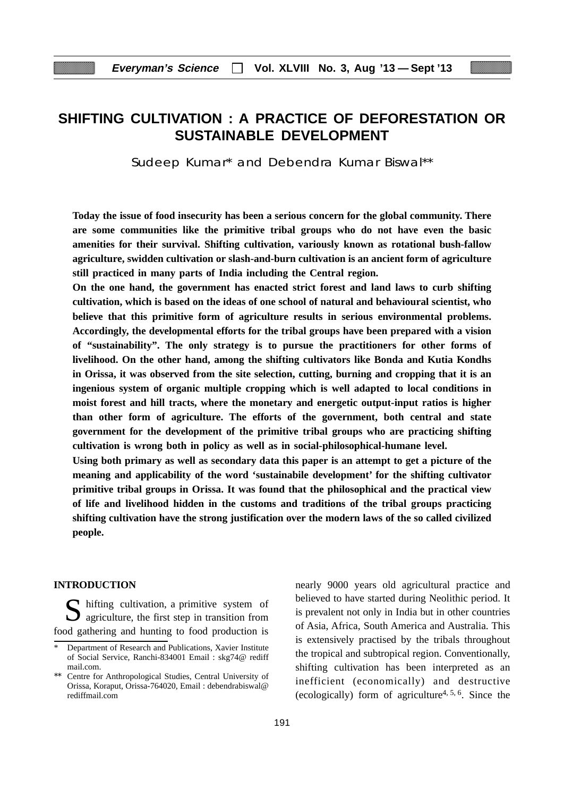# **SHIFTING CULTIVATION : A PRACTICE OF DEFORESTATION OR SUSTAINABLE DEVELOPMENT**

Sudeep Kumar\* and Debendra Kumar Biswal\*\*

**Today the issue of food insecurity has been a serious concern for the global community. There are some communities like the primitive tribal groups who do not have even the basic amenities for their survival. Shifting cultivation, variously known as rotational bush-fallow agriculture, swidden cultivation or slash-and-burn cultivation is an ancient form of agriculture still practiced in many parts of India including the Central region.**

**On the one hand, the government has enacted strict forest and land laws to curb shifting cultivation, which is based on the ideas of one school of natural and behavioural scientist, who believe that this primitive form of agriculture results in serious environmental problems. Accordingly, the developmental efforts for the tribal groups have been prepared with a vision of "sustainability". The only strategy is to pursue the practitioners for other forms of livelihood. On the other hand, among the shifting cultivators like Bonda and Kutia Kondhs in Orissa, it was observed from the site selection, cutting, burning and cropping that it is an ingenious system of organic multiple cropping which is well adapted to local conditions in moist forest and hill tracts, where the monetary and energetic output-input ratios is higher than other form of agriculture. The efforts of the government, both central and state government for the development of the primitive tribal groups who are practicing shifting cultivation is wrong both in policy as well as in social-philosophical-humane level.**

**Using both primary as well as secondary data this paper is an attempt to get a picture of the meaning and applicability of the word 'sustainabile development' for the shifting cultivator primitive tribal groups in Orissa. It was found that the philosophical and the practical view of life and livelihood hidden in the customs and traditions of the tribal groups practicing shifting cultivation have the strong justification over the modern laws of the so called civilized people.**

#### **INTRODUCTION**

 $\sum$  hifting cultivation, a primitive system of  $\sum$  agriculture, the first step in transition from food gathering and hunting to food production is nearly 9000 years old agricultural practice and believed to have started during Neolithic period. It is prevalent not only in India but in other countries of Asia, Africa, South America and Australia. This is extensively practised by the tribals throughout the tropical and subtropical region. Conventionally, shifting cultivation has been interpreted as an inefficient (economically) and destructive (ecologically) form of agriculture<sup>4, 5, 6</sup>. Since the

Department of Research and Publications, Xavier Institute of Social Service, Ranchi-834001 Email : skg74@ rediff mail.com.

Centre for Anthropological Studies, Central University of Orissa, Koraput, Orissa-764020, Email : debendrabiswal@ rediffmail.com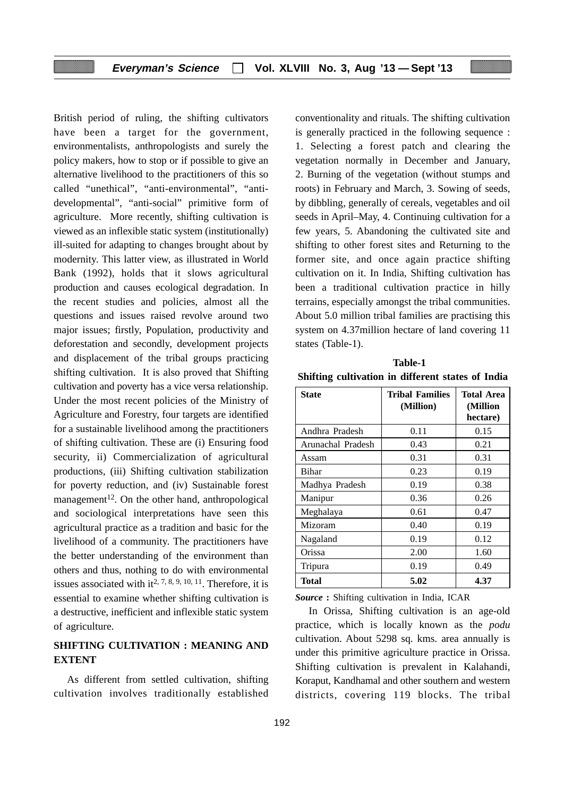British period of ruling, the shifting cultivators have been a target for the government, environmentalists, anthropologists and surely the policy makers, how to stop or if possible to give an alternative livelihood to the practitioners of this so called "unethical", "anti-environmental", "antidevelopmental", "anti-social" primitive form of agriculture. More recently, shifting cultivation is viewed as an inflexible static system (institutionally) ill-suited for adapting to changes brought about by modernity. This latter view, as illustrated in World Bank (1992), holds that it slows agricultural production and causes ecological degradation. In the recent studies and policies, almost all the questions and issues raised revolve around two major issues; firstly, Population, productivity and deforestation and secondly, development projects and displacement of the tribal groups practicing shifting cultivation. It is also proved that Shifting cultivation and poverty has a vice versa relationship. Under the most recent policies of the Ministry of Agriculture and Forestry, four targets are identified for a sustainable livelihood among the practitioners of shifting cultivation. These are (i) Ensuring food security, ii) Commercialization of agricultural productions, (iii) Shifting cultivation stabilization for poverty reduction, and (iv) Sustainable forest management<sup>12</sup>. On the other hand, anthropological and sociological interpretations have seen this agricultural practice as a tradition and basic for the livelihood of a community. The practitioners have the better understanding of the environment than others and thus, nothing to do with environmental issues associated with  $it^{2, 7, 8, 9, 10, 11}$ . Therefore, it is essential to examine whether shifting cultivation is a destructive, inefficient and inflexible static system of agriculture.

# **SHIFTING CULTIVATION : MEANING AND EXTENT**

As different from settled cultivation, shifting cultivation involves traditionally established conventionality and rituals. The shifting cultivation is generally practiced in the following sequence : 1. Selecting a forest patch and clearing the vegetation normally in December and January, 2. Burning of the vegetation (without stumps and roots) in February and March, 3. Sowing of seeds, by dibbling, generally of cereals, vegetables and oil seeds in April–May, 4. Continuing cultivation for a few years, 5. Abandoning the cultivated site and shifting to other forest sites and Returning to the former site, and once again practice shifting cultivation on it. In India, Shifting cultivation has been a traditional cultivation practice in hilly terrains, especially amongst the tribal communities. About 5.0 million tribal families are practising this system on 4.37million hectare of land covering 11 states (Table-1).

**Table-1 Shifting cultivation in different states of India**

| <b>State</b>      | Tribal Families<br>(Million) | <b>Total Area</b><br>(Million<br>hectare) |
|-------------------|------------------------------|-------------------------------------------|
| Andhra Pradesh    | 0.11                         | 0.15                                      |
| Arunachal Pradesh | 0.43                         | 0.21                                      |
| Assam             | 0.31                         | 0.31                                      |
| <b>Bihar</b>      | 0.23                         | 0.19                                      |
| Madhya Pradesh    | 0.19                         | 0.38                                      |
| Manipur           | 0.36                         | 0.26                                      |
| Meghalaya         | 0.61                         | 0.47                                      |
| Mizoram           | 0.40                         | 0.19                                      |
| Nagaland          | 0.19                         | 0.12                                      |
| Orissa            | 2.00                         | 1.60                                      |
| Tripura           | 0.19                         | 0.49                                      |
| Total             | 5.02                         | 4.37                                      |

*Source* **:** Shifting cultivation in India, ICAR

In Orissa, Shifting cultivation is an age-old practice, which is locally known as the *podu* cultivation. About 5298 sq. kms. area annually is under this primitive agriculture practice in Orissa. Shifting cultivation is prevalent in Kalahandi, Koraput, Kandhamal and other southern and western districts, covering 119 blocks. The tribal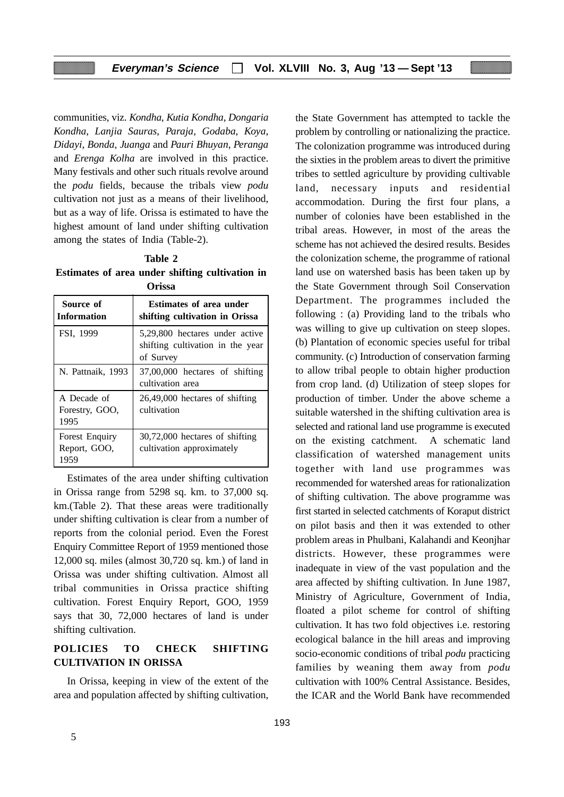communities, viz. *Kondha*, *Kutia Kondha*, *Dongaria Kondha*, *Lanjia Sauras*, *Paraja*, *Godaba*, *Koya*, *Didayi*, *Bonda*, *Juanga* and *Pauri Bhuyan*, *Peranga* and *Erenga Kolha* are involved in this practice. Many festivals and other such rituals revolve around the *podu* fields, because the tribals view *podu* cultivation not just as a means of their livelihood, but as a way of life. Orissa is estimated to have the highest amount of land under shifting cultivation among the states of India (Table-2).

**Table 2 Estimates of area under shifting cultivation in Orissa**

| Source of<br><b>Information</b>        | <b>Estimates of area under</b><br>shifting cultivation in Orissa                |  |  |  |
|----------------------------------------|---------------------------------------------------------------------------------|--|--|--|
| FSI, 1999                              | 5,29,800 hectares under active<br>shifting cultivation in the year<br>of Survey |  |  |  |
| N. Pattnaik, 1993                      | 37,00,000 hectares of shifting<br>cultivation area                              |  |  |  |
| A Decade of<br>Forestry, GOO,<br>1995  | $26,49,000$ hectares of shifting<br>cultivation                                 |  |  |  |
| Forest Enquiry<br>Report, GOO,<br>1959 | 30,72,000 hectares of shifting<br>cultivation approximately                     |  |  |  |

Estimates of the area under shifting cultivation in Orissa range from 5298 sq. km. to 37,000 sq. km.(Table 2). That these areas were traditionally under shifting cultivation is clear from a number of reports from the colonial period. Even the Forest Enquiry Committee Report of 1959 mentioned those 12,000 sq. miles (almost 30,720 sq. km.) of land in Orissa was under shifting cultivation. Almost all tribal communities in Orissa practice shifting cultivation. Forest Enquiry Report, GOO, 1959 says that 30, 72,000 hectares of land is under shifting cultivation.

# **POLICIES TO CHECK SHIFTING CULTIVATION IN ORISSA**

In Orissa, keeping in view of the extent of the area and population affected by shifting cultivation,

the State Government has attempted to tackle the problem by controlling or nationalizing the practice. The colonization programme was introduced during the sixties in the problem areas to divert the primitive tribes to settled agriculture by providing cultivable land, necessary inputs and residential accommodation. During the first four plans, a number of colonies have been established in the tribal areas. However, in most of the areas the scheme has not achieved the desired results. Besides the colonization scheme, the programme of rational land use on watershed basis has been taken up by the State Government through Soil Conservation Department. The programmes included the following : (a) Providing land to the tribals who was willing to give up cultivation on steep slopes. (b) Plantation of economic species useful for tribal community. (c) Introduction of conservation farming to allow tribal people to obtain higher production from crop land. (d) Utilization of steep slopes for production of timber. Under the above scheme a suitable watershed in the shifting cultivation area is selected and rational land use programme is executed on the existing catchment. A schematic land classification of watershed management units together with land use programmes was recommended for watershed areas for rationalization of shifting cultivation. The above programme was first started in selected catchments of Koraput district on pilot basis and then it was extended to other problem areas in Phulbani, Kalahandi and Keonjhar districts. However, these programmes were inadequate in view of the vast population and the area affected by shifting cultivation. In June 1987, Ministry of Agriculture, Government of India, floated a pilot scheme for control of shifting cultivation. It has two fold objectives i.e. restoring ecological balance in the hill areas and improving socio-economic conditions of tribal *podu* practicing families by weaning them away from *podu* cultivation with 100% Central Assistance. Besides, the ICAR and the World Bank have recommended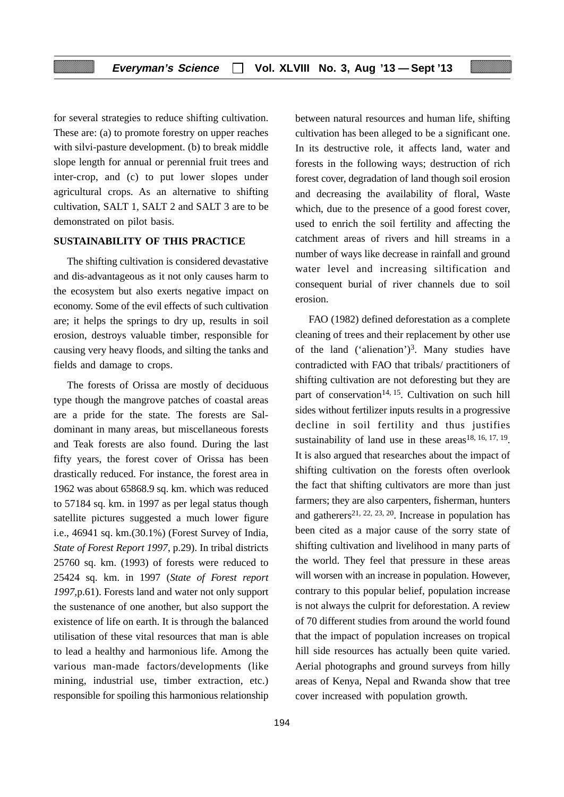for several strategies to reduce shifting cultivation. These are: (a) to promote forestry on upper reaches with silvi-pasture development. (b) to break middle slope length for annual or perennial fruit trees and inter-crop, and (c) to put lower slopes under agricultural crops. As an alternative to shifting cultivation, SALT 1, SALT 2 and SALT 3 are to be demonstrated on pilot basis.

#### **SUSTAINABILITY OF THIS PRACTICE**

The shifting cultivation is considered devastative and dis-advantageous as it not only causes harm to the ecosystem but also exerts negative impact on economy. Some of the evil effects of such cultivation are; it helps the springs to dry up, results in soil erosion, destroys valuable timber, responsible for causing very heavy floods, and silting the tanks and fields and damage to crops.

The forests of Orissa are mostly of deciduous type though the mangrove patches of coastal areas are a pride for the state. The forests are Saldominant in many areas, but miscellaneous forests and Teak forests are also found. During the last fifty years, the forest cover of Orissa has been drastically reduced. For instance, the forest area in 1962 was about 65868.9 sq. km. which was reduced to 57184 sq. km. in 1997 as per legal status though satellite pictures suggested a much lower figure i.e., 46941 sq. km.(30.1%) (Forest Survey of India, *State of Forest Report 1997*, p.29). In tribal districts 25760 sq. km. (1993) of forests were reduced to 25424 sq. km. in 1997 (*State of Forest report 1997,*p.61). Forests land and water not only support the sustenance of one another, but also support the existence of life on earth. It is through the balanced utilisation of these vital resources that man is able to lead a healthy and harmonious life. Among the various man-made factors/developments (like mining, industrial use, timber extraction, etc.) responsible for spoiling this harmonious relationship between natural resources and human life, shifting cultivation has been alleged to be a significant one. In its destructive role, it affects land, water and forests in the following ways; destruction of rich forest cover, degradation of land though soil erosion and decreasing the availability of floral, Waste which, due to the presence of a good forest cover, used to enrich the soil fertility and affecting the catchment areas of rivers and hill streams in a number of ways like decrease in rainfall and ground water level and increasing siltification and consequent burial of river channels due to soil erosion.

FAO (1982) defined deforestation as a complete cleaning of trees and their replacement by other use of the land ('alienation')<sup>3</sup>. Many studies have contradicted with FAO that tribals/ practitioners of shifting cultivation are not deforesting but they are part of conservation<sup>14, 15</sup>. Cultivation on such hill sides without fertilizer inputs results in a progressive decline in soil fertility and thus justifies sustainability of land use in these  $\arccos^{18, 16, 17, 19}$ . It is also argued that researches about the impact of shifting cultivation on the forests often overlook the fact that shifting cultivators are more than just farmers; they are also carpenters, fisherman, hunters and gatherers<sup>21, 22, 23, 20</sup>. Increase in population has been cited as a major cause of the sorry state of shifting cultivation and livelihood in many parts of the world. They feel that pressure in these areas will worsen with an increase in population. However, contrary to this popular belief, population increase is not always the culprit for deforestation. A review of 70 different studies from around the world found that the impact of population increases on tropical hill side resources has actually been quite varied. Aerial photographs and ground surveys from hilly areas of Kenya, Nepal and Rwanda show that tree cover increased with population growth.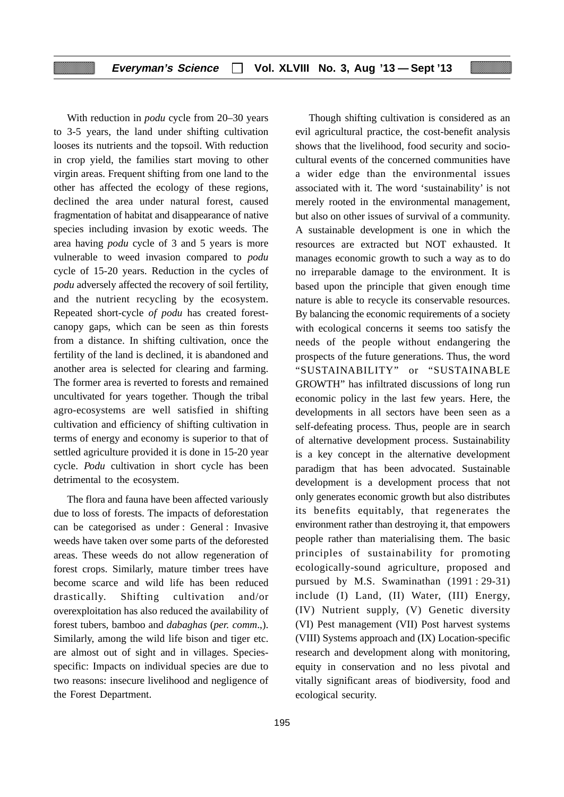With reduction in *podu* cycle from 20–30 years to 3-5 years, the land under shifting cultivation looses its nutrients and the topsoil. With reduction in crop yield, the families start moving to other virgin areas. Frequent shifting from one land to the other has affected the ecology of these regions, declined the area under natural forest, caused fragmentation of habitat and disappearance of native species including invasion by exotic weeds. The area having *podu* cycle of 3 and 5 years is more vulnerable to weed invasion compared to *podu* cycle of 15-20 years. Reduction in the cycles of *podu* adversely affected the recovery of soil fertility, and the nutrient recycling by the ecosystem. Repeated short-cycle *of podu* has created forestcanopy gaps, which can be seen as thin forests from a distance. In shifting cultivation, once the fertility of the land is declined, it is abandoned and another area is selected for clearing and farming. The former area is reverted to forests and remained uncultivated for years together. Though the tribal agro-ecosystems are well satisfied in shifting cultivation and efficiency of shifting cultivation in terms of energy and economy is superior to that of settled agriculture provided it is done in 15-20 year cycle. *Podu* cultivation in short cycle has been detrimental to the ecosystem.

The flora and fauna have been affected variously due to loss of forests. The impacts of deforestation can be categorised as under : General : Invasive weeds have taken over some parts of the deforested areas. These weeds do not allow regeneration of forest crops. Similarly, mature timber trees have become scarce and wild life has been reduced drastically. Shifting cultivation and/or overexploitation has also reduced the availability of forest tubers, bamboo and *dabaghas* (*per. comm*.,). Similarly, among the wild life bison and tiger etc. are almost out of sight and in villages. Speciesspecific: Impacts on individual species are due to two reasons: insecure livelihood and negligence of the Forest Department.

Though shifting cultivation is considered as an evil agricultural practice, the cost-benefit analysis shows that the livelihood, food security and sociocultural events of the concerned communities have a wider edge than the environmental issues associated with it. The word 'sustainability' is not merely rooted in the environmental management, but also on other issues of survival of a community. A sustainable development is one in which the resources are extracted but NOT exhausted. It manages economic growth to such a way as to do no irreparable damage to the environment. It is based upon the principle that given enough time nature is able to recycle its conservable resources. By balancing the economic requirements of a society with ecological concerns it seems too satisfy the needs of the people without endangering the prospects of the future generations. Thus, the word "SUSTAINABILITY" or "SUSTAINABLE GROWTH" has infiltrated discussions of long run economic policy in the last few years. Here, the developments in all sectors have been seen as a self-defeating process. Thus, people are in search of alternative development process. Sustainability is a key concept in the alternative development paradigm that has been advocated. Sustainable development is a development process that not only generates economic growth but also distributes its benefits equitably, that regenerates the environment rather than destroying it, that empowers people rather than materialising them. The basic principles of sustainability for promoting ecologically-sound agriculture, proposed and pursued by M.S. Swaminathan (1991 : 29-31) include (I) Land, (II) Water, (III) Energy, (IV) Nutrient supply, (V) Genetic diversity (VI) Pest management (VII) Post harvest systems (VIII) Systems approach and (IX) Location-specific research and development along with monitoring, equity in conservation and no less pivotal and vitally significant areas of biodiversity, food and ecological security.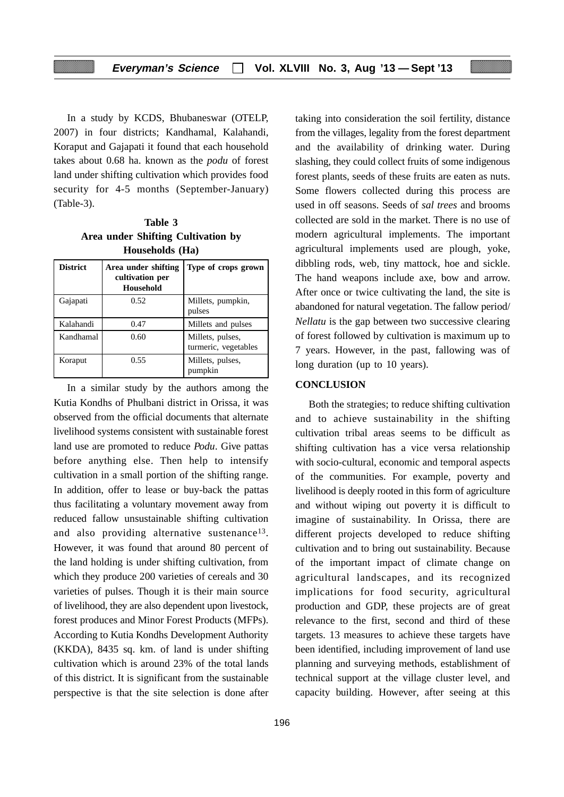In a study by KCDS, Bhubaneswar (OTELP, 2007) in four districts; Kandhamal, Kalahandi, Koraput and Gajapati it found that each household takes about 0.68 ha. known as the *podu* of forest land under shifting cultivation which provides food security for 4-5 months (September-January) (Table-3).

**Table 3 Area under Shifting Cultivation by Households (Ha)**

| <b>District</b> | Area under shifting<br>cultivation per<br><b>Household</b> | Type of crops grown                      |
|-----------------|------------------------------------------------------------|------------------------------------------|
| Gajapati        | 0.52                                                       | Millets, pumpkin,<br>pulses              |
| Kalahandi       | 0.47                                                       | Millets and pulses                       |
| Kandhamal       | 0.60                                                       | Millets, pulses,<br>turmeric, vegetables |
| Koraput         | 0.55                                                       | Millets, pulses,<br>pumpkin              |

In a similar study by the authors among the Kutia Kondhs of Phulbani district in Orissa, it was observed from the official documents that alternate livelihood systems consistent with sustainable forest land use are promoted to reduce *Podu*. Give pattas before anything else. Then help to intensify cultivation in a small portion of the shifting range. In addition, offer to lease or buy-back the pattas thus facilitating a voluntary movement away from reduced fallow unsustainable shifting cultivation and also providing alternative sustenance<sup>13</sup>. However, it was found that around 80 percent of the land holding is under shifting cultivation, from which they produce 200 varieties of cereals and 30 varieties of pulses. Though it is their main source of livelihood, they are also dependent upon livestock, forest produces and Minor Forest Products (MFPs). According to Kutia Kondhs Development Authority (KKDA), 8435 sq. km. of land is under shifting cultivation which is around 23% of the total lands of this district. It is significant from the sustainable perspective is that the site selection is done after taking into consideration the soil fertility, distance from the villages, legality from the forest department and the availability of drinking water. During slashing, they could collect fruits of some indigenous forest plants, seeds of these fruits are eaten as nuts. Some flowers collected during this process are used in off seasons. Seeds of *sal trees* and brooms collected are sold in the market. There is no use of modern agricultural implements. The important agricultural implements used are plough, yoke, dibbling rods, web, tiny mattock, hoe and sickle. The hand weapons include axe, bow and arrow. After once or twice cultivating the land, the site is abandoned for natural vegetation. The fallow period/ *Nellatu* is the gap between two successive clearing of forest followed by cultivation is maximum up to 7 years. However, in the past, fallowing was of long duration (up to 10 years).

#### **CONCLUSION**

Both the strategies; to reduce shifting cultivation and to achieve sustainability in the shifting cultivation tribal areas seems to be difficult as shifting cultivation has a vice versa relationship with socio-cultural, economic and temporal aspects of the communities. For example, poverty and livelihood is deeply rooted in this form of agriculture and without wiping out poverty it is difficult to imagine of sustainability. In Orissa, there are different projects developed to reduce shifting cultivation and to bring out sustainability. Because of the important impact of climate change on agricultural landscapes, and its recognized implications for food security, agricultural production and GDP, these projects are of great relevance to the first, second and third of these targets. 13 measures to achieve these targets have been identified, including improvement of land use planning and surveying methods, establishment of technical support at the village cluster level, and capacity building. However, after seeing at this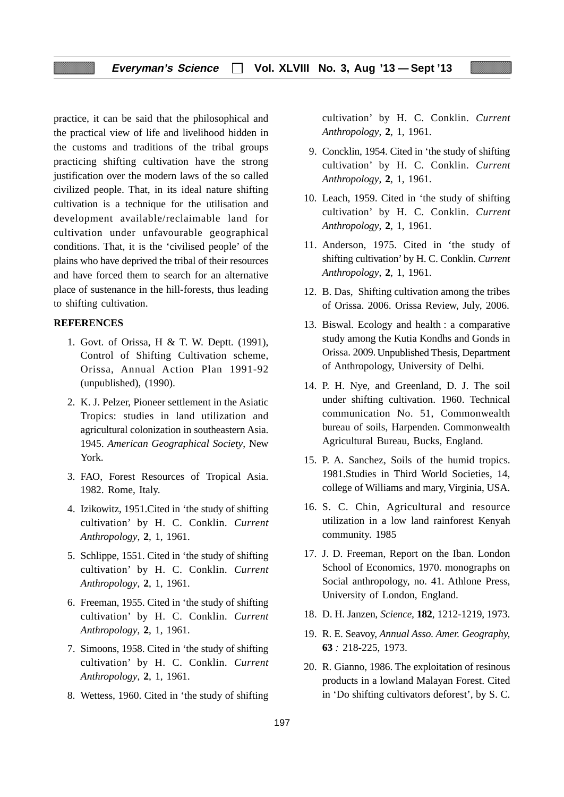practice, it can be said that the philosophical and the practical view of life and livelihood hidden in the customs and traditions of the tribal groups practicing shifting cultivation have the strong justification over the modern laws of the so called civilized people. That, in its ideal nature shifting cultivation is a technique for the utilisation and development available/reclaimable land for cultivation under unfavourable geographical conditions. That, it is the 'civilised people' of the plains who have deprived the tribal of their resources and have forced them to search for an alternative place of sustenance in the hill-forests, thus leading to shifting cultivation.

#### **REFERENCES**

- 1. Govt. of Orissa, H & T. W. Deptt. (1991), Control of Shifting Cultivation scheme, Orissa, Annual Action Plan 1991-92 (unpublished), (1990).
- 2. K. J. Pelzer, Pioneer settlement in the Asiatic Tropics: studies in land utilization and agricultural colonization in southeastern Asia. 1945. *American Geographical Society*, New York.
- 3. FAO, Forest Resources of Tropical Asia. 1982. Rome, Italy.
- 4. Izikowitz, 1951.Cited in 'the study of shifting cultivation' by H. C. Conklin. *Current Anthropology*, **2**, 1, 1961.
- 5. Schlippe, 1551. Cited in 'the study of shifting cultivation' by H. C. Conklin. *Current Anthropology*, **2**, 1, 1961.
- 6. Freeman, 1955. Cited in 'the study of shifting cultivation' by H. C. Conklin. *Current Anthropology*, **2**, 1, 1961.
- 7. Simoons, 1958. Cited in 'the study of shifting cultivation' by H. C. Conklin. *Current Anthropology*, **2**, 1, 1961.
- 8. Wettess, 1960. Cited in 'the study of shifting

cultivation' by H. C. Conklin. *Current Anthropology*, **2**, 1, 1961.

- 9. Concklin, 1954. Cited in 'the study of shifting cultivation' by H. C. Conklin. *Current Anthropology*, **2**, 1, 1961.
- 10. Leach, 1959. Cited in 'the study of shifting cultivation' by H. C. Conklin. *Current Anthropology*, **2**, 1, 1961.
- 11. Anderson, 1975. Cited in 'the study of shifting cultivation' by H. C. Conklin. *Current Anthropology*, **2**, 1, 1961.
- 12. B. Das, Shifting cultivation among the tribes of Orissa. 2006. Orissa Review, July, 2006.
- 13. Biswal. Ecology and health : a comparative study among the Kutia Kondhs and Gonds in Orissa. 2009. Unpublished Thesis, Department of Anthropology, University of Delhi.
- 14. P. H. Nye, and Greenland, D. J. The soil under shifting cultivation. 1960. Technical communication No. 51, Commonwealth bureau of soils, Harpenden. Commonwealth Agricultural Bureau, Bucks, England.
- 15. P. A. Sanchez, Soils of the humid tropics. 1981.Studies in Third World Societies, 14, college of Williams and mary, Virginia, USA.
- 16. S. C. Chin, Agricultural and resource utilization in a low land rainforest Kenyah community. 1985
- 17. J. D. Freeman, Report on the Iban. London School of Economics, 1970. monographs on Social anthropology, no. 41. Athlone Press, University of London, England.
- 18. D. H. Janzen, *Science,* **182**, 1212-1219, 1973.
- 19. R. E. Seavoy, *Annual Asso. Amer. Geography,* **63** *:* 218-225, 1973.
- 20. R. Gianno, 1986. The exploitation of resinous products in a lowland Malayan Forest. Cited in 'Do shifting cultivators deforest', by S. C.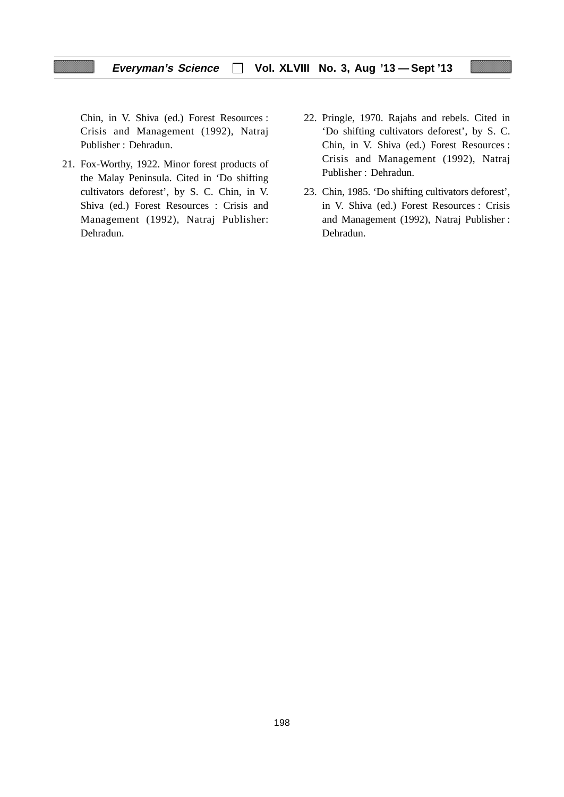Chin, in V. Shiva (ed.) Forest Resources : Crisis and Management (1992), Natraj Publisher : Dehradun.

- 21. Fox-Worthy, 1922. Minor forest products of the Malay Peninsula. Cited in 'Do shifting cultivators deforest', by S. C. Chin, in V. Shiva (ed.) Forest Resources : Crisis and Management (1992), Natraj Publisher: Dehradun.
- 22. Pringle, 1970. Rajahs and rebels. Cited in 'Do shifting cultivators deforest', by S. C. Chin, in V. Shiva (ed.) Forest Resources : Crisis and Management (1992), Natraj Publisher : Dehradun.
- 23. Chin, 1985. 'Do shifting cultivators deforest', in V. Shiva (ed.) Forest Resources : Crisis and Management (1992), Natraj Publisher : Dehradun.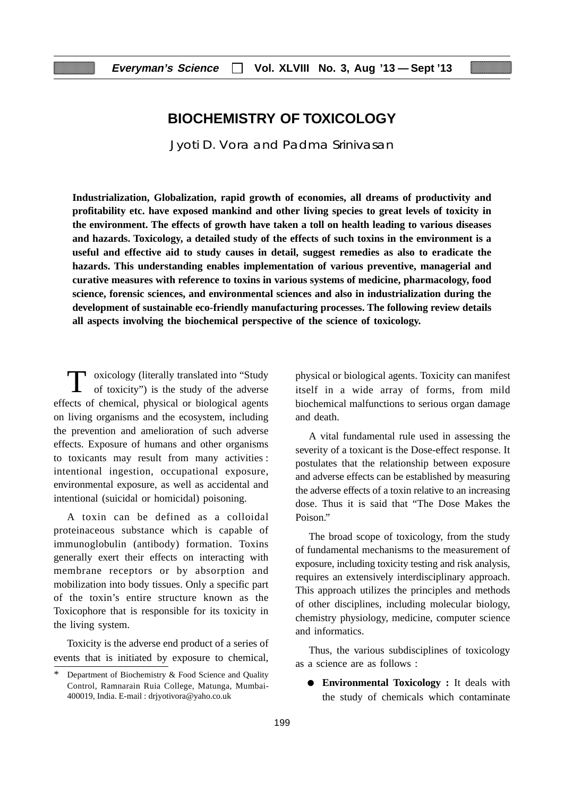# **BIOCHEMISTRY OF TOXICOLOGY**

Jyoti D. Vora and Padma Srinivasan

**Industrialization, Globalization, rapid growth of economies, all dreams of productivity and profitability etc. have exposed mankind and other living species to great levels of toxicity in the environment. The effects of growth have taken a toll on health leading to various diseases and hazards. Toxicology, a detailed study of the effects of such toxins in the environment is a useful and effective aid to study causes in detail, suggest remedies as also to eradicate the hazards. This understanding enables implementation of various preventive, managerial and curative measures with reference to toxins in various systems of medicine, pharmacology, food science, forensic sciences, and environmental sciences and also in industrialization during the development of sustainable eco-friendly manufacturing processes. The following review details all aspects involving the biochemical perspective of the science of toxicology.**

T oxicology (literally translated into "Study of toxicity") is the study of the adverse effects of chemical, physical or biological agents on living organisms and the ecosystem, including the prevention and amelioration of such adverse effects. Exposure of humans and other organisms to toxicants may result from many activities : intentional ingestion, occupational exposure, environmental exposure, as well as accidental and intentional (suicidal or homicidal) poisoning.

A toxin can be defined as a colloidal proteinaceous substance which is capable of immunoglobulin (antibody) formation. Toxins generally exert their effects on interacting with membrane receptors or by absorption and mobilization into body tissues. Only a specific part of the toxin's entire structure known as the Toxicophore that is responsible for its toxicity in the living system.

Toxicity is the adverse end product of a series of events that is initiated by exposure to chemical,

physical or biological agents. Toxicity can manifest itself in a wide array of forms, from mild biochemical malfunctions to serious organ damage and death.

A vital fundamental rule used in assessing the severity of a toxicant is the Dose-effect response. It postulates that the relationship between exposure and adverse effects can be established by measuring the adverse effects of a toxin relative to an increasing dose. Thus it is said that "The Dose Makes the Poison."

The broad scope of toxicology, from the study of fundamental mechanisms to the measurement of exposure, including toxicity testing and risk analysis, requires an extensively interdisciplinary approach. This approach utilizes the principles and methods of other disciplines, including molecular biology, chemistry physiology, medicine, computer science and informatics.

Thus, the various subdisciplines of toxicology as a science are as follows :

● **Environmental Toxicology :** It deals with the study of chemicals which contaminate

Department of Biochemistry & Food Science and Quality Control, Ramnarain Ruia College, Matunga, Mumbai-400019, India. E-mail : drjyotivora@yaho.co.uk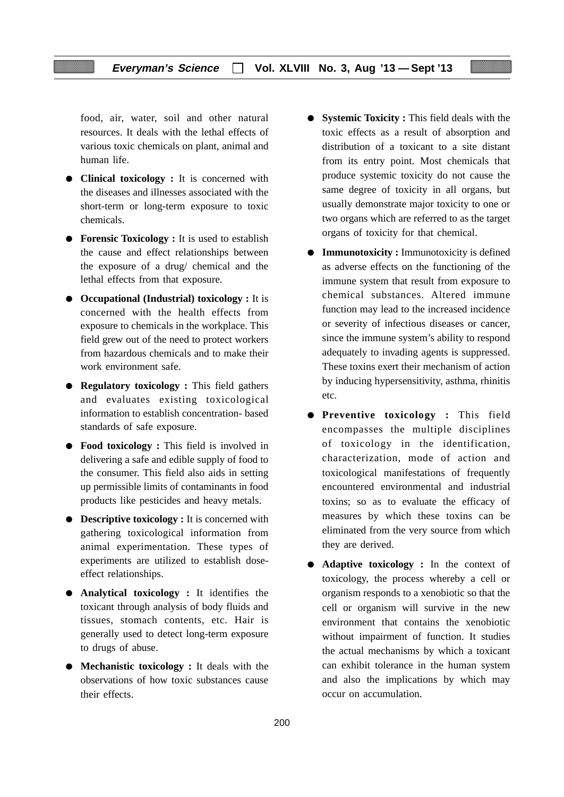food, air, water, soil and other natural resources. It deals with the lethal effects of various toxic chemicals on plant, animal and human life.

- **Clinical toxicology :** It is concerned with the diseases and illnesses associated with the short-term or long-term exposure to toxic chemicals.
- **Forensic Toxicology** : It is used to establish the cause and effect relationships between the exposure of a drug/ chemical and the lethal effects from that exposure.
- **Occupational (Industrial) toxicology :** It is concerned with the health effects from exposure to chemicals in the workplace. This field grew out of the need to protect workers from hazardous chemicals and to make their work environment safe.
- **Regulatory toxicology :** This field gathers and evaluates existing toxicological information to establish concentration- based standards of safe exposure.
- **Food toxicology** : This field is involved in delivering a safe and edible supply of food to the consumer. This field also aids in setting up permissible limits of contaminants in food products like pesticides and heavy metals.
- **Descriptive toxicology :** It is concerned with gathering toxicological information from animal experimentation. These types of experiments are utilized to establish doseeffect relationships.
- **Analytical toxicology :** It identifies the toxicant through analysis of body fluids and tissues, stomach contents, etc. Hair is generally used to detect long-term exposure to drugs of abuse.
- **Mechanistic toxicology :** It deals with the observations of how toxic substances cause their effects.
- **Systemic Toxicity :** This field deals with the toxic effects as a result of absorption and distribution of a toxicant to a site distant from its entry point. Most chemicals that produce systemic toxicity do not cause the same degree of toxicity in all organs, but usually demonstrate major toxicity to one or two organs which are referred to as the target organs of toxicity for that chemical.
- **Immunotoxicity :** Immunotoxicity is defined as adverse effects on the functioning of the immune system that result from exposure to chemical substances. Altered immune function may lead to the increased incidence or severity of infectious diseases or cancer, since the immune system's ability to respond adequately to invading agents is suppressed. These toxins exert their mechanism of action by inducing hypersensitivity, asthma, rhinitis etc.
- **Preventive toxicology :** This field encompasses the multiple disciplines of toxicology in the identification, characterization, mode of action and toxicological manifestations of frequently encountered environmental and industrial toxins; so as to evaluate the efficacy of measures by which these toxins can be eliminated from the very source from which they are derived.
- **Adaptive toxicology :** In the context of toxicology, the process whereby a cell or organism responds to a xenobiotic so that the cell or organism will survive in the new environment that contains the xenobiotic without impairment of function. It studies the actual mechanisms by which a toxicant can exhibit tolerance in the human system and also the implications by which may occur on accumulation.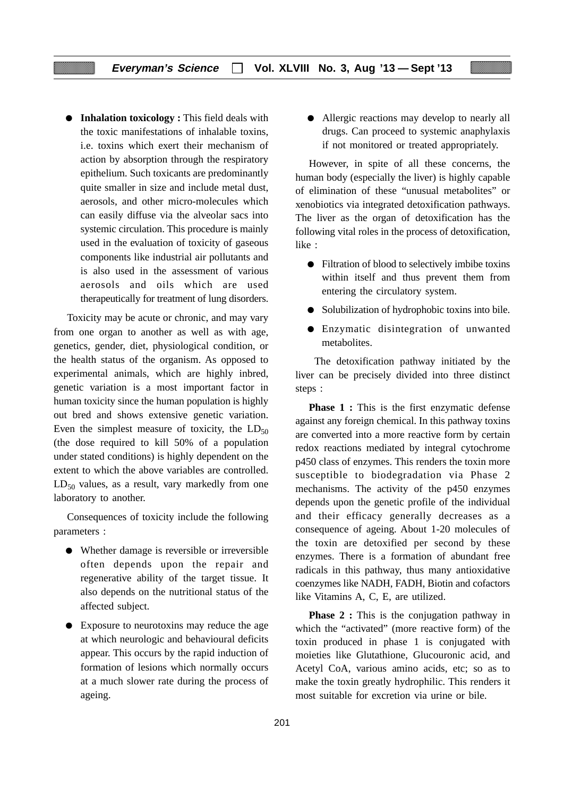● **Inhalation toxicology :** This field deals with the toxic manifestations of inhalable toxins, i.e. toxins which exert their mechanism of action by absorption through the respiratory epithelium. Such toxicants are predominantly quite smaller in size and include metal dust, aerosols, and other micro-molecules which can easily diffuse via the alveolar sacs into systemic circulation. This procedure is mainly used in the evaluation of toxicity of gaseous components like industrial air pollutants and is also used in the assessment of various aerosols and oils which are used therapeutically for treatment of lung disorders.

Toxicity may be acute or chronic, and may vary from one organ to another as well as with age, genetics, gender, diet, physiological condition, or the health status of the organism. As opposed to experimental animals, which are highly inbred, genetic variation is a most important factor in human toxicity since the human population is highly out bred and shows extensive genetic variation. Even the simplest measure of toxicity, the  $LD_{50}$ (the dose required to kill 50% of a population under stated conditions) is highly dependent on the extent to which the above variables are controlled.  $LD_{50}$  values, as a result, vary markedly from one laboratory to another.

Consequences of toxicity include the following parameters :

- Whether damage is reversible or irreversible often depends upon the repair and regenerative ability of the target tissue. It also depends on the nutritional status of the affected subject.
- Exposure to neurotoxins may reduce the age at which neurologic and behavioural deficits appear. This occurs by the rapid induction of formation of lesions which normally occurs at a much slower rate during the process of ageing.

● Allergic reactions may develop to nearly all drugs. Can proceed to systemic anaphylaxis if not monitored or treated appropriately.

However, in spite of all these concerns, the human body (especially the liver) is highly capable of elimination of these "unusual metabolites" or xenobiotics via integrated detoxification pathways. The liver as the organ of detoxification has the following vital roles in the process of detoxification, like :

- Filtration of blood to selectively imbibe toxins within itself and thus prevent them from entering the circulatory system.
- Solubilization of hydrophobic toxins into bile.
- Enzymatic disintegration of unwanted metabolites.

 The detoxification pathway initiated by the liver can be precisely divided into three distinct steps :

**Phase 1 :** This is the first enzymatic defense against any foreign chemical. In this pathway toxins are converted into a more reactive form by certain redox reactions mediated by integral cytochrome p450 class of enzymes. This renders the toxin more susceptible to biodegradation via Phase 2 mechanisms. The activity of the p450 enzymes depends upon the genetic profile of the individual and their efficacy generally decreases as a consequence of ageing. About 1-20 molecules of the toxin are detoxified per second by these enzymes. There is a formation of abundant free radicals in this pathway, thus many antioxidative coenzymes like NADH, FADH, Biotin and cofactors like Vitamins A, C, E, are utilized.

**Phase 2 :** This is the conjugation pathway in which the "activated" (more reactive form) of the toxin produced in phase 1 is conjugated with moieties like Glutathione, Glucouronic acid, and Acetyl CoA, various amino acids, etc; so as to make the toxin greatly hydrophilic. This renders it most suitable for excretion via urine or bile.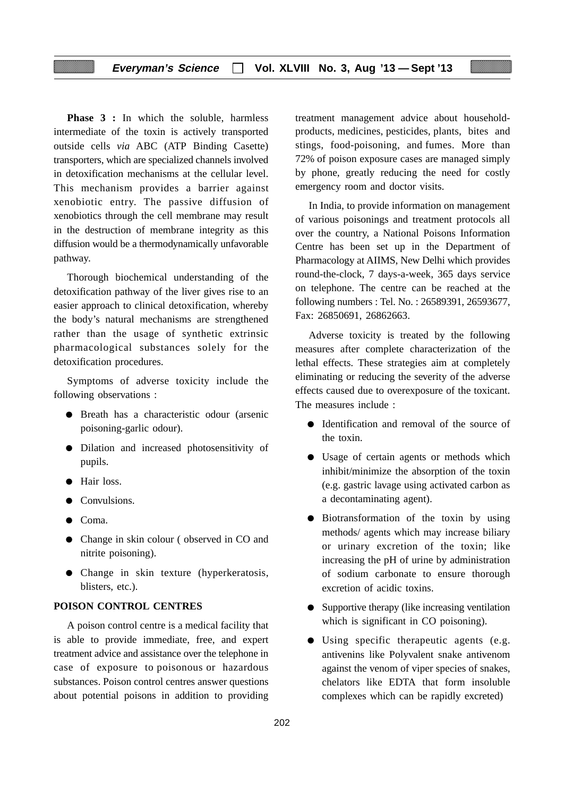**Phase 3 :** In which the soluble, harmless intermediate of the toxin is actively transported outside cells *via* ABC (ATP Binding Casette) transporters, which are specialized channels involved in detoxification mechanisms at the cellular level. This mechanism provides a barrier against xenobiotic entry. The passive diffusion of xenobiotics through the cell membrane may result in the destruction of membrane integrity as this diffusion would be a thermodynamically unfavorable pathway.

Thorough biochemical understanding of the detoxification pathway of the liver gives rise to an easier approach to clinical detoxification, whereby the body's natural mechanisms are strengthened rather than the usage of synthetic extrinsic pharmacological substances solely for the detoxification procedures.

Symptoms of adverse toxicity include the following observations :

- Breath has a characteristic odour (arsenic poisoning-garlic odour).
- Dilation and increased photosensitivity of pupils.
- Hair loss.
- Convulsions.
- Coma.
- Change in skin colour ( observed in CO and nitrite poisoning).
- Change in skin texture (hyperkeratosis, blisters, etc.).

#### **POISON CONTROL CENTRES**

A poison control centre is a medical facility that is able to provide immediate, free, and expert treatment advice and assistance over the telephone in case of exposure to poisonous or hazardous substances. Poison control centres answer questions about potential poisons in addition to providing

treatment management advice about householdproducts, medicines, pesticides, plants, bites and stings, food-poisoning, and fumes. More than 72% of poison exposure cases are managed simply by phone, greatly reducing the need for costly emergency room and doctor visits.

In India, to provide information on management of various poisonings and treatment protocols all over the country, a National Poisons Information Centre has been set up in the Department of Pharmacology at AIIMS, New Delhi which provides round-the-clock, 7 days-a-week, 365 days service on telephone. The centre can be reached at the following numbers : Tel. No. : 26589391, 26593677, Fax: 26850691, 26862663.

Adverse toxicity is treated by the following measures after complete characterization of the lethal effects. These strategies aim at completely eliminating or reducing the severity of the adverse effects caused due to overexposure of the toxicant. The measures include :

- Identification and removal of the source of the toxin.
- Usage of certain agents or methods which inhibit/minimize the absorption of the toxin (e.g. gastric lavage using activated carbon as a decontaminating agent).
- Biotransformation of the toxin by using methods/ agents which may increase biliary or urinary excretion of the toxin; like increasing the pH of urine by administration of sodium carbonate to ensure thorough excretion of acidic toxins.
- Supportive therapy (like increasing ventilation which is significant in CO poisoning).
- Using specific therapeutic agents (e.g. antivenins like Polyvalent snake antivenom against the venom of viper species of snakes, chelators like EDTA that form insoluble complexes which can be rapidly excreted)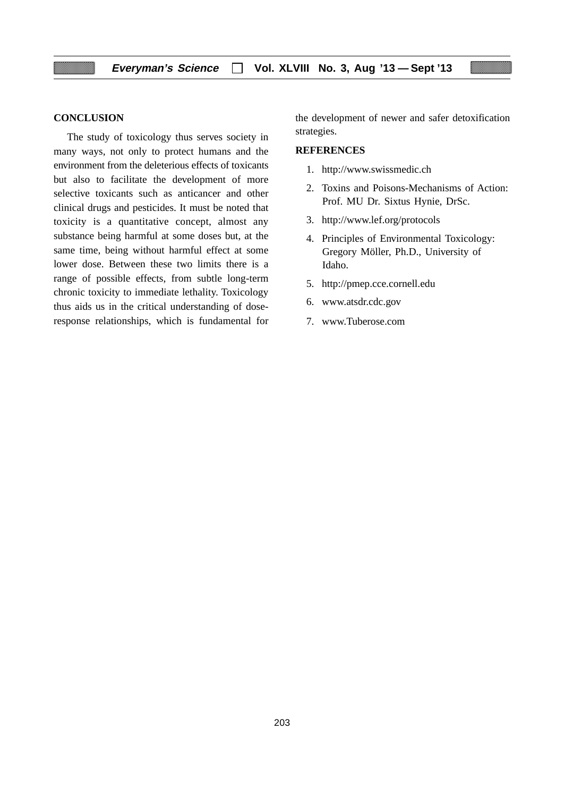#### **CONCLUSION**

The study of toxicology thus serves society in many ways, not only to protect humans and the environment from the deleterious effects of toxicants but also to facilitate the development of more selective toxicants such as anticancer and other clinical drugs and pesticides. It must be noted that toxicity is a quantitative concept, almost any substance being harmful at some doses but, at the same time, being without harmful effect at some lower dose. Between these two limits there is a range of possible effects, from subtle long-term chronic toxicity to immediate lethality. Toxicology thus aids us in the critical understanding of doseresponse relationships, which is fundamental for the development of newer and safer detoxification strategies.

#### **REFERENCES**

- 1. http://www.swissmedic.ch
- 2. Toxins and Poisons-Mechanisms of Action: Prof. MU Dr. Sixtus Hynie, DrSc.
- 3. http://www.lef.org/protocols
- 4. Principles of Environmental Toxicology: Gregory Möller, Ph.D., University of Idaho.
- 5. http://pmep.cce.cornell.edu
- 6. www.atsdr.cdc.gov
- 7. www.Tuberose.com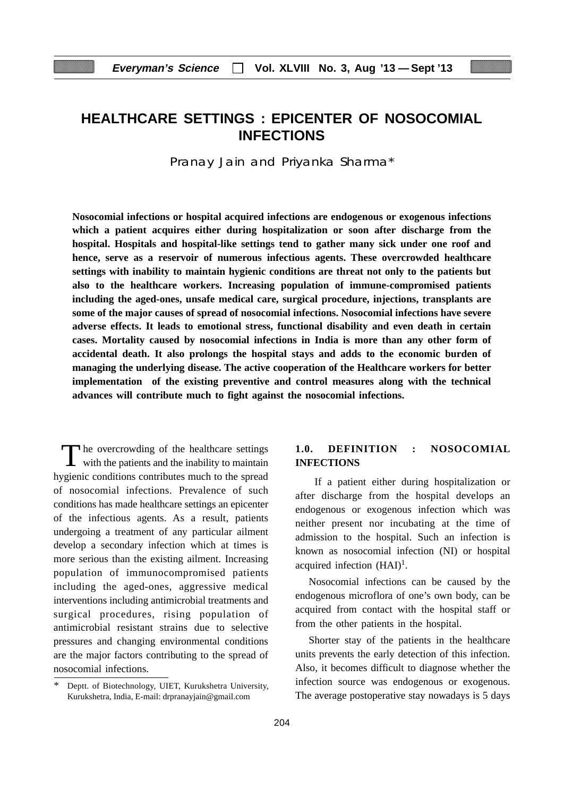# **HEALTHCARE SETTINGS : EPICENTER OF NOSOCOMIAL INFECTIONS**

Pranay Jain and Priyanka Sharma\*

**Nosocomial infections or hospital acquired infections are endogenous or exogenous infections which a patient acquires either during hospitalization or soon after discharge from the hospital. Hospitals and hospital-like settings tend to gather many sick under one roof and hence, serve as a reservoir of numerous infectious agents. These overcrowded healthcare settings with inability to maintain hygienic conditions are threat not only to the patients but also to the healthcare workers. Increasing population of immune-compromised patients including the aged-ones, unsafe medical care, surgical procedure, injections, transplants are some of the major causes of spread of nosocomial infections. Nosocomial infections have severe adverse effects. It leads to emotional stress, functional disability and even death in certain cases. Mortality caused by nosocomial infections in India is more than any other form of accidental death. It also prolongs the hospital stays and adds to the economic burden of managing the underlying disease. The active cooperation of the Healthcare workers for better implementation of the existing preventive and control measures along with the technical advances will contribute much to fight against the nosocomial infections.**

The overcrowding of the healthcare settings<br>with the patients and the inability to maintain hygienic conditions contributes much to the spread of nosocomial infections. Prevalence of such conditions has made healthcare settings an epicenter of the infectious agents. As a result, patients undergoing a treatment of any particular ailment develop a secondary infection which at times is more serious than the existing ailment. Increasing population of immunocompromised patients including the aged-ones, aggressive medical interventions including antimicrobial treatments and surgical procedures, rising population of antimicrobial resistant strains due to selective pressures and changing environmental conditions are the major factors contributing to the spread of nosocomial infections.

#### **1.0. DEFINITION : NOSOCOMIAL INFECTIONS**

 If a patient either during hospitalization or after discharge from the hospital develops an endogenous or exogenous infection which was neither present nor incubating at the time of admission to the hospital. Such an infection is known as nosocomial infection (NI) or hospital acquired infection  $(HAI)<sup>1</sup>$ .

Nosocomial infections can be caused by the endogenous microflora of one's own body, can be acquired from contact with the hospital staff or from the other patients in the hospital.

Shorter stay of the patients in the healthcare units prevents the early detection of this infection. Also, it becomes difficult to diagnose whether the infection source was endogenous or exogenous. The average postoperative stay nowadays is 5 days

Deptt. of Biotechnology, UIET, Kurukshetra University, Kurukshetra, India, E-mail: drpranayjain@gmail.com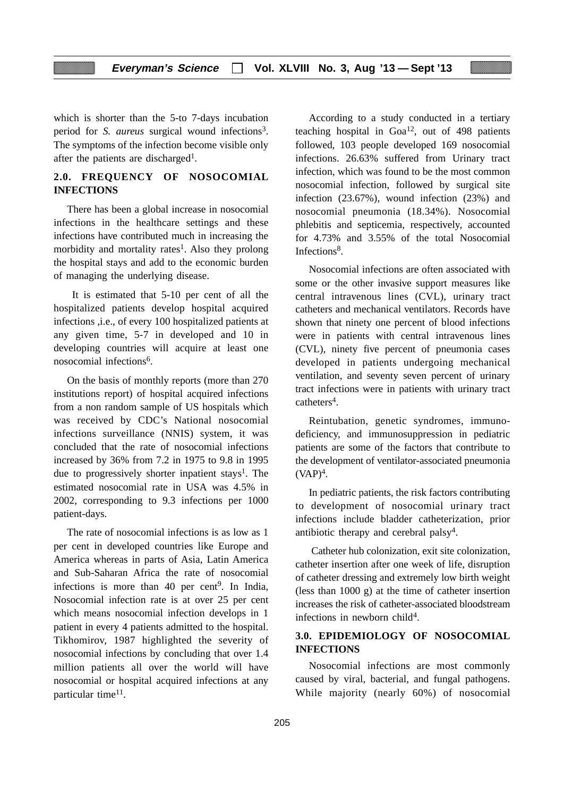which is shorter than the 5-to 7-days incubation period for *S. aureus* surgical wound infections<sup>3</sup>. The symptoms of the infection become visible only after the patients are discharged<sup>1</sup>.

# **2.0. FREQUENCY OF NOSOCOMIAL INFECTIONS**

There has been a global increase in nosocomial infections in the healthcare settings and these infections have contributed much in increasing the morbidity and mortality rates<sup>1</sup>. Also they prolong the hospital stays and add to the economic burden of managing the underlying disease.

 It is estimated that 5-10 per cent of all the hospitalized patients develop hospital acquired infections ,i.e., of every 100 hospitalized patients at any given time, 5-7 in developed and 10 in developing countries will acquire at least one nosocomial infections<sup>6</sup>.

On the basis of monthly reports (more than 270 institutions report) of hospital acquired infections from a non random sample of US hospitals which was received by CDC's National nosocomial infections surveillance (NNIS) system, it was concluded that the rate of nosocomial infections increased by 36% from 7.2 in 1975 to 9.8 in 1995 due to progressively shorter inpatient stays<sup>1</sup>. The estimated nosocomial rate in USA was 4.5% in 2002, corresponding to 9.3 infections per 1000 patient-days.

The rate of nosocomial infections is as low as 1 per cent in developed countries like Europe and America whereas in parts of Asia, Latin America and Sub-Saharan Africa the rate of nosocomial infections is more than 40 per cent<sup>9</sup>. In India, Nosocomial infection rate is at over 25 per cent which means nosocomial infection develops in 1 patient in every 4 patients admitted to the hospital. Tikhomirov, 1987 highlighted the severity of nosocomial infections by concluding that over 1.4 million patients all over the world will have nosocomial or hospital acquired infections at any particular time<sup>11</sup>.

According to a study conducted in a tertiary teaching hospital in  $Goa^{12}$ , out of 498 patients followed, 103 people developed 169 nosocomial infections. 26.63% suffered from Urinary tract infection, which was found to be the most common nosocomial infection, followed by surgical site infection (23.67%), wound infection (23%) and nosocomial pneumonia (18.34%). Nosocomial phlebitis and septicemia, respectively, accounted for 4.73% and 3.55% of the total Nosocomial Infections<sup>8</sup>.

Nosocomial infections are often associated with some or the other invasive support measures like central intravenous lines (CVL), urinary tract catheters and mechanical ventilators. Records have shown that ninety one percent of blood infections were in patients with central intravenous lines (CVL), ninety five percent of pneumonia cases developed in patients undergoing mechanical ventilation, and seventy seven percent of urinary tract infections were in patients with urinary tract catheters4.

Reintubation, genetic syndromes, immunodeficiency, and immunosuppression in pediatric patients are some of the factors that contribute to the development of ventilator-associated pneumonia  $(VAP)^4$ .

In pediatric patients, the risk factors contributing to development of nosocomial urinary tract infections include bladder catheterization, prior antibiotic therapy and cerebral palsy4.

 Catheter hub colonization, exit site colonization, catheter insertion after one week of life, disruption of catheter dressing and extremely low birth weight (less than 1000 g) at the time of catheter insertion increases the risk of catheter-associated bloodstream infections in newborn child<sup>4</sup>.

# **3.0. EPIDEMIOLOGY OF NOSOCOMIAL INFECTIONS**

Nosocomial infections are most commonly caused by viral, bacterial, and fungal pathogens. While majority (nearly 60%) of nosocomial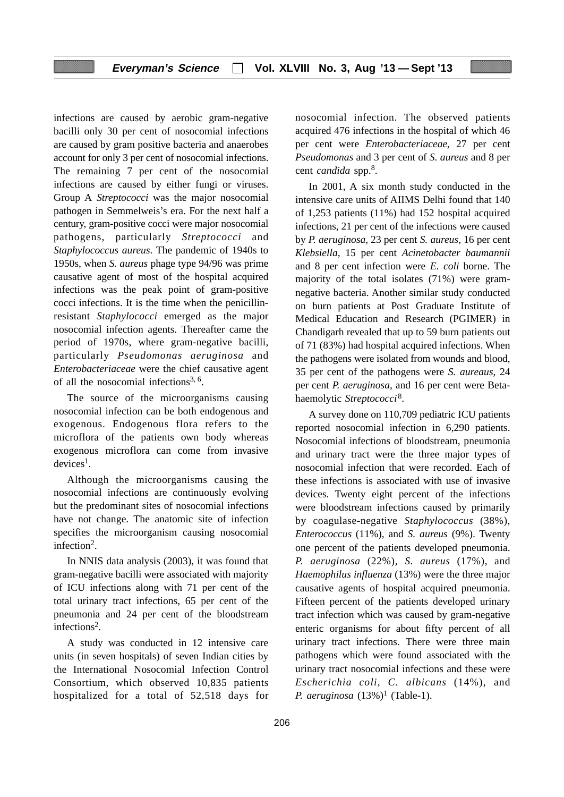infections are caused by aerobic gram-negative bacilli only 30 per cent of nosocomial infections are caused by gram positive bacteria and anaerobes account for only 3 per cent of nosocomial infections. The remaining 7 per cent of the nosocomial infections are caused by either fungi or viruses. Group A *Streptococci* was the major nosocomial pathogen in Semmelweis's era. For the next half a century, gram-positive cocci were major nosocomial pathogens, particularly *Streptococci* and *Staphylococcus aureus*. The pandemic of 1940s to 1950s, when *S. aureus* phage type 94/96 was prime causative agent of most of the hospital acquired infections was the peak point of gram-positive cocci infections. It is the time when the penicillinresistant *Staphylococci* emerged as the major nosocomial infection agents. Thereafter came the period of 1970s, where gram-negative bacilli, particularly *Pseudomonas aeruginosa* and *Enterobacteriaceae* were the chief causative agent of all the nosocomial infections<sup>3, 6</sup>.

The source of the microorganisms causing nosocomial infection can be both endogenous and exogenous. Endogenous flora refers to the microflora of the patients own body whereas exogenous microflora can come from invasive  $devices<sup>1</sup>$ .

Although the microorganisms causing the nosocomial infections are continuously evolving but the predominant sites of nosocomial infections have not change. The anatomic site of infection specifies the microorganism causing nosocomial infection2.

In NNIS data analysis (2003), it was found that gram-negative bacilli were associated with majority of ICU infections along with 71 per cent of the total urinary tract infections, 65 per cent of the pneumonia and 24 per cent of the bloodstream infections2.

A study was conducted in 12 intensive care units (in seven hospitals) of seven Indian cities by the International Nosocomial Infection Control Consortium, which observed 10,835 patients hospitalized for a total of 52,518 days for nosocomial infection. The observed patients acquired 476 infections in the hospital of which 46 per cent were *Enterobacteriaceae*, 27 per cent *Pseudomonas* and 3 per cent of *S. aureus* and 8 per cent *candida* spp.8.

In 2001, A six month study conducted in the intensive care units of AIIMS Delhi found that 140 of 1,253 patients (11%) had 152 hospital acquired infections, 21 per cent of the infections were caused by *P. aeruginosa*, 23 per cent *S. aureus*, 16 per cent *Klebsiella*, 15 per cent *Acinetobacter baumannii* and 8 per cent infection were *E. coli* borne. The majority of the total isolates (71%) were gramnegative bacteria. Another similar study conducted on burn patients at Post Graduate Institute of Medical Education and Research (PGIMER) in Chandigarh revealed that up to 59 burn patients out of 71 (83%) had hospital acquired infections. When the pathogens were isolated from wounds and blood, 35 per cent of the pathogens were *S. aureaus*, 24 per cent *P. aeruginosa*, and 16 per cent were Betahaemolytic *Streptococci*8.

A survey done on 110,709 pediatric ICU patients reported nosocomial infection in 6,290 patients. Nosocomial infections of bloodstream, pneumonia and urinary tract were the three major types of nosocomial infection that were recorded. Each of these infections is associated with use of invasive devices. Twenty eight percent of the infections were bloodstream infections caused by primarily by coagulase-negative *Staphylococcus* (38%), *Enterococcus* (11%), and *S. aureus* (9%). Twenty one percent of the patients developed pneumonia. *P. aeruginosa* (22%), *S. aureus* (17%), and *Haemophilus influenza* (13%) were the three major causative agents of hospital acquired pneumonia. Fifteen percent of the patients developed urinary tract infection which was caused by gram-negative enteric organisms for about fifty percent of all urinary tract infections. There were three main pathogens which were found associated with the urinary tract nosocomial infections and these were *Escherichia coli*, *C. albicans* (14%), and *P. aeruginosa*  $(13%)^1$  (Table-1).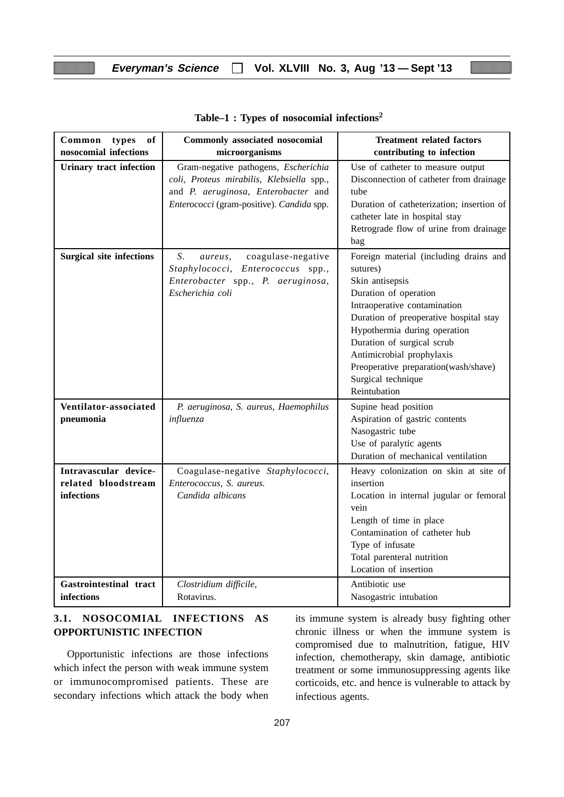| Common<br>types<br>of<br>nosocomial infections             | Commonly associated nosocomial<br>microorganisms                                                                                                                      | <b>Treatment related factors</b><br>contributing to infection                                                                                                                                                                                                                                                                                     |
|------------------------------------------------------------|-----------------------------------------------------------------------------------------------------------------------------------------------------------------------|---------------------------------------------------------------------------------------------------------------------------------------------------------------------------------------------------------------------------------------------------------------------------------------------------------------------------------------------------|
| <b>Urinary tract infection</b>                             | Gram-negative pathogens, Escherichia<br>coli, Proteus mirabilis, Klebsiella spp.,<br>and P. aeruginosa, Enterobacter and<br>Enterococci (gram-positive). Candida spp. | Use of catheter to measure output<br>Disconnection of catheter from drainage<br>tube<br>Duration of catheterization; insertion of<br>catheter late in hospital stay<br>Retrograde flow of urine from drainage<br>bag                                                                                                                              |
| <b>Surgical site infections</b>                            | S.<br>coagulase-negative<br>aureus,<br>Staphylococci, Enterococcus spp.,<br>Enterobacter spp., P. aeruginosa,<br>Escherichia coli                                     | Foreign material (including drains and<br>sutures)<br>Skin antisepsis<br>Duration of operation<br>Intraoperative contamination<br>Duration of preoperative hospital stay<br>Hypothermia during operation<br>Duration of surgical scrub<br>Antimicrobial prophylaxis<br>Preoperative preparation(wash/shave)<br>Surgical technique<br>Reintubation |
| Ventilator-associated<br>pneumonia                         | P. aeruginosa, S. aureus, Haemophilus<br>influenza                                                                                                                    | Supine head position<br>Aspiration of gastric contents<br>Nasogastric tube<br>Use of paralytic agents<br>Duration of mechanical ventilation                                                                                                                                                                                                       |
| Intravascular device-<br>related bloodstream<br>infections | Coagulase-negative Staphylococci,<br>Enterococcus, S. aureus.<br>Candida albicans                                                                                     | Heavy colonization on skin at site of<br>insertion<br>Location in internal jugular or femoral<br>vein<br>Length of time in place<br>Contamination of catheter hub<br>Type of infusate<br>Total parenteral nutrition<br>Location of insertion                                                                                                      |
| Gastrointestinal tract<br>infections                       | Clostridium difficile,<br>Rotavirus.                                                                                                                                  | Antibiotic use<br>Nasogastric intubation                                                                                                                                                                                                                                                                                                          |

#### **Table–1 : Types of nosocomial infections<sup>2</sup>**

# **3.1. NOSOCOMIAL INFECTIONS AS OPPORTUNISTIC INFECTION**

Opportunistic infections are those infections which infect the person with weak immune system or immunocompromised patients. These are secondary infections which attack the body when

its immune system is already busy fighting other chronic illness or when the immune system is compromised due to malnutrition, fatigue, HIV infection, chemotherapy, skin damage, antibiotic treatment or some immunosuppressing agents like corticoids, etc. and hence is vulnerable to attack by infectious agents.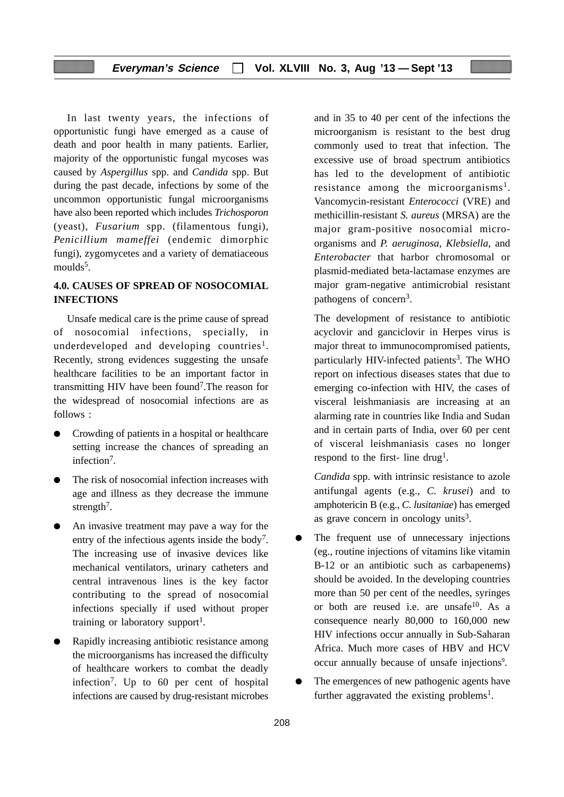In last twenty years, the infections of opportunistic fungi have emerged as a cause of death and poor health in many patients. Earlier, majority of the opportunistic fungal mycoses was caused by *Aspergillus* spp. and *Candida* spp. But during the past decade, infections by some of the uncommon opportunistic fungal microorganisms have also been reported which includes *Trichosporon* (yeast), *Fusarium* spp. (filamentous fungi), *Penicillium mameffei* (endemic dimorphic fungi), zygomycetes and a variety of dematiaceous moulds<sup>5</sup>.

# **4.0. CAUSES OF SPREAD OF NOSOCOMIAL INFECTIONS**

Unsafe medical care is the prime cause of spread of nosocomial infections, specially, in underdeveloped and developing countries<sup>1</sup>. Recently, strong evidences suggesting the unsafe healthcare facilities to be an important factor in transmitting HIV have been found7.The reason for the widespread of nosocomial infections are as follows :

- Crowding of patients in a hospital or healthcare setting increase the chances of spreading an infection7.
- The risk of nosocomial infection increases with age and illness as they decrease the immune strength<sup>7</sup>.
- An invasive treatment may pave a way for the entry of the infectious agents inside the body<sup>7</sup>. The increasing use of invasive devices like mechanical ventilators, urinary catheters and central intravenous lines is the key factor contributing to the spread of nosocomial infections specially if used without proper training or laboratory support<sup>1</sup>.
- Rapidly increasing antibiotic resistance among the microorganisms has increased the difficulty of healthcare workers to combat the deadly infection7. Up to 60 per cent of hospital infections are caused by drug-resistant microbes

and in 35 to 40 per cent of the infections the microorganism is resistant to the best drug commonly used to treat that infection. The excessive use of broad spectrum antibiotics has led to the development of antibiotic resistance among the microorganisms<sup>1</sup>. Vancomycin-resistant *Enterococci* (VRE) and methicillin-resistant *S. aureus* (MRSA) are the major gram-positive nosocomial microorganisms and *P. aeruginosa*, *Klebsiella*, and *Enterobacter* that harbor chromosomal or plasmid-mediated beta-lactamase enzymes are major gram-negative antimicrobial resistant pathogens of concern<sup>3</sup>.

The development of resistance to antibiotic acyclovir and ganciclovir in Herpes virus is major threat to immunocompromised patients, particularly HIV-infected patients<sup>3</sup>. The WHO report on infectious diseases states that due to emerging co-infection with HIV, the cases of visceral leishmaniasis are increasing at an alarming rate in countries like India and Sudan and in certain parts of India, over 60 per cent of visceral leishmaniasis cases no longer respond to the first- line drug<sup>1</sup>.

*Candida* spp. with intrinsic resistance to azole antifungal agents (e.g., *C. krusei*) and to amphotericin B (e.g., *C. lusitaniae*) has emerged as grave concern in oncology units<sup>3</sup>.

- The frequent use of unnecessary injections (eg., routine injections of vitamins like vitamin B-12 or an antibiotic such as carbapenems) should be avoided. In the developing countries more than 50 per cent of the needles, syringes or both are reused i.e. are unsafe<sup>10</sup>. As a consequence nearly 80,000 to 160,000 new HIV infections occur annually in Sub-Saharan Africa. Much more cases of HBV and HCV occur annually because of unsafe injections<sup>9</sup>.
- The emergences of new pathogenic agents have further aggravated the existing problems<sup>1</sup>.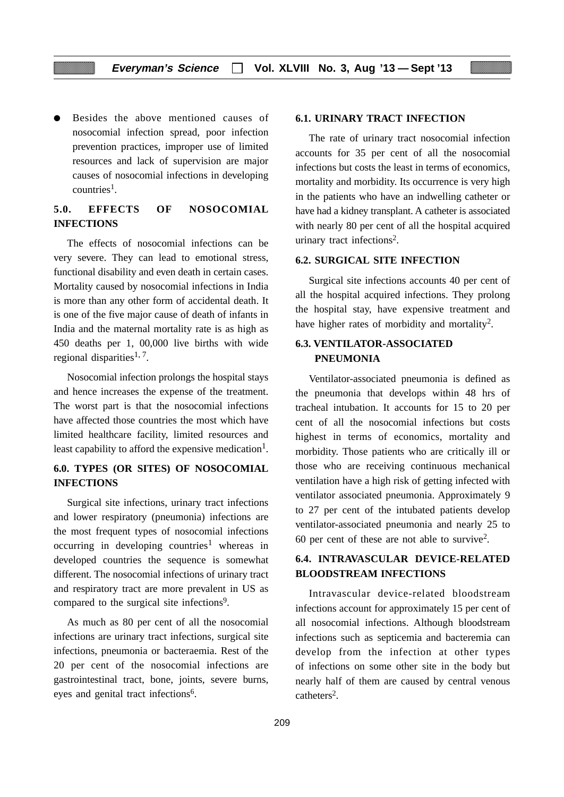Besides the above mentioned causes of nosocomial infection spread, poor infection prevention practices, improper use of limited resources and lack of supervision are major causes of nosocomial infections in developing  $countries<sup>1</sup>$ .

# **5.0. EFFECTS OF NOSOCOMIAL INFECTIONS**

The effects of nosocomial infections can be very severe. They can lead to emotional stress, functional disability and even death in certain cases. Mortality caused by nosocomial infections in India is more than any other form of accidental death. It is one of the five major cause of death of infants in India and the maternal mortality rate is as high as 450 deaths per 1, 00,000 live births with wide regional disparities<sup>1, 7</sup>.

Nosocomial infection prolongs the hospital stays and hence increases the expense of the treatment. The worst part is that the nosocomial infections have affected those countries the most which have limited healthcare facility, limited resources and least capability to afford the expensive medication<sup>1</sup>.

# **6.0. TYPES (OR SITES) OF NOSOCOMIAL INFECTIONS**

Surgical site infections, urinary tract infections and lower respiratory (pneumonia) infections are the most frequent types of nosocomial infections occurring in developing countries<sup>1</sup> whereas in developed countries the sequence is somewhat different. The nosocomial infections of urinary tract and respiratory tract are more prevalent in US as compared to the surgical site infections<sup>9</sup>.

As much as 80 per cent of all the nosocomial infections are urinary tract infections, surgical site infections, pneumonia or bacteraemia. Rest of the 20 per cent of the nosocomial infections are gastrointestinal tract, bone, joints, severe burns, eyes and genital tract infections<sup>6</sup>.

#### **6.1. URINARY TRACT INFECTION**

The rate of urinary tract nosocomial infection accounts for 35 per cent of all the nosocomial infections but costs the least in terms of economics, mortality and morbidity. Its occurrence is very high in the patients who have an indwelling catheter or have had a kidney transplant. A catheter is associated with nearly 80 per cent of all the hospital acquired urinary tract infections<sup>2</sup>.

#### **6.2. SURGICAL SITE INFECTION**

Surgical site infections accounts 40 per cent of all the hospital acquired infections. They prolong the hospital stay, have expensive treatment and have higher rates of morbidity and mortality<sup>2</sup>.

# **6.3. VENTILATOR-ASSOCIATED PNEUMONIA**

Ventilator-associated pneumonia is defined as the pneumonia that develops within 48 hrs of tracheal intubation. It accounts for 15 to 20 per cent of all the nosocomial infections but costs highest in terms of economics, mortality and morbidity. Those patients who are critically ill or those who are receiving continuous mechanical ventilation have a high risk of getting infected with ventilator associated pneumonia. Approximately 9 to 27 per cent of the intubated patients develop ventilator-associated pneumonia and nearly 25 to 60 per cent of these are not able to survive2.

# **6.4. INTRAVASCULAR DEVICE-RELATED BLOODSTREAM INFECTIONS**

Intravascular device-related bloodstream infections account for approximately 15 per cent of all nosocomial infections. Although bloodstream infections such as septicemia and bacteremia can develop from the infection at other types of infections on some other site in the body but nearly half of them are caused by central venous catheters<sup>2</sup>.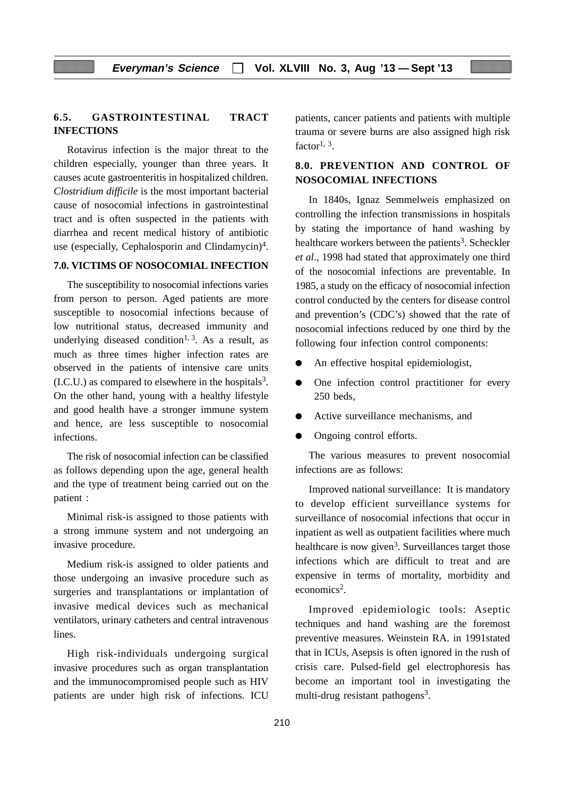#### **6.5. GASTROINTESTINAL TRACT INFECTIONS**

Rotavirus infection is the major threat to the children especially, younger than three years. It causes acute gastroenteritis in hospitalized children. *Clostridium difficile* is the most important bacterial cause of nosocomial infections in gastrointestinal tract and is often suspected in the patients with diarrhea and recent medical history of antibiotic use (especially, Cephalosporin and Clindamycin)<sup>4</sup>.

### **7.0. VICTIMS OF NOSOCOMIAL INFECTION**

The susceptibility to nosocomial infections varies from person to person. Aged patients are more susceptible to nosocomial infections because of low nutritional status, decreased immunity and underlying diseased condition<sup>1, 3</sup>. As a result, as much as three times higher infection rates are observed in the patients of intensive care units  $(IC.U.)$  as compared to elsewhere in the hospitals<sup>3</sup>. On the other hand, young with a healthy lifestyle and good health have a stronger immune system and hence, are less susceptible to nosocomial infections.

The risk of nosocomial infection can be classified as follows depending upon the age, general health and the type of treatment being carried out on the patient :

Minimal risk-is assigned to those patients with a strong immune system and not undergoing an invasive procedure.

Medium risk-is assigned to older patients and those undergoing an invasive procedure such as surgeries and transplantations or implantation of invasive medical devices such as mechanical ventilators, urinary catheters and central intravenous lines.

High risk-individuals undergoing surgical invasive procedures such as organ transplantation and the immunocompromised people such as HIV patients are under high risk of infections. ICU patients, cancer patients and patients with multiple trauma or severe burns are also assigned high risk factor<sup>1, 3</sup>.

# **8.0. PREVENTION AND CONTROL OF NOSOCOMIAL INFECTIONS**

In 1840s, Ignaz Semmelweis emphasized on controlling the infection transmissions in hospitals by stating the importance of hand washing by healthcare workers between the patients<sup>3</sup>. Scheckler *et al*., 1998 had stated that approximately one third of the nosocomial infections are preventable. In 1985, a study on the efficacy of nosocomial infection control conducted by the centers for disease control and prevention's (CDC's) showed that the rate of nosocomial infections reduced by one third by the following four infection control components:

- An effective hospital epidemiologist,
- One infection control practitioner for every  $250$  beds
- Active surveillance mechanisms, and
- Ongoing control efforts.

The various measures to prevent nosocomial infections are as follows:

Improved national surveillance: It is mandatory to develop efficient surveillance systems for surveillance of nosocomial infections that occur in inpatient as well as outpatient facilities where much healthcare is now given<sup>3</sup>. Surveillances target those infections which are difficult to treat and are expensive in terms of mortality, morbidity and economics2.

Improved epidemiologic tools: Aseptic techniques and hand washing are the foremost preventive measures. Weinstein RA. in 1991stated that in ICUs, Asepsis is often ignored in the rush of crisis care. Pulsed-field gel electrophoresis has become an important tool in investigating the multi-drug resistant pathogens<sup>3</sup>.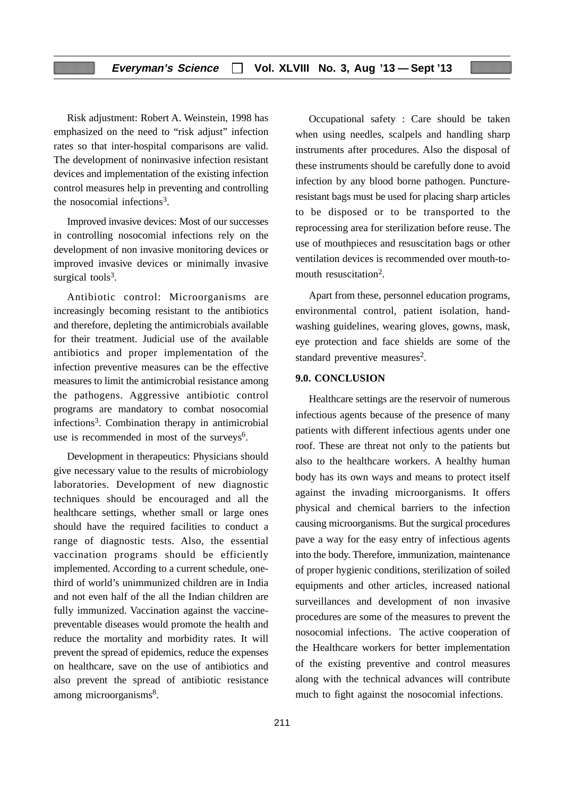Risk adjustment: Robert A. Weinstein, 1998 has emphasized on the need to "risk adjust" infection rates so that inter-hospital comparisons are valid. The development of noninvasive infection resistant devices and implementation of the existing infection control measures help in preventing and controlling the nosocomial infections3.

Improved invasive devices: Most of our successes in controlling nosocomial infections rely on the development of non invasive monitoring devices or improved invasive devices or minimally invasive surgical tools $3$ .

Antibiotic control: Microorganisms are increasingly becoming resistant to the antibiotics and therefore, depleting the antimicrobials available for their treatment. Judicial use of the available antibiotics and proper implementation of the infection preventive measures can be the effective measures to limit the antimicrobial resistance among the pathogens. Aggressive antibiotic control programs are mandatory to combat nosocomial infections3. Combination therapy in antimicrobial use is recommended in most of the surveys<sup>6</sup>.

Development in therapeutics: Physicians should give necessary value to the results of microbiology laboratories. Development of new diagnostic techniques should be encouraged and all the healthcare settings, whether small or large ones should have the required facilities to conduct a range of diagnostic tests. Also, the essential vaccination programs should be efficiently implemented. According to a current schedule, onethird of world's unimmunized children are in India and not even half of the all the Indian children are fully immunized. Vaccination against the vaccinepreventable diseases would promote the health and reduce the mortality and morbidity rates. It will prevent the spread of epidemics, reduce the expenses on healthcare, save on the use of antibiotics and also prevent the spread of antibiotic resistance among microorganisms<sup>8</sup>.

Occupational safety : Care should be taken when using needles, scalpels and handling sharp instruments after procedures. Also the disposal of these instruments should be carefully done to avoid infection by any blood borne pathogen. Punctureresistant bags must be used for placing sharp articles to be disposed or to be transported to the reprocessing area for sterilization before reuse. The use of mouthpieces and resuscitation bags or other ventilation devices is recommended over mouth-tomouth resuscitation<sup>2</sup>

Apart from these, personnel education programs, environmental control, patient isolation, handwashing guidelines, wearing gloves, gowns, mask, eye protection and face shields are some of the standard preventive measures<sup>2</sup>.

#### **9.0. CONCLUSION**

Healthcare settings are the reservoir of numerous infectious agents because of the presence of many patients with different infectious agents under one roof. These are threat not only to the patients but also to the healthcare workers. A healthy human body has its own ways and means to protect itself against the invading microorganisms. It offers physical and chemical barriers to the infection causing microorganisms. But the surgical procedures pave a way for the easy entry of infectious agents into the body. Therefore, immunization, maintenance of proper hygienic conditions, sterilization of soiled equipments and other articles, increased national surveillances and development of non invasive procedures are some of the measures to prevent the nosocomial infections. The active cooperation of the Healthcare workers for better implementation of the existing preventive and control measures along with the technical advances will contribute much to fight against the nosocomial infections.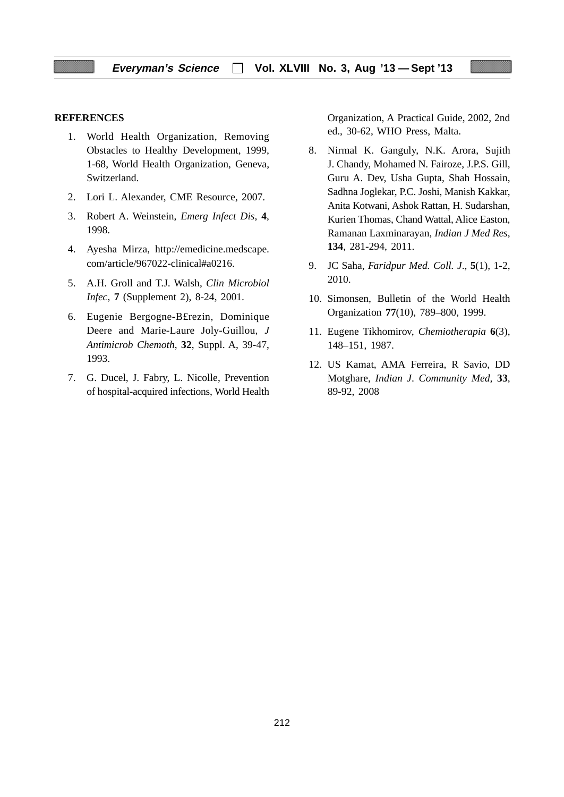#### **REFERENCES**

- 1. World Health Organization, Removing Obstacles to Healthy Development, 1999, 1-68, World Health Organization, Geneva, Switzerland.
- 2. Lori L. Alexander, CME Resource, 2007.
- 3. Robert A. Weinstein, *Emerg Infect Dis*, **4**, 1998.
- 4. Ayesha Mirza, http://emedicine.medscape. com/article/967022-clinical#a0216.
- 5. A.H. Groll and T.J. Walsh, *Clin Microbiol Infec*, **7** (Supplement 2), 8-24, 2001.
- 6. Eugenie Bergogne-B£rezin, Dominique Deere and Marie-Laure Joly-Guillou, *J Antimicrob Chemoth*, **32**, Suppl. A, 39-47, 1993.
- 7. G. Ducel, J. Fabry, L. Nicolle, Prevention of hospital-acquired infections, World Health

Organization, A Practical Guide, 2002, 2nd ed., 30-62, WHO Press, Malta.

- 8. Nirmal K. Ganguly, N.K. Arora, Sujith J. Chandy, Mohamed N. Fairoze, J.P.S. Gill, Guru A. Dev, Usha Gupta, Shah Hossain, Sadhna Joglekar, P.C. Joshi, Manish Kakkar, Anita Kotwani, Ashok Rattan, H. Sudarshan, Kurien Thomas, Chand Wattal, Alice Easton, Ramanan Laxminarayan, *Indian J Med Res*, **134**, 281-294, 2011.
- 9. JC Saha, *Faridpur Med. Coll. J*., **5**(1), 1-2, 2010.
- 10. Simonsen, Bulletin of the World Health Organization **77**(10), 789–800, 1999.
- 11. Eugene Tikhomirov, *Chemiotherapia* **6**(3), 148–151, 1987.
- 12. US Kamat, AMA Ferreira, R Savio, DD Motghare, *Indian J*. *Community Med,* **33**, 89-92, 2008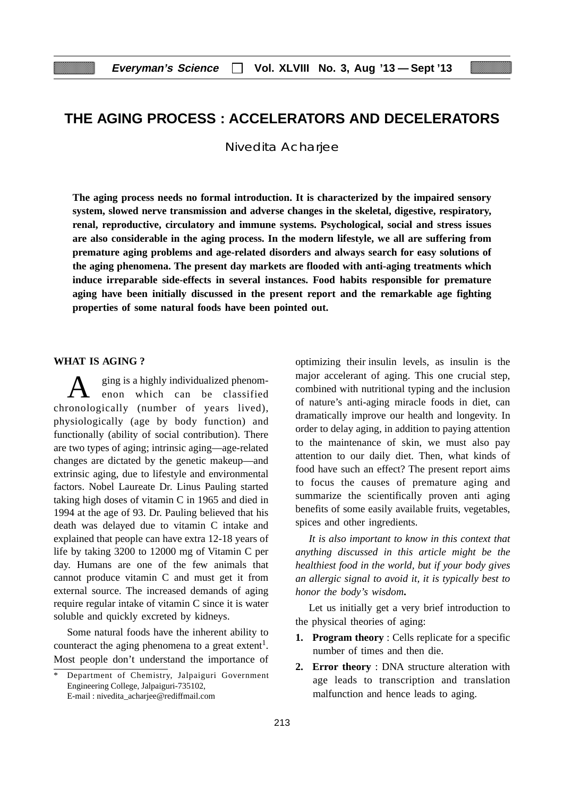# **THE AGING PROCESS : ACCELERATORS AND DECELERATORS**

Nivedita Acharjee

**The aging process needs no formal introduction. It is characterized by the impaired sensory system, slowed nerve transmission and adverse changes in the skeletal, digestive, respiratory, renal, reproductive, circulatory and immune systems. Psychological, social and stress issues are also considerable in the aging process. In the modern lifestyle, we all are suffering from premature aging problems and age-related disorders and always search for easy solutions of the aging phenomena. The present day markets are flooded with anti-aging treatments which induce irreparable side-effects in several instances. Food habits responsible for premature aging have been initially discussed in the present report and the remarkable age fighting properties of some natural foods have been pointed out.**

#### **WHAT IS AGING ?**

ging is a highly individualized phenomenon which can be classified chronologically (number of years lived), physiologically (age by body function) and functionally (ability of social contribution). There are two types of aging; intrinsic aging—age-related changes are dictated by the genetic makeup—and extrinsic aging, due to lifestyle and environmental factors. Nobel Laureate Dr. Linus Pauling started taking high doses of vitamin C in 1965 and died in 1994 at the age of 93. Dr. Pauling believed that his death was delayed due to vitamin C intake and explained that people can have extra 12-18 years of life by taking 3200 to 12000 mg of Vitamin C per day. Humans are one of the few animals that cannot produce vitamin C and must get it from external source. The increased demands of aging require regular intake of vitamin C since it is water soluble and quickly excreted by kidneys.

Some natural foods have the inherent ability to counteract the aging phenomena to a great extent<sup>1</sup>. Most people don't understand the importance of optimizing their insulin levels, as insulin is the major accelerant of aging. This one crucial step, combined with nutritional typing and the inclusion of nature's anti-aging miracle foods in diet, can dramatically improve our health and longevity. In order to delay aging, in addition to paying attention to the maintenance of skin, we must also pay attention to our daily diet. Then, what kinds of food have such an effect? The present report aims to focus the causes of premature aging and summarize the scientifically proven anti aging benefits of some easily available fruits, vegetables, spices and other ingredients.

*It is also important to know in this context that anything discussed in this article might be the healthiest food in the world, but if your body gives an allergic signal to avoid it, it is typically best to honor the body's wisdom***.**

Let us initially get a very brief introduction to the physical theories of aging:

- **1. Program theory** : Cells replicate for a specific number of times and then die.
- **2. Error theory** : DNA structure alteration with age leads to transcription and translation malfunction and hence leads to aging.

Department of Chemistry, Jalpaiguri Government Engineering College, Jalpaiguri-735102, E-mail : nivedita\_acharjee@rediffmail.com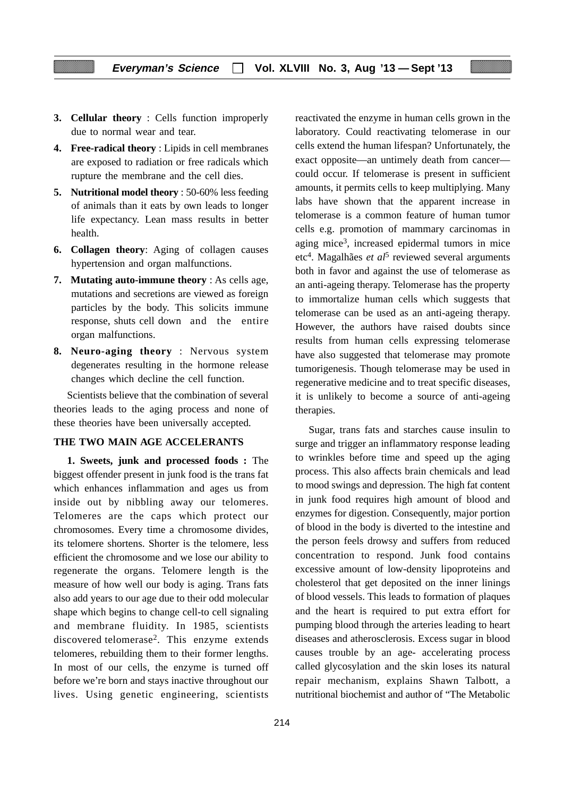- **3. Cellular theory** : Cells function improperly due to normal wear and tear.
- **4. Free-radical theory** : Lipids in cell membranes are exposed to radiation or free radicals which rupture the membrane and the cell dies.
- **5. Nutritional model theory** : 50-60% less feeding of animals than it eats by own leads to longer life expectancy. Lean mass results in better health.
- **6. Collagen theory**: Aging of collagen causes hypertension and organ malfunctions.
- **7. Mutating auto-immune theory** : As cells age, mutations and secretions are viewed as foreign particles by the body. This solicits immune response, shuts cell down and the entire organ malfunctions.
- **8. Neuro-aging theory** : Nervous system degenerates resulting in the hormone release changes which decline the cell function.

Scientists believe that the combination of several theories leads to the aging process and none of these theories have been universally accepted.

#### **THE TWO MAIN AGE ACCELERANTS**

**1. Sweets, junk and processed foods :** The biggest offender present in junk food is the trans fat which enhances inflammation and ages us from inside out by nibbling away our telomeres. Telomeres are the caps which protect our chromosomes. Every time a chromosome divides, its telomere shortens. Shorter is the telomere, less efficient the chromosome and we lose our ability to regenerate the organs. Telomere length is the measure of how well our body is aging. Trans fats also add years to our age due to their odd molecular shape which begins to change cell-to cell signaling and membrane fluidity. In 1985, scientists discovered telomerase2. This enzyme extends telomeres, rebuilding them to their former lengths. In most of our cells, the enzyme is turned off before we're born and stays inactive throughout our lives. Using genetic engineering, scientists reactivated the enzyme in human cells grown in the laboratory. Could reactivating telomerase in our cells extend the human lifespan? Unfortunately, the exact opposite—an untimely death from cancer could occur. If telomerase is present in sufficient amounts, it permits cells to keep multiplying. Many labs have shown that the apparent increase in telomerase is a common feature of human tumor cells e.g. promotion of mammary carcinomas in aging mice3, increased epidermal tumors in mice etc4. Magalhães *et al*5 reviewed several arguments both in favor and against the use of telomerase as an anti-ageing therapy. Telomerase has the property to immortalize human cells which suggests that telomerase can be used as an anti-ageing therapy. However, the authors have raised doubts since results from human cells expressing telomerase have also suggested that telomerase may promote tumorigenesis. Though telomerase may be used in regenerative medicine and to treat specific diseases, it is unlikely to become a source of anti-ageing therapies.

Sugar, trans fats and starches cause insulin to surge and trigger an inflammatory response leading to wrinkles before time and speed up the aging process. This also affects brain chemicals and lead to mood swings and depression. The high fat content in junk food requires high amount of blood and enzymes for digestion. Consequently, major portion of blood in the body is diverted to the intestine and the person feels drowsy and suffers from reduced concentration to respond. Junk food contains excessive amount of low-density lipoproteins and cholesterol that get deposited on the inner linings of blood vessels. This leads to formation of plaques and the heart is required to put extra effort for pumping blood through the arteries leading to heart diseases and atherosclerosis. Excess sugar in blood causes trouble by an age- accelerating process called glycosylation and the skin loses its natural repair mechanism, explains Shawn Talbott, a nutritional biochemist and author of "The Metabolic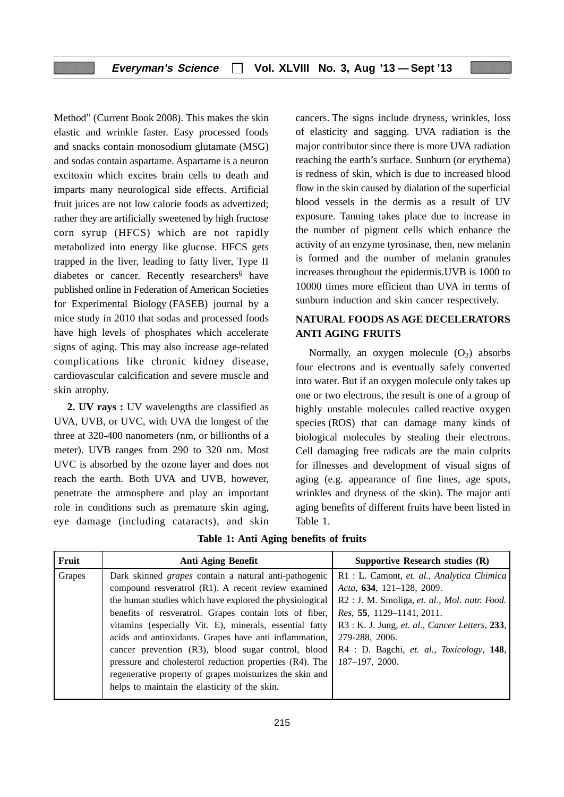Method" (Current Book 2008). This makes the skin elastic and wrinkle faster. Easy processed foods and snacks contain monosodium glutamate (MSG) and sodas contain aspartame. Aspartame is a neuron excitoxin which excites brain cells to death and imparts many neurological side effects. Artificial fruit juices are not low calorie foods as advertized; rather they are artificially sweetened by high fructose corn syrup (HFCS) which are not rapidly metabolized into energy like glucose. HFCS gets trapped in the liver, leading to fatty liver, Type II diabetes or cancer. Recently researchers<sup>6</sup> have published online in Federation of American Societies for Experimental Biology (FASEB) journal by a mice study in 2010 that sodas and processed foods have high levels of phosphates which accelerate signs of aging. This may also increase age-related complications like chronic kidney disease, cardiovascular calcification and severe muscle and skin atrophy.

**2. UV rays :** UV wavelengths are classified as UVA, UVB, or UVC, with UVA the longest of the three at 320-400 nanometers (nm, or billionths of a meter). UVB ranges from 290 to 320 nm. Most UVC is absorbed by the ozone layer and does not reach the earth. Both UVA and UVB, however, penetrate the atmosphere and play an important role in conditions such as premature skin aging, eye damage (including cataracts), and skin cancers. The signs include dryness, wrinkles, loss of elasticity and sagging. UVA radiation is the major contributor since there is more UVA radiation reaching the earth's surface. Sunburn (or erythema) is redness of skin, which is due to increased blood flow in the skin caused by dialation of the superficial blood vessels in the dermis as a result of UV exposure. Tanning takes place due to increase in the number of pigment cells which enhance the activity of an enzyme tyrosinase, then, new melanin is formed and the number of melanin granules increases throughout the epidermis.UVB is 1000 to 10000 times more efficient than UVA in terms of sunburn induction and skin cancer respectively.

# **NATURAL FOODS AS AGE DECELERATORS ANTI AGING FRUITS**

Normally, an oxygen molecule  $(O<sub>2</sub>)$  absorbs four electrons and is eventually safely converted into water. But if an oxygen molecule only takes up one or two electrons, the result is one of a group of highly unstable molecules called reactive oxygen species (ROS) that can damage many kinds of biological molecules by stealing their electrons. Cell damaging free radicals are the main culprits for illnesses and development of visual signs of aging (e.g. appearance of fine lines, age spots, wrinkles and dryness of the skin). The major anti aging benefits of different fruits have been listed in Table 1.

|  |  |  |  | Table 1: Anti Aging benefits of fruits |  |  |
|--|--|--|--|----------------------------------------|--|--|
|--|--|--|--|----------------------------------------|--|--|

| Fruit  | Anti Aging Benefit                                           | Supportive Research studies (R)                     |
|--------|--------------------------------------------------------------|-----------------------------------------------------|
| Grapes | Dark skinned <i>grapes</i> contain a natural anti-pathogenic | R1 : L. Camont, et. al., Analytica Chimica          |
|        | compound resveratrol (R1). A recent review examined          | Acta, 634, 121-128, 2009.                           |
|        | the human studies which have explored the physiological      | R2 : J. M. Smoliga, et. al., Mol. nutr. Food.       |
|        | benefits of resveratrol. Grapes contain lots of fiber,       | Res. 55, 1129-1141, 2011.                           |
|        | vitamins (especially Vit. E), minerals, essential fatty      | R3 : K. J. Jung, et. al., Cancer Letters, 233,      |
|        | acids and antioxidants. Grapes have anti inflammation,       | 279-288, 2006.                                      |
|        | cancer prevention (R3), blood sugar control, blood           | $R4$ : D. Bagchi, <i>et. al., Toxicology</i> , 148, |
|        | pressure and cholesterol reduction properties (R4). The      | 187-197, 2000.                                      |
|        | regenerative property of grapes moisturizes the skin and     |                                                     |
|        | helps to maintain the elasticity of the skin.                |                                                     |
|        |                                                              |                                                     |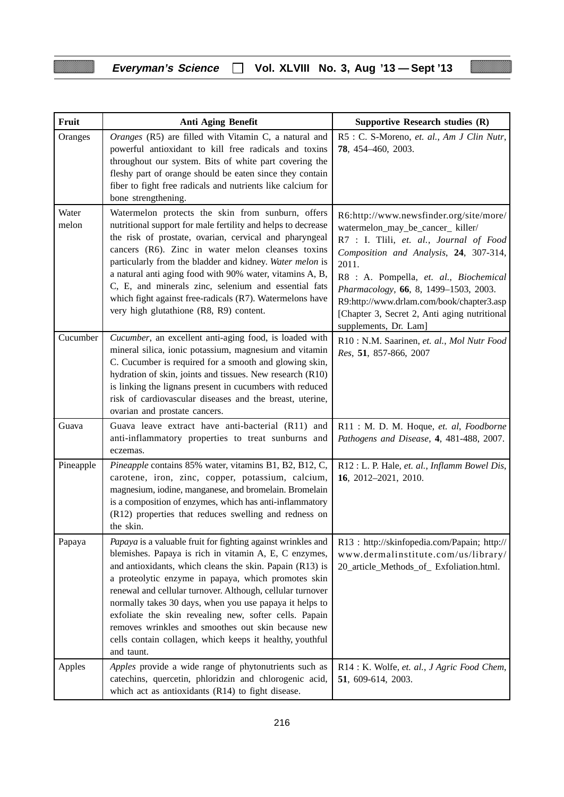i

Ħ

| Fruit          | Anti Aging Benefit                                                                                                                                                                                                                                                                                                                                                                                                                                                                                                                                          | Supportive Research studies (R)                                                                                                                                                                                                                                                                                                                                                     |
|----------------|-------------------------------------------------------------------------------------------------------------------------------------------------------------------------------------------------------------------------------------------------------------------------------------------------------------------------------------------------------------------------------------------------------------------------------------------------------------------------------------------------------------------------------------------------------------|-------------------------------------------------------------------------------------------------------------------------------------------------------------------------------------------------------------------------------------------------------------------------------------------------------------------------------------------------------------------------------------|
| Oranges        | Oranges (R5) are filled with Vitamin C, a natural and<br>powerful antioxidant to kill free radicals and toxins<br>throughout our system. Bits of white part covering the<br>fleshy part of orange should be eaten since they contain<br>fiber to fight free radicals and nutrients like calcium for<br>bone strengthening.                                                                                                                                                                                                                                  | R5 : C. S-Moreno, et. al., Am J Clin Nutr,<br>78, 454-460, 2003.                                                                                                                                                                                                                                                                                                                    |
| Water<br>melon | Watermelon protects the skin from sunburn, offers<br>nutritional support for male fertility and helps to decrease<br>the risk of prostate, ovarian, cervical and pharyngeal<br>cancers (R6). Zinc in water melon cleanses toxins<br>particularly from the bladder and kidney. Water melon is<br>a natural anti aging food with 90% water, vitamins A, B,<br>C, E, and minerals zinc, selenium and essential fats<br>which fight against free-radicals (R7). Watermelons have<br>very high glutathione (R8, R9) content.                                     | R6:http://www.newsfinder.org/site/more/<br>watermelon_may_be_cancer_ killer/<br>R7 : I. Tlili, et. al., Journal of Food<br>Composition and Analysis, 24, 307-314,<br>2011.<br>R8 : A. Pompella, et. al., Biochemical<br>Pharmacology, 66, 8, 1499-1503, 2003.<br>R9:http://www.drlam.com/book/chapter3.asp<br>[Chapter 3, Secret 2, Anti aging nutritional<br>supplements, Dr. Lam] |
| Cucumber       | Cucumber, an excellent anti-aging food, is loaded with<br>mineral silica, ionic potassium, magnesium and vitamin<br>C. Cucumber is required for a smooth and glowing skin,<br>hydration of skin, joints and tissues. New research (R10)<br>is linking the lignans present in cucumbers with reduced<br>risk of cardiovascular diseases and the breast, uterine,<br>ovarian and prostate cancers.                                                                                                                                                            | R10: N.M. Saarinen, et. al., Mol Nutr Food<br>Res, 51, 857-866, 2007                                                                                                                                                                                                                                                                                                                |
| Guava          | Guava leave extract have anti-bacterial (R11) and<br>anti-inflammatory properties to treat sunburns and<br>eczemas.                                                                                                                                                                                                                                                                                                                                                                                                                                         | R11: M. D. M. Hoque, et. al, Foodborne<br>Pathogens and Disease, 4, 481-488, 2007.                                                                                                                                                                                                                                                                                                  |
| Pineapple      | Pineapple contains 85% water, vitamins B1, B2, B12, C,<br>carotene, iron, zinc, copper, potassium, calcium,<br>magnesium, iodine, manganese, and bromelain. Bromelain<br>is a composition of enzymes, which has anti-inflammatory<br>(R12) properties that reduces swelling and redness on<br>the skin.                                                                                                                                                                                                                                                     | R12 : L. P. Hale, et. al., Inflamm Bowel Dis,<br>16, 2012-2021, 2010.                                                                                                                                                                                                                                                                                                               |
| Papaya         | Papaya is a valuable fruit for fighting against wrinkles and<br>blemishes. Papaya is rich in vitamin A, E, C enzymes,<br>and antioxidants, which cleans the skin. Papain (R13) is<br>a proteolytic enzyme in papaya, which promotes skin<br>renewal and cellular turnover. Although, cellular turnover<br>normally takes 30 days, when you use papaya it helps to<br>exfoliate the skin revealing new, softer cells. Papain<br>removes wrinkles and smoothes out skin because new<br>cells contain collagen, which keeps it healthy, youthful<br>and taunt. | R13 : http://skinfopedia.com/Papain; http://<br>www.dermalinstitute.com/us/library/<br>20_article_Methods_of_ Exfoliation.html.                                                                                                                                                                                                                                                     |
| Apples         | Apples provide a wide range of phytonutrients such as<br>catechins, quercetin, phloridzin and chlorogenic acid,<br>which act as antioxidants (R14) to fight disease.                                                                                                                                                                                                                                                                                                                                                                                        | R14 : K. Wolfe, et. al., J Agric Food Chem,<br>51, 609-614, 2003.                                                                                                                                                                                                                                                                                                                   |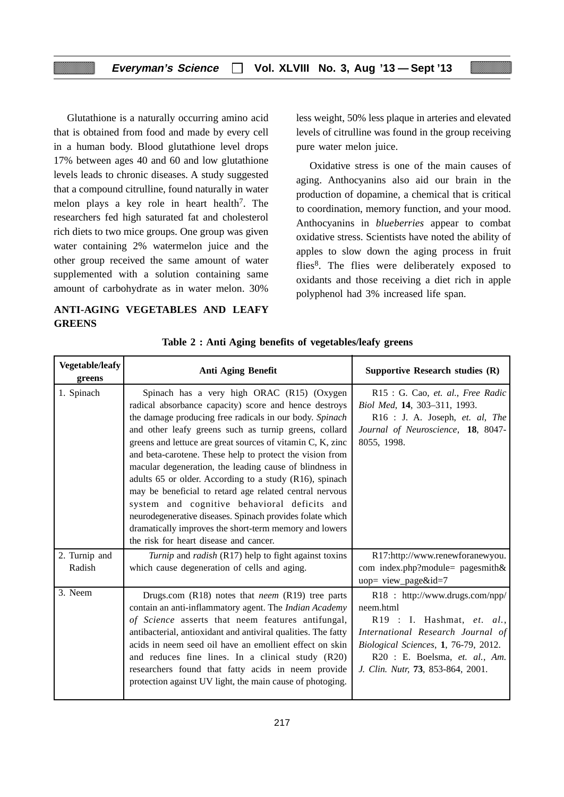Glutathione is a naturally occurring amino acid that is obtained from food and made by every cell in a human body. Blood glutathione level drops 17% between ages 40 and 60 and low glutathione levels leads to chronic diseases. A study suggested that a compound citrulline, found naturally in water melon plays a key role in heart health<sup>7</sup>. The researchers fed high saturated fat and cholesterol rich diets to two mice groups. One group was given water containing 2% watermelon juice and the other group received the same amount of water supplemented with a solution containing same amount of carbohydrate as in water melon. 30%

# **ANTI-AGING VEGETABLES AND LEAFY GREENS**

less weight, 50% less plaque in arteries and elevated levels of citrulline was found in the group receiving pure water melon juice.

Oxidative stress is one of the main causes of aging. Anthocyanins also aid our brain in the production of dopamine, a chemical that is critical to coordination, memory function, and your mood. Anthocyanins in *blueberries* appear to combat oxidative stress. Scientists have noted the ability of apples to slow down the aging process in fruit flies<sup>8</sup>. The flies were deliberately exposed to oxidants and those receiving a diet rich in apple polyphenol had 3% increased life span.

| <b>Vegetable/leafy</b><br>greens | <b>Anti Aging Benefit</b>                                                                                                                                                                                                                                                                                                                                                                                                                                                                                                                                                                                                                                                                                                                           | Supportive Research studies (R)                                                                                                                                                                                                |
|----------------------------------|-----------------------------------------------------------------------------------------------------------------------------------------------------------------------------------------------------------------------------------------------------------------------------------------------------------------------------------------------------------------------------------------------------------------------------------------------------------------------------------------------------------------------------------------------------------------------------------------------------------------------------------------------------------------------------------------------------------------------------------------------------|--------------------------------------------------------------------------------------------------------------------------------------------------------------------------------------------------------------------------------|
| 1. Spinach                       | Spinach has a very high ORAC (R15) (Oxygen<br>radical absorbance capacity) score and hence destroys<br>the damage producing free radicals in our body. Spinach<br>and other leafy greens such as turnip greens, collard<br>greens and lettuce are great sources of vitamin C, K, zinc<br>and beta-carotene. These help to protect the vision from<br>macular degeneration, the leading cause of blindness in<br>adults 65 or older. According to a study (R16), spinach<br>may be beneficial to retard age related central nervous<br>system and cognitive behavioral deficits and<br>neurodegenerative diseases. Spinach provides folate which<br>dramatically improves the short-term memory and lowers<br>the risk for heart disease and cancer. | R15 : G. Cao, et. al., Free Radic<br>Biol Med, 14, 303-311, 1993.<br>R16 : J. A. Joseph, et. al, The<br>Journal of Neuroscience, 18, 8047-<br>8055, 1998.                                                                      |
| 2. Turnip and<br>Radish          | Turnip and radish (R17) help to fight against toxins<br>which cause degeneration of cells and aging.                                                                                                                                                                                                                                                                                                                                                                                                                                                                                                                                                                                                                                                | R17:http://www.renewforanewyou.<br>com index.php?module= pagesmith&<br>uop= view_page&id=7                                                                                                                                     |
| 3. Neem                          | Drugs.com $(R18)$ notes that <i>neem</i> $(R19)$ tree parts<br>contain an anti-inflammatory agent. The Indian Academy<br>of Science asserts that neem features antifungal,<br>antibacterial, antioxidant and antiviral qualities. The fatty<br>acids in neem seed oil have an emollient effect on skin<br>and reduces fine lines. In a clinical study (R20)<br>researchers found that fatty acids in neem provide<br>protection against UV light, the main cause of photoging.                                                                                                                                                                                                                                                                      | R18 : http://www.drugs.com/npp/<br>neem.html<br>R19 : I. Hashmat, et. al.,<br>International Research Journal of<br>Biological Sciences, 1, 76-79, 2012.<br>R20 : E. Boelsma, et. al., Am.<br>J. Clin. Nutr, 73, 853-864, 2001. |

#### **Table 2 : Anti Aging benefits of vegetables/leafy greens**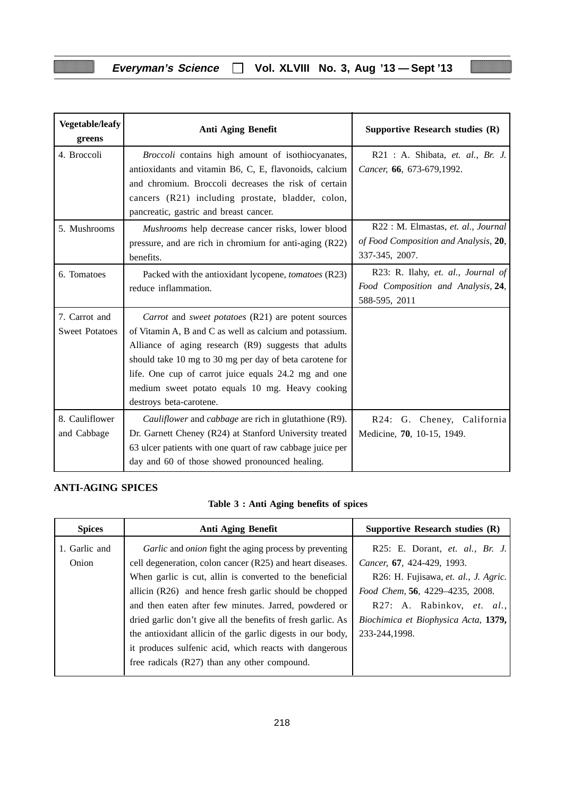ľ

| <b>Vegetable/leafy</b><br>greens       | Anti Aging Benefit                                                                                                                                                                                                                                                                                                                                                     | Supportive Research studies (R)                                                                |
|----------------------------------------|------------------------------------------------------------------------------------------------------------------------------------------------------------------------------------------------------------------------------------------------------------------------------------------------------------------------------------------------------------------------|------------------------------------------------------------------------------------------------|
| 4. Broccoli                            | Broccoli contains high amount of isothiocyanates,<br>antioxidants and vitamin B6, C, E, flavonoids, calcium<br>and chromium. Broccoli decreases the risk of certain<br>cancers (R21) including prostate, bladder, colon,<br>pancreatic, gastric and breast cancer.                                                                                                     | R21 : A. Shibata, et. al., Br. J.<br>Cancer, 66, 673-679,1992.                                 |
| 5. Mushrooms                           | Mushrooms help decrease cancer risks, lower blood<br>pressure, and are rich in chromium for anti-aging (R22)<br>benefits.                                                                                                                                                                                                                                              | R22 : M. Elmastas, et. al., Journal<br>of Food Composition and Analysis, 20,<br>337-345, 2007. |
| 6. Tomatoes                            | Packed with the antioxidant lycopene, tomatoes (R23)<br>reduce inflammation.                                                                                                                                                                                                                                                                                           | R23: R. Ilahy, et. al., Journal of<br>Food Composition and Analysis, 24,<br>588-595, 2011      |
| 7. Carrot and<br><b>Sweet Potatoes</b> | Carrot and sweet potatoes (R21) are potent sources<br>of Vitamin A, B and C as well as calcium and potassium.<br>Alliance of aging research (R9) suggests that adults<br>should take 10 mg to 30 mg per day of beta carotene for<br>life. One cup of carrot juice equals 24.2 mg and one<br>medium sweet potato equals 10 mg. Heavy cooking<br>destroys beta-carotene. |                                                                                                |
| 8. Cauliflower<br>and Cabbage          | Cauliflower and cabbage are rich in glutathione (R9).<br>Dr. Garnett Cheney (R24) at Stanford University treated<br>63 ulcer patients with one quart of raw cabbage juice per<br>day and 60 of those showed pronounced healing.                                                                                                                                        | R24: G. Cheney, California<br>Medicine, 70, 10-15, 1949.                                       |

# **ANTI-AGING SPICES**

Ħ

|  |  |  |  |  | Table 3 : Anti Aging benefits of spices |  |  |
|--|--|--|--|--|-----------------------------------------|--|--|
|--|--|--|--|--|-----------------------------------------|--|--|

| <b>Spices</b> | Anti Aging Benefit                                           | Supportive Research studies (R)      |
|---------------|--------------------------------------------------------------|--------------------------------------|
| 1. Garlic and | Garlic and onion fight the aging process by preventing       | R25: E. Dorant, et. al., Br. J.      |
| Onion         | cell degeneration, colon cancer (R25) and heart diseases.    | Cancer, 67, 424-429, 1993.           |
|               | When garlic is cut, allin is converted to the beneficial     | R26: H. Fujisawa, et. al., J. Agric. |
|               | allicin (R26) and hence fresh garlic should be chopped       | Food Chem, 56, 4229-4235, 2008.      |
|               | and then eaten after few minutes. Jarred, powdered or        | R27: A. Rabinkov, et. al.,           |
|               | dried garlic don't give all the benefits of fresh garlic. As | Biochimica et Biophysica Acta, 1379, |
|               | the antioxidant allicin of the garlic digests in our body,   | 233-244.1998.                        |
|               | it produces sulfenic acid, which reacts with dangerous       |                                      |
|               | free radicals (R27) than any other compound.                 |                                      |
|               |                                                              |                                      |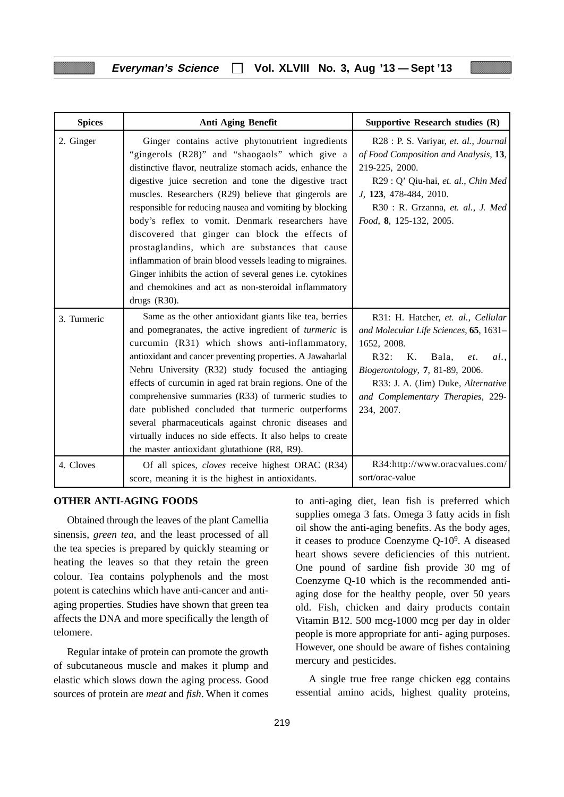| <b>Spices</b> | Anti Aging Benefit                                                                                                                                                                                                                                                                                                                                                                                                                                                                                                                                                                                                                                                                                             | Supportive Research studies (R)                                                                                                                                                                                                                              |
|---------------|----------------------------------------------------------------------------------------------------------------------------------------------------------------------------------------------------------------------------------------------------------------------------------------------------------------------------------------------------------------------------------------------------------------------------------------------------------------------------------------------------------------------------------------------------------------------------------------------------------------------------------------------------------------------------------------------------------------|--------------------------------------------------------------------------------------------------------------------------------------------------------------------------------------------------------------------------------------------------------------|
| 2. Ginger     | Ginger contains active phytonutrient ingredients<br>"gingerols (R28)" and "shaogaols" which give a<br>distinctive flavor, neutralize stomach acids, enhance the<br>digestive juice secretion and tone the digestive tract<br>muscles. Researchers (R29) believe that gingerols are<br>responsible for reducing nausea and vomiting by blocking<br>body's reflex to vomit. Denmark researchers have<br>discovered that ginger can block the effects of<br>prostaglandins, which are substances that cause<br>inflammation of brain blood vessels leading to migraines.<br>Ginger inhibits the action of several genes i.e. cytokines<br>and chemokines and act as non-steroidal inflammatory<br>drugs $(R30)$ . | R28 : P. S. Variyar, et. al., Journal<br>of Food Composition and Analysis, 13,<br>219-225, 2000.<br>R29 : Q' Qiu-hai, et. al., Chin Med<br>J, 123, 478-484, 2010.<br>R30 : R. Grzanna, et. al., J. Med<br>Food, 8, 125-132, 2005.                            |
| 3. Turmeric   | Same as the other antioxidant giants like tea, berries<br>and pomegranates, the active ingredient of turmeric is<br>curcumin (R31) which shows anti-inflammatory,<br>antioxidant and cancer preventing properties. A Jawaharlal<br>Nehru University (R32) study focused the antiaging<br>effects of curcumin in aged rat brain regions. One of the<br>comprehensive summaries (R33) of turmeric studies to<br>date published concluded that turmeric outperforms<br>several pharmaceuticals against chronic diseases and<br>virtually induces no side effects. It also helps to create<br>the master antioxidant glutathione (R8, R9).                                                                         | R31: H. Hatcher, et. al., Cellular<br>and Molecular Life Sciences, 65, 1631-<br>1652, 2008.<br>R32:<br>K.<br>Bala.<br>et.<br>al.<br>Biogerontology, 7, 81-89, 2006.<br>R33: J. A. (Jim) Duke, Alternative<br>and Complementary Therapies, 229-<br>234, 2007. |
| 4. Cloves     | Of all spices, <i>cloves</i> receive highest ORAC (R34)<br>score, meaning it is the highest in antioxidants.                                                                                                                                                                                                                                                                                                                                                                                                                                                                                                                                                                                                   | R34:http://www.oracvalues.com/<br>sort/orac-value                                                                                                                                                                                                            |

#### **OTHER ANTI-AGING FOODS**

Obtained through the leaves of the plant Camellia sinensis, *green tea*, and the least processed of all the tea species is prepared by quickly steaming or heating the leaves so that they retain the green colour. Tea contains polyphenols and the most potent is catechins which have anti-cancer and antiaging properties. Studies have shown that green tea affects the DNA and more specifically the length of telomere.

Regular intake of protein can promote the growth of subcutaneous muscle and makes it plump and elastic which slows down the aging process. Good sources of protein are *meat* and *fish*. When it comes to anti-aging diet, lean fish is preferred which supplies omega 3 fats. Omega 3 fatty acids in fish oil show the anti-aging benefits. As the body ages, it ceases to produce Coenzyme Q-109. A diseased heart shows severe deficiencies of this nutrient. One pound of sardine fish provide 30 mg of Coenzyme Q-10 which is the recommended antiaging dose for the healthy people, over 50 years old. Fish, chicken and dairy products contain Vitamin B12. 500 mcg-1000 mcg per day in older people is more appropriate for anti- aging purposes. However, one should be aware of fishes containing mercury and pesticides.

A single true free range chicken egg contains essential amino acids, highest quality proteins,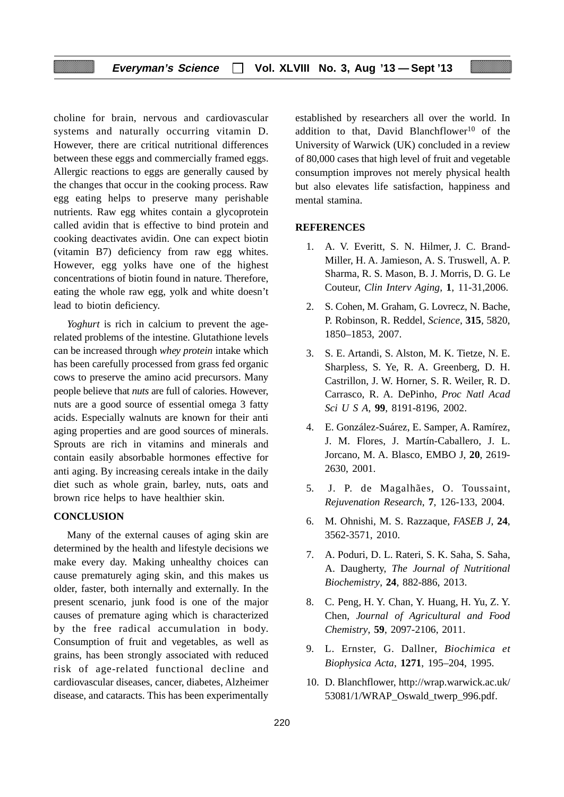choline for brain, nervous and cardiovascular systems and naturally occurring vitamin D. However, there are critical nutritional differences between these eggs and commercially framed eggs. Allergic reactions to eggs are generally caused by the changes that occur in the cooking process. Raw egg eating helps to preserve many perishable nutrients. Raw egg whites contain a glycoprotein called avidin that is effective to bind protein and cooking deactivates avidin. One can expect biotin (vitamin B7) deficiency from raw egg whites. However, egg yolks have one of the highest concentrations of biotin found in nature. Therefore, eating the whole raw egg, yolk and white doesn't lead to biotin deficiency.

*Yoghurt* is rich in calcium to prevent the agerelated problems of the intestine. Glutathione levels can be increased through *whey protein* intake which has been carefully processed from grass fed organic cows to preserve the amino acid precursors. Many people believe that *nuts* are full of calories. However, nuts are a good source of essential omega 3 fatty acids. Especially walnuts are known for their anti aging properties and are good sources of minerals. Sprouts are rich in vitamins and minerals and contain easily absorbable hormones effective for anti aging. By increasing cereals intake in the daily diet such as whole grain, barley, nuts, oats and brown rice helps to have healthier skin.

#### **CONCLUSION**

Many of the external causes of aging skin are determined by the health and lifestyle decisions we make every day. Making unhealthy choices can cause prematurely aging skin, and this makes us older, faster, both internally and externally. In the present scenario, junk food is one of the major causes of premature aging which is characterized by the free radical accumulation in body. Consumption of fruit and vegetables, as well as grains, has been strongly associated with reduced risk of age-related functional decline and cardiovascular diseases, cancer, diabetes, Alzheimer disease, and cataracts. This has been experimentally

established by researchers all over the world. In addition to that, David Blanchflower<sup>10</sup> of the University of Warwick (UK) concluded in a review of 80,000 cases that high level of fruit and vegetable consumption improves not merely physical health but also elevates life satisfaction, happiness and mental stamina.

#### **REFERENCES**

- 1. A. V. Everitt, S. N. Hilmer, J. C. Brand-Miller, H. A. Jamieson, A. S. Truswell, A. P. Sharma, R. S. Mason, B. J. Morris, D. G. Le Couteur, *Clin Interv Aging*, **1**, 11-31,2006.
- 2. S. Cohen, M. Graham, G. Lovrecz, N. Bache, P. Robinson, R. Reddel, *Science*, **315**, 5820, 1850–1853, 2007.
- 3. S. E. Artandi, S. Alston, M. K. Tietze, N. E. Sharpless, S. Ye, R. A. Greenberg, D. H. Castrillon, J. W. Horner, S. R. Weiler, R. D. Carrasco, R. A. DePinho, *Proc Natl Acad Sci U S A*, **99**, 8191-8196, 2002.
- 4. E. González-Suárez, E. Samper, A. Ramírez, J. M. Flores, J. Martín-Caballero, J. L. Jorcano, M. A. Blasco, EMBO J, **20**, 2619- 2630, 2001.
- 5. J. P. de Magalhães, O. Toussaint, *Rejuvenation Research*, **7**, 126-133, 2004.
- 6. M. Ohnishi, M. S. Razzaque, *FASEB J*, **24**, 3562-3571, 2010.
- 7. A. Poduri, D. L. Rateri, S. K. Saha, S. Saha, A. Daugherty, *The Journal of Nutritional Biochemistry*, **24**, 882-886, 2013.
- 8. C. Peng, H. Y. Chan, Y. Huang, H. Yu, Z. Y. Chen, *Journal of Agricultural and Food Chemistry*, **59**, 2097-2106, 2011.
- 9. L. Ernster, G. Dallner, *Biochimica et Biophysica Acta*, **1271**, 195–204, 1995.
- 10. D. Blanchflower, http://wrap.warwick.ac.uk/ 53081/1/WRAP\_Oswald\_twerp\_996.pdf.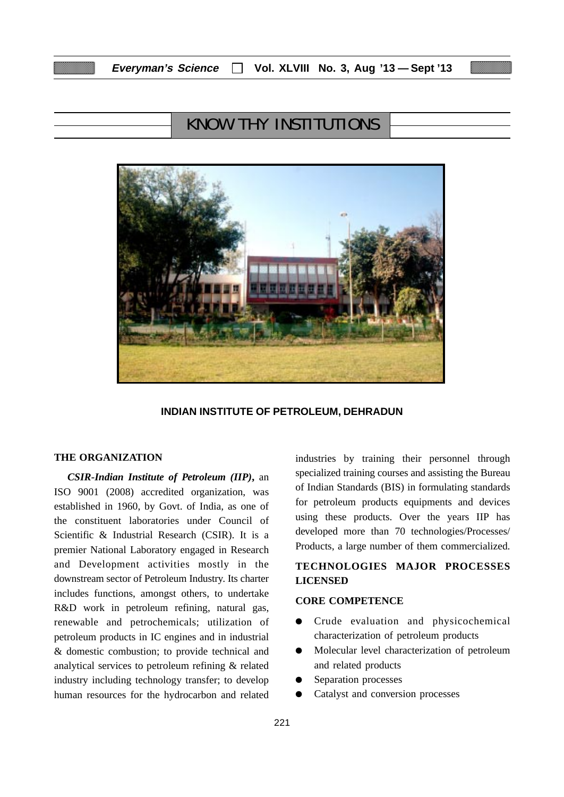# KNOW THY INSTITUTIONS



#### **INDIAN INSTITUTE OF PETROLEUM, DEHRADUN**

#### **THE ORGANIZATION**

*CSIR-Indian Institute of Petroleum (IIP)***,** an ISO 9001 (2008) accredited organization, was established in 1960, by Govt. of India, as one of the constituent laboratories under Council of Scientific & Industrial Research (CSIR). It is a premier National Laboratory engaged in Research and Development activities mostly in the downstream sector of Petroleum Industry. Its charter includes functions, amongst others, to undertake R&D work in petroleum refining, natural gas, renewable and petrochemicals; utilization of petroleum products in IC engines and in industrial & domestic combustion; to provide technical and analytical services to petroleum refining & related industry including technology transfer; to develop human resources for the hydrocarbon and related

industries by training their personnel through specialized training courses and assisting the Bureau of Indian Standards (BIS) in formulating standards for petroleum products equipments and devices using these products. Over the years IIP has developed more than 70 technologies/Processes/ Products, a large number of them commercialized.

# **TECHNOLOGIES MAJOR PROCESSES LICENSED**

#### **CORE COMPETENCE**

- Crude evaluation and physicochemical characterization of petroleum products
- Molecular level characterization of petroleum and related products
- Separation processes
- Catalyst and conversion processes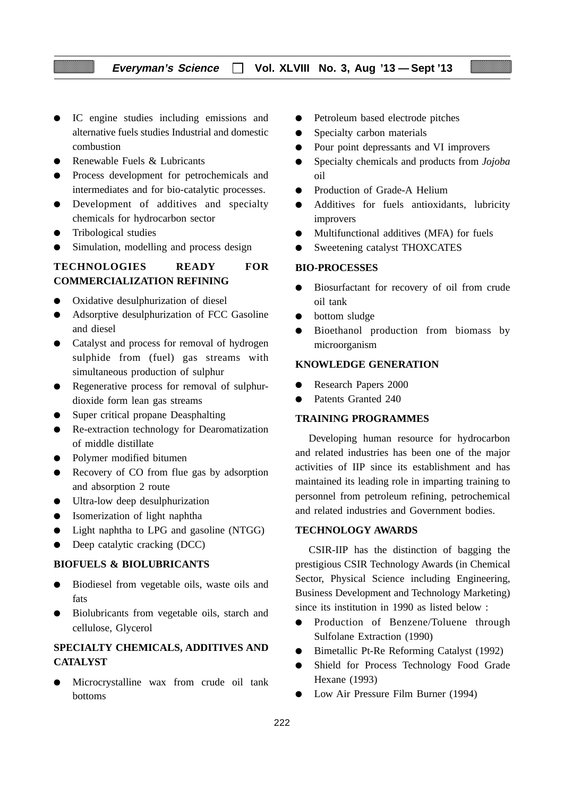- IC engine studies including emissions and alternative fuels studies Industrial and domestic combustion
- Renewable Fuels & Lubricants
- Process development for petrochemicals and intermediates and for bio-catalytic processes.
- Development of additives and specialty chemicals for hydrocarbon sector
- Tribological studies
- Simulation, modelling and process design

## **TECHNOLOGIES READY FOR COMMERCIALIZATION REFINING**

- Oxidative desulphurization of diesel
- Adsorptive desulphurization of FCC Gasoline and diesel
- Catalyst and process for removal of hydrogen sulphide from (fuel) gas streams with simultaneous production of sulphur
- Regenerative process for removal of sulphurdioxide form lean gas streams
- Super critical propane Deasphalting
- Re-extraction technology for Dearomatization of middle distillate
- Polymer modified bitumen
- Recovery of CO from flue gas by adsorption and absorption 2 route
- Ultra-low deep desulphurization
- Isomerization of light naphtha
- Light naphtha to LPG and gasoline (NTGG)
- Deep catalytic cracking (DCC)

#### **BIOFUELS & BIOLUBRICANTS**

- Biodiesel from vegetable oils, waste oils and fats
- Biolubricants from vegetable oils, starch and cellulose, Glycerol

# **SPECIALTY CHEMICALS, ADDITIVES AND CATALYST**

Microcrystalline wax from crude oil tank bottoms

- Petroleum based electrode pitches
- Specialty carbon materials
- Pour point depressants and VI improvers
- Specialty chemicals and products from *Jojoba* oil
- Production of Grade-A Helium
- Additives for fuels antioxidants, lubricity improvers
- Multifunctional additives (MFA) for fuels
- Sweetening catalyst THOXCATES

#### **BIO-PROCESSES**

- Biosurfactant for recovery of oil from crude oil tank
- bottom sludge
- Bioethanol production from biomass by microorganism

#### **KNOWLEDGE GENERATION**

- Research Papers 2000
- Patents Granted 240

#### **TRAINING PROGRAMMES**

Developing human resource for hydrocarbon and related industries has been one of the major activities of IIP since its establishment and has maintained its leading role in imparting training to personnel from petroleum refining, petrochemical and related industries and Government bodies.

#### **TECHNOLOGY AWARDS**

CSIR-IIP has the distinction of bagging the prestigious CSIR Technology Awards (in Chemical Sector, Physical Science including Engineering, Business Development and Technology Marketing) since its institution in 1990 as listed below :

- Production of Benzene/Toluene through Sulfolane Extraction (1990)
- Bimetallic Pt-Re Reforming Catalyst (1992)
- Shield for Process Technology Food Grade Hexane (1993)
- Low Air Pressure Film Burner (1994)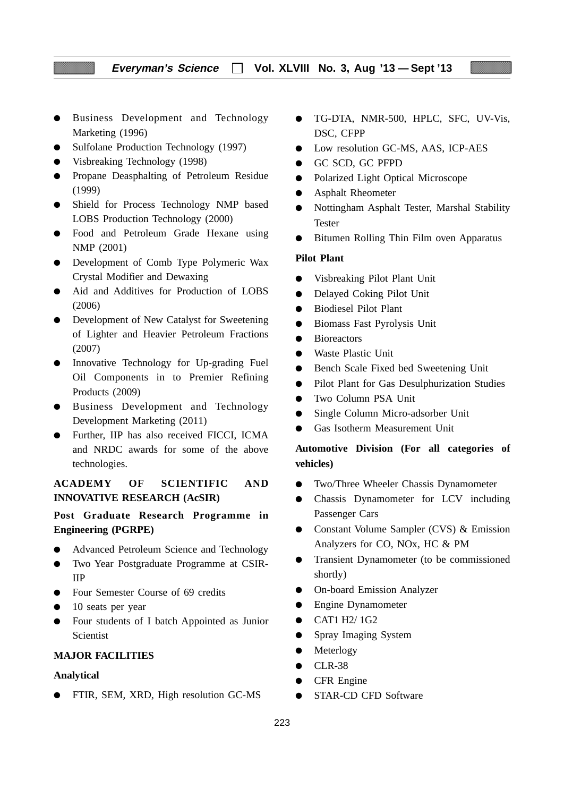- Business Development and Technology Marketing (1996)
- Sulfolane Production Technology (1997)
- Visbreaking Technology (1998)
- Propane Deasphalting of Petroleum Residue (1999)
- Shield for Process Technology NMP based LOBS Production Technology (2000)
- Food and Petroleum Grade Hexane using NMP (2001)
- Development of Comb Type Polymeric Wax Crystal Modifier and Dewaxing
- Aid and Additives for Production of LOBS (2006)
- Development of New Catalyst for Sweetening of Lighter and Heavier Petroleum Fractions (2007)
- Innovative Technology for Up-grading Fuel Oil Components in to Premier Refining Products (2009)
- Business Development and Technology Development Marketing (2011)
- Further, IIP has also received FICCI, ICMA and NRDC awards for some of the above technologies.

### **ACADEMY OF SCIENTIFIC AND INNOVATIVE RESEARCH (AcSIR)**

**Post Graduate Research Programme in Engineering (PGRPE)**

- Advanced Petroleum Science and Technology
- Two Year Postgraduate Programme at CSIR-IIP
- Four Semester Course of 69 credits
- 10 seats per year
- Four students of I batch Appointed as Junior Scientist

#### **MAJOR FACILITIES**

#### **Analytical**

● FTIR, SEM, XRD, High resolution GC-MS

- TG-DTA, NMR-500, HPLC, SFC, UV-Vis, DSC, CFPP
- Low resolution GC-MS, AAS, ICP-AES
- GC SCD, GC PFPD
- Polarized Light Optical Microscope
- Asphalt Rheometer
- Nottingham Asphalt Tester, Marshal Stability Tester
- Bitumen Rolling Thin Film oven Apparatus

#### **Pilot Plant**

- Visbreaking Pilot Plant Unit
- Delayed Coking Pilot Unit
- Biodiesel Pilot Plant
- Biomass Fast Pyrolysis Unit
- Bioreactors
- Waste Plastic Unit
- Bench Scale Fixed bed Sweetening Unit
- Pilot Plant for Gas Desulphurization Studies
- Two Column PSA Unit
- Single Column Micro-adsorber Unit
- Gas Isotherm Measurement Unit

# **Automotive Division (For all categories of vehicles)**

- Two/Three Wheeler Chassis Dynamometer
- Chassis Dynamometer for LCV including Passenger Cars
- Constant Volume Sampler (CVS) & Emission Analyzers for CO, NOx, HC & PM
- Transient Dynamometer (to be commissioned shortly)
- On-board Emission Analyzer
- Engine Dynamometer
- CAT1 H2/ 1G2
- Spray Imaging System
- Meterlogy
- CLR-38
- CFR Engine
- STAR-CD CFD Software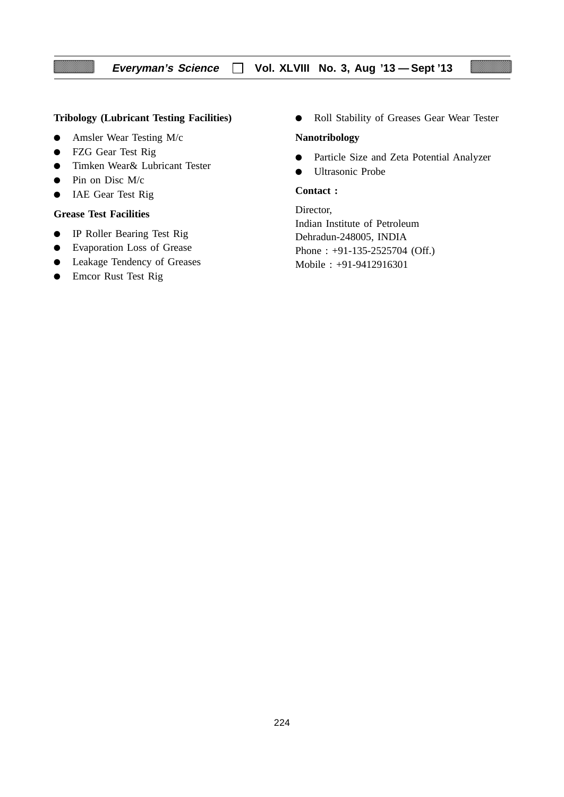### **Tribology (Lubricant Testing Facilities)**

- Amsler Wear Testing M/c
- FZG Gear Test Rig
- Timken Wear& Lubricant Tester
- $\bullet$  Pin on Disc M/c
- IAE Gear Test Rig

#### **Grease Test Facilities**

- IP Roller Bearing Test Rig
- Evaporation Loss of Grease
- Leakage Tendency of Greases
- Emcor Rust Test Rig

● Roll Stability of Greases Gear Wear Tester

#### **Nanotribology**

- Particle Size and Zeta Potential Analyzer
- Ultrasonic Probe

#### **Contact :**

Director, Indian Institute of Petroleum Dehradun-248005, INDIA Phone : +91-135-2525704 (Off.) Mobile : +91-9412916301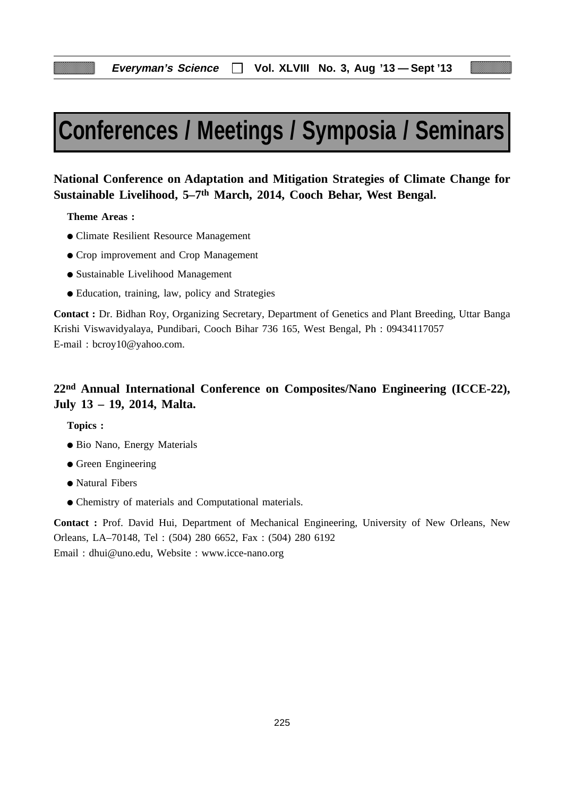# **Conferences / Meetings / Symposia / Seminars**

# **National Conference on Adaptation and Mitigation Strategies of Climate Change for Sustainable Livelihood, 5–7th March, 2014, Cooch Behar, West Bengal.**

**Theme Areas :**

- Climate Resilient Resource Management
- Crop improvement and Crop Management
- Sustainable Livelihood Management
- Education, training, law, policy and Strategies

**Contact :** Dr. Bidhan Roy, Organizing Secretary, Department of Genetics and Plant Breeding, Uttar Banga Krishi Viswavidyalaya, Pundibari, Cooch Bihar 736 165, West Bengal, Ph : 09434117057 E-mail : bcroy10@yahoo.com.

# **22nd Annual International Conference on Composites/Nano Engineering (ICCE-22), July 13 – 19, 2014, Malta.**

**Topics :**

- Bio Nano, Energy Materials
- Green Engineering
- Natural Fibers
- Chemistry of materials and Computational materials.

**Contact :** Prof. David Hui, Department of Mechanical Engineering, University of New Orleans, New Orleans, LA–70148, Tel : (504) 280 6652, Fax : (504) 280 6192 Email : dhui@uno.edu, Website : www.icce-nano.org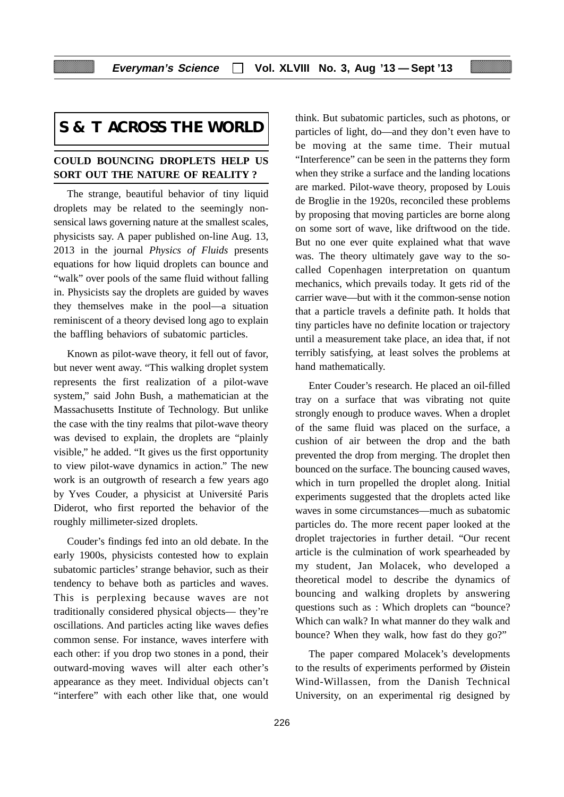# **S & T ACROSS THE WORLD**

## **COULD BOUNCING DROPLETS HELP US SORT OUT THE NATURE OF REALITY ?**

The strange, beautiful behavior of tiny liquid droplets may be related to the seemingly nonsensical laws governing nature at the smallest scales, physicists say. A paper published on-line Aug. 13, 2013 in the journal *Physics of Fluids* presents equations for how liquid droplets can bounce and "walk" over pools of the same fluid without falling in. Physicists say the droplets are guided by waves they themselves make in the pool—a situation reminiscent of a theory devised long ago to explain the baffling behaviors of subatomic particles.

Known as pilot-wave theory, it fell out of favor, but never went away. "This walking droplet system represents the first realization of a pilot-wave system," said John Bush, a mathematician at the Massachusetts Institute of Technology. But unlike the case with the tiny realms that pilot-wave theory was devised to explain, the droplets are "plainly visible," he added. "It gives us the first opportunity to view pilot-wave dynamics in action." The new work is an outgrowth of research a few years ago by Yves Couder, a physicist at Université Paris Diderot, who first reported the behavior of the roughly millimeter-sized droplets.

Couder's findings fed into an old debate. In the early 1900s, physicists contested how to explain subatomic particles' strange behavior, such as their tendency to behave both as particles and waves. This is perplexing because waves are not traditionally considered physical objects— they're oscillations. And particles acting like waves defies common sense. For instance, waves interfere with each other: if you drop two stones in a pond, their outward-moving waves will alter each other's appearance as they meet. Individual objects can't "interfere" with each other like that, one would

think. But subatomic particles, such as photons, or particles of light, do—and they don't even have to be moving at the same time. Their mutual "Interference" can be seen in the patterns they form when they strike a surface and the landing locations are marked. Pilot-wave theory, proposed by Louis de Broglie in the 1920s, reconciled these problems by proposing that moving particles are borne along on some sort of wave, like driftwood on the tide. But no one ever quite explained what that wave was. The theory ultimately gave way to the socalled Copenhagen interpretation on quantum mechanics, which prevails today. It gets rid of the carrier wave—but with it the common-sense notion that a particle travels a definite path. It holds that tiny particles have no definite location or trajectory until a measurement take place, an idea that, if not terribly satisfying, at least solves the problems at hand mathematically.

Enter Couder's research. He placed an oil-filled tray on a surface that was vibrating not quite strongly enough to produce waves. When a droplet of the same fluid was placed on the surface, a cushion of air between the drop and the bath prevented the drop from merging. The droplet then bounced on the surface. The bouncing caused waves, which in turn propelled the droplet along. Initial experiments suggested that the droplets acted like waves in some circumstances—much as subatomic particles do. The more recent paper looked at the droplet trajectories in further detail. "Our recent article is the culmination of work spearheaded by my student, Jan Molacek, who developed a theoretical model to describe the dynamics of bouncing and walking droplets by answering questions such as : Which droplets can "bounce? Which can walk? In what manner do they walk and bounce? When they walk, how fast do they go?"

The paper compared Molacek's developments to the results of experiments performed by Øistein Wind-Willassen, from the Danish Technical University, on an experimental rig designed by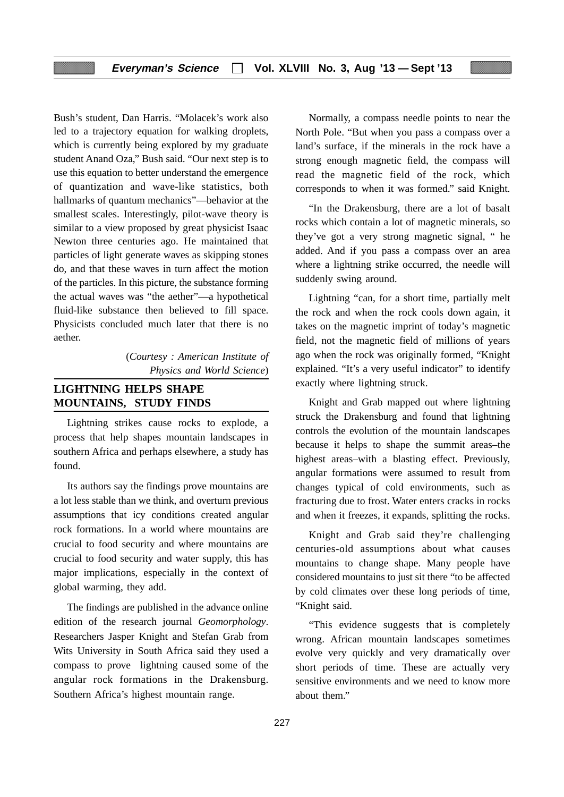Bush's student, Dan Harris. "Molacek's work also led to a trajectory equation for walking droplets, which is currently being explored by my graduate student Anand Oza," Bush said. "Our next step is to use this equation to better understand the emergence of quantization and wave-like statistics, both hallmarks of quantum mechanics"—behavior at the smallest scales. Interestingly, pilot-wave theory is similar to a view proposed by great physicist Isaac Newton three centuries ago. He maintained that particles of light generate waves as skipping stones do, and that these waves in turn affect the motion of the particles. In this picture, the substance forming the actual waves was "the aether"—a hypothetical fluid-like substance then believed to fill space. Physicists concluded much later that there is no aether.

> (*Courtesy : American Institute of Physics and World Science*)

# **LIGHTNING HELPS SHAPE MOUNTAINS, STUDY FINDS**

Lightning strikes cause rocks to explode, a process that help shapes mountain landscapes in southern Africa and perhaps elsewhere, a study has found.

Its authors say the findings prove mountains are a lot less stable than we think, and overturn previous assumptions that icy conditions created angular rock formations. In a world where mountains are crucial to food security and where mountains are crucial to food security and water supply, this has major implications, especially in the context of global warming, they add.

The findings are published in the advance online edition of the research journal *Geomorphology*. Researchers Jasper Knight and Stefan Grab from Wits University in South Africa said they used a compass to prove lightning caused some of the angular rock formations in the Drakensburg. Southern Africa's highest mountain range.

Normally, a compass needle points to near the North Pole. "But when you pass a compass over a land's surface, if the minerals in the rock have a strong enough magnetic field, the compass will read the magnetic field of the rock, which corresponds to when it was formed." said Knight.

"In the Drakensburg, there are a lot of basalt rocks which contain a lot of magnetic minerals, so they've got a very strong magnetic signal, " he added. And if you pass a compass over an area where a lightning strike occurred, the needle will suddenly swing around.

Lightning "can, for a short time, partially melt the rock and when the rock cools down again, it takes on the magnetic imprint of today's magnetic field, not the magnetic field of millions of years ago when the rock was originally formed, "Knight explained. "It's a very useful indicator" to identify exactly where lightning struck.

Knight and Grab mapped out where lightning struck the Drakensburg and found that lightning controls the evolution of the mountain landscapes because it helps to shape the summit areas–the highest areas–with a blasting effect. Previously, angular formations were assumed to result from changes typical of cold environments, such as fracturing due to frost. Water enters cracks in rocks and when it freezes, it expands, splitting the rocks.

Knight and Grab said they're challenging centuries-old assumptions about what causes mountains to change shape. Many people have considered mountains to just sit there "to be affected by cold climates over these long periods of time, "Knight said.

"This evidence suggests that is completely wrong. African mountain landscapes sometimes evolve very quickly and very dramatically over short periods of time. These are actually very sensitive environments and we need to know more about them."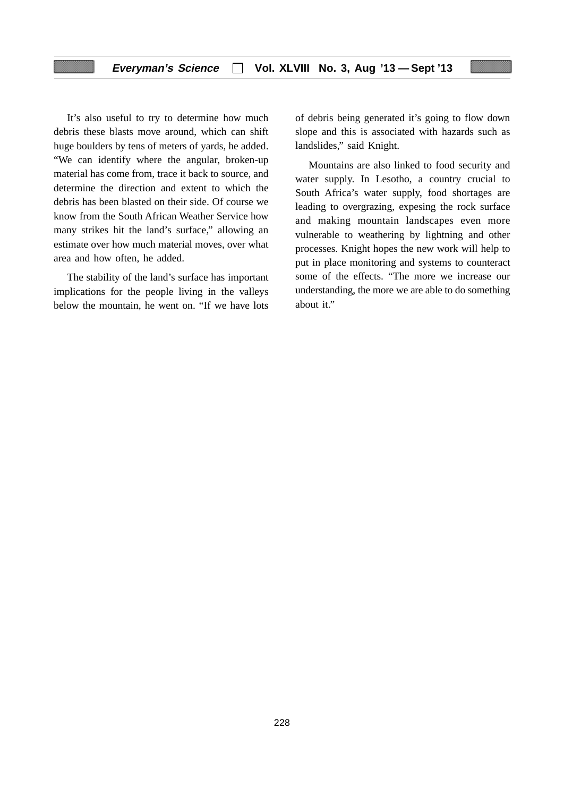It's also useful to try to determine how much debris these blasts move around, which can shift huge boulders by tens of meters of yards, he added. "We can identify where the angular, broken-up material has come from, trace it back to source, and determine the direction and extent to which the debris has been blasted on their side. Of course we know from the South African Weather Service how many strikes hit the land's surface," allowing an estimate over how much material moves, over what area and how often, he added.

The stability of the land's surface has important implications for the people living in the valleys below the mountain, he went on. "If we have lots

of debris being generated it's going to flow down slope and this is associated with hazards such as landslides," said Knight.

Mountains are also linked to food security and water supply. In Lesotho, a country crucial to South Africa's water supply, food shortages are leading to overgrazing, expesing the rock surface and making mountain landscapes even more vulnerable to weathering by lightning and other processes. Knight hopes the new work will help to put in place monitoring and systems to counteract some of the effects. "The more we increase our understanding, the more we are able to do something about it."